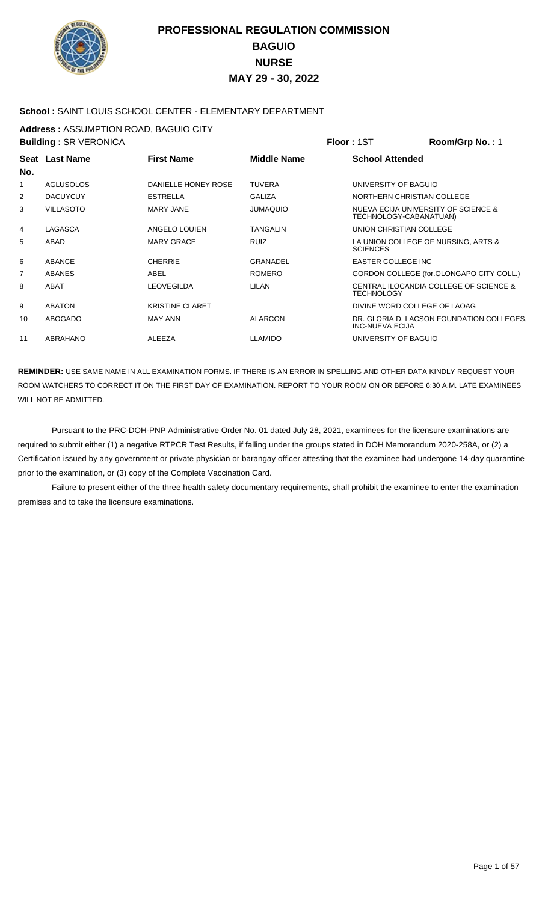

### **School :** SAINT LOUIS SCHOOL CENTER - ELEMENTARY DEPARTMENT

**Address :** ASSUMPTION ROAD, BAGUIO CITY

| <b>Building: SR VERONICA</b> |                  |                        |                    | Floor: 1ST                   | Room/Grp No.: 1                           |
|------------------------------|------------------|------------------------|--------------------|------------------------------|-------------------------------------------|
| No.                          | Seat Last Name   | <b>First Name</b>      | <b>Middle Name</b> | <b>School Attended</b>       |                                           |
| 1                            | <b>AGLUSOLOS</b> | DANIELLE HONEY ROSE    | <b>TUVERA</b>      | UNIVERSITY OF BAGUIO         |                                           |
| 2                            | <b>DACUYCUY</b>  | <b>ESTRELLA</b>        | <b>GALIZA</b>      | NORTHERN CHRISTIAN COLLEGE   |                                           |
| 3                            | <b>VILLASOTO</b> | <b>MARY JANE</b>       | <b>JUMAQUIO</b>    | TECHNOLOGY-CABANATUAN)       | NUEVA ECIJA UNIVERSITY OF SCIENCE &       |
| 4                            | LAGASCA          | ANGELO LOUIEN          | <b>TANGALIN</b>    | UNION CHRISTIAN COLLEGE      |                                           |
| 5                            | ABAD             | <b>MARY GRACE</b>      | <b>RUIZ</b>        | <b>SCIENCES</b>              | LA UNION COLLEGE OF NURSING, ARTS &       |
| 6                            | <b>ABANCE</b>    | <b>CHERRIE</b>         | <b>GRANADEL</b>    | <b>EASTER COLLEGE INC</b>    |                                           |
| 7                            | <b>ABANES</b>    | ABEL                   | <b>ROMERO</b>      |                              | GORDON COLLEGE (for.OLONGAPO CITY COLL.)  |
| 8                            | ABAT             | <b>LEOVEGILDA</b>      | LILAN              | <b>TECHNOLOGY</b>            | CENTRAL ILOCANDIA COLLEGE OF SCIENCE &    |
| 9                            | <b>ABATON</b>    | <b>KRISTINE CLARET</b> |                    | DIVINE WORD COLLEGE OF LAOAG |                                           |
| 10                           | <b>ABOGADO</b>   | <b>MAY ANN</b>         | <b>ALARCON</b>     | <b>INC-NUEVA ECIJA</b>       | DR. GLORIA D. LACSON FOUNDATION COLLEGES, |
| 11                           | ABRAHANO         | <b>ALEEZA</b>          | <b>LLAMIDO</b>     | UNIVERSITY OF BAGUIO         |                                           |
|                              |                  |                        |                    |                              |                                           |

**REMINDER:** USE SAME NAME IN ALL EXAMINATION FORMS. IF THERE IS AN ERROR IN SPELLING AND OTHER DATA KINDLY REQUEST YOUR ROOM WATCHERS TO CORRECT IT ON THE FIRST DAY OF EXAMINATION. REPORT TO YOUR ROOM ON OR BEFORE 6:30 A.M. LATE EXAMINEES WILL NOT BE ADMITTED.

 Pursuant to the PRC-DOH-PNP Administrative Order No. 01 dated July 28, 2021, examinees for the licensure examinations are required to submit either (1) a negative RTPCR Test Results, if falling under the groups stated in DOH Memorandum 2020-258A, or (2) a Certification issued by any government or private physician or barangay officer attesting that the examinee had undergone 14-day quarantine prior to the examination, or (3) copy of the Complete Vaccination Card.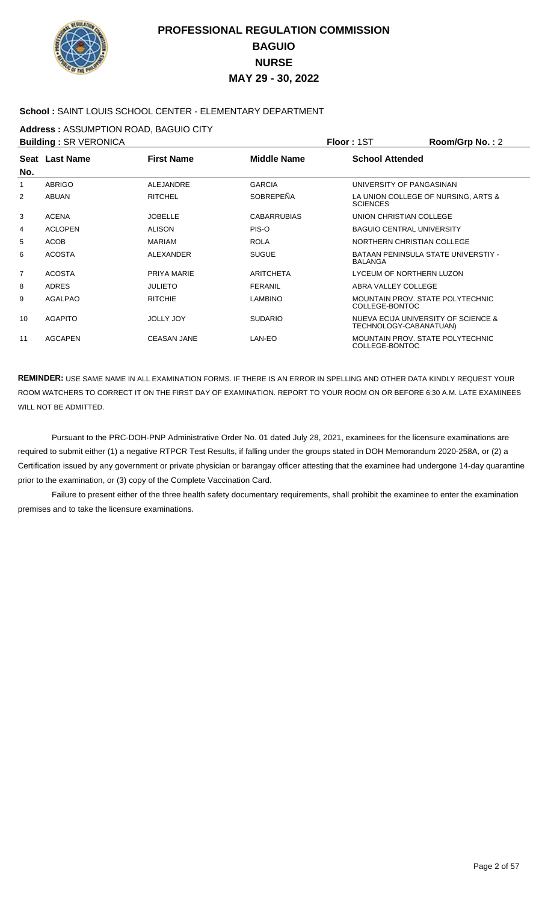

### **School :** SAINT LOUIS SCHOOL CENTER - ELEMENTARY DEPARTMENT

**Address :** ASSUMPTION ROAD, BAGUIO CITY

| <b>Building: SR VERONICA</b> |                |                    |                    | Floor: 1ST                                                | Room/Grp No.: 2                     |
|------------------------------|----------------|--------------------|--------------------|-----------------------------------------------------------|-------------------------------------|
|                              | Seat Last Name | <b>First Name</b>  | <b>Middle Name</b> | <b>School Attended</b>                                    |                                     |
| No.                          |                |                    |                    |                                                           |                                     |
| 1                            | <b>ABRIGO</b>  | <b>ALEJANDRE</b>   | <b>GARCIA</b>      | UNIVERSITY OF PANGASINAN                                  |                                     |
| 2                            | <b>ABUAN</b>   | <b>RITCHEL</b>     | SOBREPEÑA          | <b>SCIENCES</b>                                           | LA UNION COLLEGE OF NURSING, ARTS & |
| 3                            | <b>ACENA</b>   | <b>JOBELLE</b>     | <b>CABARRUBIAS</b> | UNION CHRISTIAN COLLEGE                                   |                                     |
| 4                            | <b>ACLOPEN</b> | <b>ALISON</b>      | PIS-O              | <b>BAGUIO CENTRAL UNIVERSITY</b>                          |                                     |
| 5                            | <b>ACOB</b>    | <b>MARIAM</b>      | <b>ROLA</b>        | NORTHERN CHRISTIAN COLLEGE                                |                                     |
| 6                            | <b>ACOSTA</b>  | ALEXANDER          | <b>SUGUE</b>       | <b>BALANGA</b>                                            | BATAAN PENINSULA STATE UNIVERSTIY - |
| 7                            | <b>ACOSTA</b>  | PRIYA MARIE        | <b>ARITCHETA</b>   | LYCEUM OF NORTHERN LUZON                                  |                                     |
| 8                            | <b>ADRES</b>   | <b>JULIETO</b>     | <b>FERANIL</b>     | ABRA VALLEY COLLEGE                                       |                                     |
| 9                            | <b>AGALPAO</b> | <b>RITCHIE</b>     | <b>LAMBINO</b>     | <b>MOUNTAIN PROV. STATE POLYTECHNIC</b><br>COLLEGE-BONTOC |                                     |
| 10                           | <b>AGAPITO</b> | <b>JOLLY JOY</b>   | <b>SUDARIO</b>     | TECHNOLOGY-CABANATUAN)                                    | NUEVA ECIJA UNIVERSITY OF SCIENCE & |
| 11                           | <b>AGCAPEN</b> | <b>CEASAN JANE</b> | LAN-EO             | MOUNTAIN PROV. STATE POLYTECHNIC<br>COLLEGE-BONTOC        |                                     |

**REMINDER:** USE SAME NAME IN ALL EXAMINATION FORMS. IF THERE IS AN ERROR IN SPELLING AND OTHER DATA KINDLY REQUEST YOUR ROOM WATCHERS TO CORRECT IT ON THE FIRST DAY OF EXAMINATION. REPORT TO YOUR ROOM ON OR BEFORE 6:30 A.M. LATE EXAMINEES WILL NOT BE ADMITTED.

 Pursuant to the PRC-DOH-PNP Administrative Order No. 01 dated July 28, 2021, examinees for the licensure examinations are required to submit either (1) a negative RTPCR Test Results, if falling under the groups stated in DOH Memorandum 2020-258A, or (2) a Certification issued by any government or private physician or barangay officer attesting that the examinee had undergone 14-day quarantine prior to the examination, or (3) copy of the Complete Vaccination Card.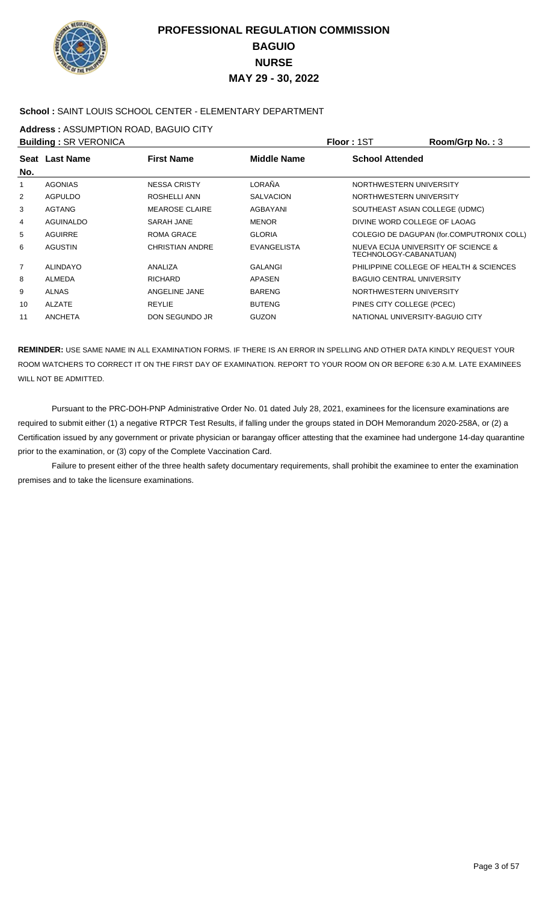

### **School :** SAINT LOUIS SCHOOL CENTER - ELEMENTARY DEPARTMENT

**Address :** ASSUMPTION ROAD, BAGUIO CITY

|                | <b>Building: SR VERONICA</b> |                        |                    | Floor: 1ST                       | Room/Grp No.: 3                           |
|----------------|------------------------------|------------------------|--------------------|----------------------------------|-------------------------------------------|
|                | Seat Last Name               | <b>First Name</b>      | <b>Middle Name</b> | <b>School Attended</b>           |                                           |
| No.            |                              |                        |                    |                                  |                                           |
| 1              | <b>AGONIAS</b>               | <b>NESSA CRISTY</b>    | LORAÑA             | NORTHWESTERN UNIVERSITY          |                                           |
| $\overline{2}$ | <b>AGPULDO</b>               | ROSHELLI ANN           | <b>SALVACION</b>   | NORTHWESTERN UNIVERSITY          |                                           |
| 3              | <b>AGTANG</b>                | <b>MEAROSE CLAIRE</b>  | AGBAYANI           | SOUTHEAST ASIAN COLLEGE (UDMC)   |                                           |
| 4              | AGUINALDO                    | SARAH JANE             | <b>MENOR</b>       | DIVINE WORD COLLEGE OF LAOAG     |                                           |
| 5              | <b>AGUIRRE</b>               | ROMA GRACE             | <b>GLORIA</b>      |                                  | COLEGIO DE DAGUPAN (for.COMPUTRONIX COLL) |
| 6              | <b>AGUSTIN</b>               | <b>CHRISTIAN ANDRE</b> | <b>EVANGELISTA</b> | TECHNOLOGY-CABANATUAN)           | NUEVA ECIJA UNIVERSITY OF SCIENCE &       |
| 7              | <b>ALINDAYO</b>              | ANALIZA                | <b>GALANGI</b>     |                                  | PHILIPPINE COLLEGE OF HEALTH & SCIENCES   |
| 8              | <b>ALMEDA</b>                | <b>RICHARD</b>         | APASEN             | <b>BAGUIO CENTRAL UNIVERSITY</b> |                                           |
| 9              | ALNAS                        | ANGELINE JANE          | <b>BARENG</b>      | NORTHWESTERN UNIVERSITY          |                                           |
| 10             | <b>ALZATE</b>                | REYLIE                 | <b>BUTENG</b>      | PINES CITY COLLEGE (PCEC)        |                                           |
| 11             | <b>ANCHETA</b>               | DON SEGUNDO JR         | <b>GUZON</b>       | NATIONAL UNIVERSITY-BAGUIO CITY  |                                           |

**REMINDER:** USE SAME NAME IN ALL EXAMINATION FORMS. IF THERE IS AN ERROR IN SPELLING AND OTHER DATA KINDLY REQUEST YOUR ROOM WATCHERS TO CORRECT IT ON THE FIRST DAY OF EXAMINATION. REPORT TO YOUR ROOM ON OR BEFORE 6:30 A.M. LATE EXAMINEES WILL NOT BE ADMITTED.

 Pursuant to the PRC-DOH-PNP Administrative Order No. 01 dated July 28, 2021, examinees for the licensure examinations are required to submit either (1) a negative RTPCR Test Results, if falling under the groups stated in DOH Memorandum 2020-258A, or (2) a Certification issued by any government or private physician or barangay officer attesting that the examinee had undergone 14-day quarantine prior to the examination, or (3) copy of the Complete Vaccination Card.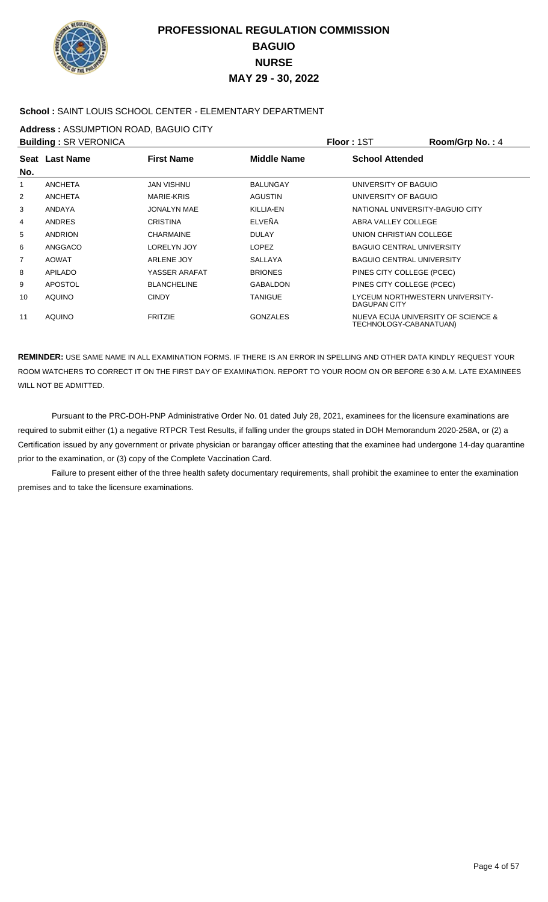

### **School :** SAINT LOUIS SCHOOL CENTER - ELEMENTARY DEPARTMENT

**Address :** ASSUMPTION ROAD, BAGUIO CITY

| <b>Building: SR VERONICA</b> |                |                    |                    | Floor: 1ST                                             | Room/Grp No.: 4                     |
|------------------------------|----------------|--------------------|--------------------|--------------------------------------------------------|-------------------------------------|
|                              | Seat Last Name | <b>First Name</b>  | <b>Middle Name</b> | <b>School Attended</b>                                 |                                     |
| No.                          |                |                    |                    |                                                        |                                     |
| 1                            | <b>ANCHETA</b> | JAN VISHNU         | <b>BALUNGAY</b>    | UNIVERSITY OF BAGUIO                                   |                                     |
| $\overline{2}$               | <b>ANCHETA</b> | MARIE-KRIS         | <b>AGUSTIN</b>     | UNIVERSITY OF BAGUIO                                   |                                     |
| 3                            | <b>ANDAYA</b>  | JONALYN MAE        | KILLIA-EN          | NATIONAL UNIVERSITY-BAGUIO CITY                        |                                     |
| 4                            | <b>ANDRES</b>  | <b>CRISTINA</b>    | ELVEÑA             | ABRA VALLEY COLLEGE                                    |                                     |
| 5                            | <b>ANDRION</b> | <b>CHARMAINE</b>   | <b>DULAY</b>       | UNION CHRISTIAN COLLEGE                                |                                     |
| 6                            | ANGGACO        | LORELYN JOY        | <b>LOPEZ</b>       | <b>BAGUIO CENTRAL UNIVERSITY</b>                       |                                     |
| $\overline{7}$               | <b>AOWAT</b>   | ARLENE JOY         | <b>SALLAYA</b>     | <b>BAGUIO CENTRAL UNIVERSITY</b>                       |                                     |
| 8                            | <b>APILADO</b> | YASSER ARAFAT      | <b>BRIONES</b>     | PINES CITY COLLEGE (PCEC)                              |                                     |
| 9                            | <b>APOSTOL</b> | <b>BLANCHELINE</b> | <b>GABALDON</b>    | PINES CITY COLLEGE (PCEC)                              |                                     |
| 10                           | <b>AOUINO</b>  | <b>CINDY</b>       | <b>TANIGUE</b>     | LYCEUM NORTHWESTERN UNIVERSITY-<br><b>DAGUPAN CITY</b> |                                     |
| 11                           | <b>AOUINO</b>  | <b>FRITZIE</b>     | <b>GONZALES</b>    | TECHNOLOGY-CABANATUAN)                                 | NUEVA ECIJA UNIVERSITY OF SCIENCE & |

**REMINDER:** USE SAME NAME IN ALL EXAMINATION FORMS. IF THERE IS AN ERROR IN SPELLING AND OTHER DATA KINDLY REQUEST YOUR ROOM WATCHERS TO CORRECT IT ON THE FIRST DAY OF EXAMINATION. REPORT TO YOUR ROOM ON OR BEFORE 6:30 A.M. LATE EXAMINEES WILL NOT BE ADMITTED.

 Pursuant to the PRC-DOH-PNP Administrative Order No. 01 dated July 28, 2021, examinees for the licensure examinations are required to submit either (1) a negative RTPCR Test Results, if falling under the groups stated in DOH Memorandum 2020-258A, or (2) a Certification issued by any government or private physician or barangay officer attesting that the examinee had undergone 14-day quarantine prior to the examination, or (3) copy of the Complete Vaccination Card.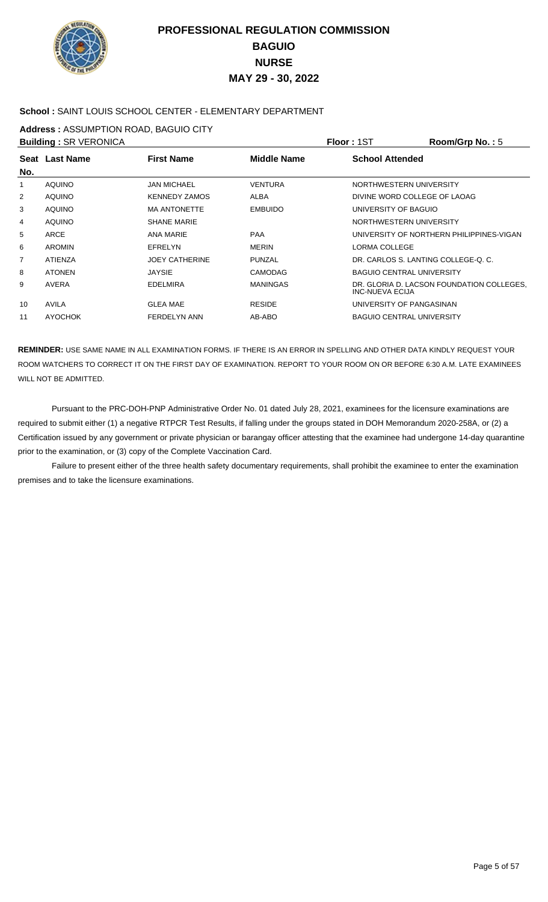

### **School :** SAINT LOUIS SCHOOL CENTER - ELEMENTARY DEPARTMENT

**Address :** ASSUMPTION ROAD, BAGUIO CITY

|     | <b>Building: SR VERONICA</b> |                       |                    | Floor: 1ST                          | Room/Grp No.: 5                           |
|-----|------------------------------|-----------------------|--------------------|-------------------------------------|-------------------------------------------|
|     | Seat Last Name               | <b>First Name</b>     | <b>Middle Name</b> | <b>School Attended</b>              |                                           |
| No. |                              |                       |                    |                                     |                                           |
| 1   | <b>AOUINO</b>                | <b>JAN MICHAEL</b>    | <b>VENTURA</b>     | NORTHWESTERN UNIVERSITY             |                                           |
| 2   | <b>AOUINO</b>                | <b>KENNEDY ZAMOS</b>  | ALBA               | DIVINE WORD COLLEGE OF LAOAG        |                                           |
| 3   | <b>AQUINO</b>                | <b>MA ANTONETTE</b>   | <b>EMBUIDO</b>     | UNIVERSITY OF BAGUIO                |                                           |
| 4   | <b>AOUINO</b>                | <b>SHANE MARIE</b>    |                    | NORTHWESTERN UNIVERSITY             |                                           |
| 5   | <b>ARCE</b>                  | ANA MARIE             | <b>PAA</b>         |                                     | UNIVERSITY OF NORTHERN PHILIPPINES-VIGAN  |
| 6   | <b>AROMIN</b>                | EFRELYN               | <b>MERIN</b>       | LORMA COLLEGE                       |                                           |
| 7   | <b>ATIENZA</b>               | <b>JOEY CATHERINE</b> | PUNZAL             | DR. CARLOS S. LANTING COLLEGE-O. C. |                                           |
| 8   | <b>ATONEN</b>                | <b>JAYSIE</b>         | <b>CAMODAG</b>     | <b>BAGUIO CENTRAL UNIVERSITY</b>    |                                           |
| 9   | <b>AVERA</b>                 | <b>EDELMIRA</b>       | <b>MANINGAS</b>    | INC-NUEVA ECIJA                     | DR. GLORIA D. LACSON FOUNDATION COLLEGES. |
| 10  | <b>AVILA</b>                 | <b>GLEA MAE</b>       | <b>RESIDE</b>      | UNIVERSITY OF PANGASINAN            |                                           |
| 11  | <b>AYOCHOK</b>               | <b>FERDELYN ANN</b>   | AB-ABO             | <b>BAGUIO CENTRAL UNIVERSITY</b>    |                                           |

**REMINDER:** USE SAME NAME IN ALL EXAMINATION FORMS. IF THERE IS AN ERROR IN SPELLING AND OTHER DATA KINDLY REQUEST YOUR ROOM WATCHERS TO CORRECT IT ON THE FIRST DAY OF EXAMINATION. REPORT TO YOUR ROOM ON OR BEFORE 6:30 A.M. LATE EXAMINEES WILL NOT BE ADMITTED.

 Pursuant to the PRC-DOH-PNP Administrative Order No. 01 dated July 28, 2021, examinees for the licensure examinations are required to submit either (1) a negative RTPCR Test Results, if falling under the groups stated in DOH Memorandum 2020-258A, or (2) a Certification issued by any government or private physician or barangay officer attesting that the examinee had undergone 14-day quarantine prior to the examination, or (3) copy of the Complete Vaccination Card.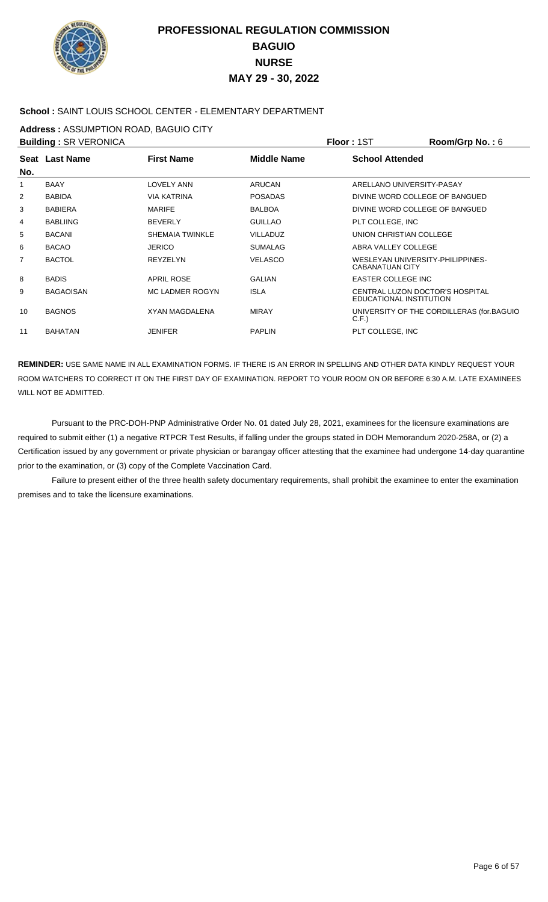

### **School :** SAINT LOUIS SCHOOL CENTER - ELEMENTARY DEPARTMENT

**Address :** ASSUMPTION ROAD, BAGUIO CITY

| <b>Building: SR VERONICA</b> |                  |                        |                 | Floor: 1ST                                                        | <b>Room/Grp No.: 6</b>                    |
|------------------------------|------------------|------------------------|-----------------|-------------------------------------------------------------------|-------------------------------------------|
|                              | Seat Last Name   | <b>First Name</b>      | Middle Name     | <b>School Attended</b>                                            |                                           |
| No.                          |                  |                        |                 |                                                                   |                                           |
| 1                            | <b>BAAY</b>      | <b>LOVELY ANN</b>      | <b>ARUCAN</b>   | ARELLANO UNIVERSITY-PASAY                                         |                                           |
| 2                            | <b>BABIDA</b>    | <b>VIA KATRINA</b>     | <b>POSADAS</b>  | DIVINE WORD COLLEGE OF BANGUED                                    |                                           |
| 3                            | <b>BABIERA</b>   | <b>MARIFE</b>          | <b>BALBOA</b>   | DIVINE WORD COLLEGE OF BANGUED                                    |                                           |
| 4                            | <b>BABLIING</b>  | <b>BEVERLY</b>         | <b>GUILLAO</b>  | PLT COLLEGE, INC                                                  |                                           |
| 5                            | <b>BACANI</b>    | <b>SHEMAIA TWINKLE</b> | <b>VILLADUZ</b> | UNION CHRISTIAN COLLEGE                                           |                                           |
| 6                            | <b>BACAO</b>     | <b>JERICO</b>          | <b>SUMALAG</b>  | ABRA VALLEY COLLEGE                                               |                                           |
| $\overline{7}$               | <b>BACTOL</b>    | <b>REYZELYN</b>        | <b>VELASCO</b>  | WESLEYAN UNIVERSITY-PHILIPPINES-<br><b>CABANATUAN CITY</b>        |                                           |
| 8                            | <b>BADIS</b>     | <b>APRIL ROSE</b>      | <b>GALIAN</b>   | <b>EASTER COLLEGE INC</b>                                         |                                           |
| 9                            | <b>BAGAOISAN</b> | <b>MC LADMER ROGYN</b> | <b>ISLA</b>     | <b>CENTRAL LUZON DOCTOR'S HOSPITAL</b><br>EDUCATIONAL INSTITUTION |                                           |
| 10                           | <b>BAGNOS</b>    | <b>XYAN MAGDALENA</b>  | <b>MIRAY</b>    | C.F.                                                              | UNIVERSITY OF THE CORDILLERAS (for.BAGUIO |
| 11                           | <b>BAHATAN</b>   | <b>JENIFER</b>         | <b>PAPLIN</b>   | PLT COLLEGE, INC                                                  |                                           |

**REMINDER:** USE SAME NAME IN ALL EXAMINATION FORMS. IF THERE IS AN ERROR IN SPELLING AND OTHER DATA KINDLY REQUEST YOUR ROOM WATCHERS TO CORRECT IT ON THE FIRST DAY OF EXAMINATION. REPORT TO YOUR ROOM ON OR BEFORE 6:30 A.M. LATE EXAMINEES WILL NOT BE ADMITTED.

 Pursuant to the PRC-DOH-PNP Administrative Order No. 01 dated July 28, 2021, examinees for the licensure examinations are required to submit either (1) a negative RTPCR Test Results, if falling under the groups stated in DOH Memorandum 2020-258A, or (2) a Certification issued by any government or private physician or barangay officer attesting that the examinee had undergone 14-day quarantine prior to the examination, or (3) copy of the Complete Vaccination Card.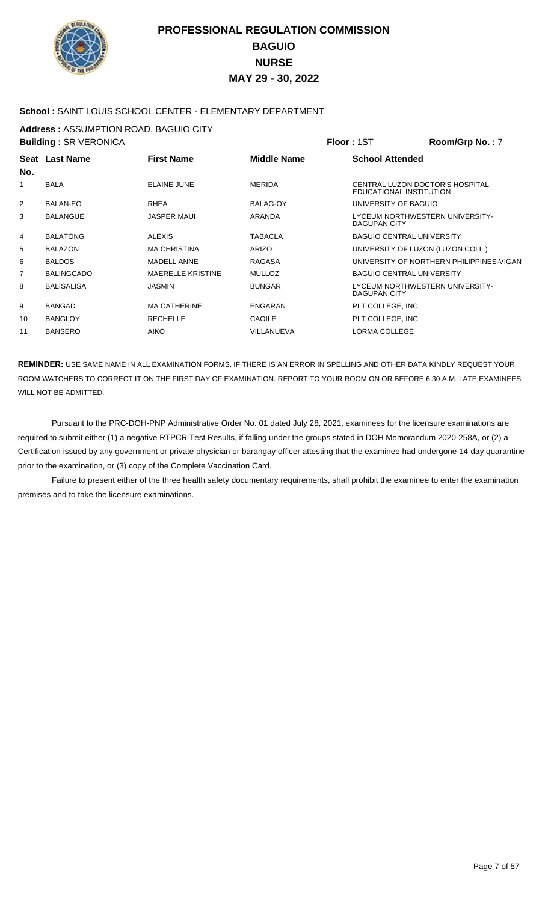

### **School :** SAINT LOUIS SCHOOL CENTER - ELEMENTARY DEPARTMENT

**Address :** ASSUMPTION ROAD, BAGUIO CITY

| <b>Building: SR VERONICA</b> |                   |                          |                    | Floor: 1ST                                                 | Room/Grp No.: 7                          |
|------------------------------|-------------------|--------------------------|--------------------|------------------------------------------------------------|------------------------------------------|
|                              | Seat Last Name    | <b>First Name</b>        | <b>Middle Name</b> | <b>School Attended</b>                                     |                                          |
| No.                          |                   |                          |                    |                                                            |                                          |
| 1                            | <b>BALA</b>       | ELAINE JUNE              | <b>MERIDA</b>      | CENTRAL LUZON DOCTOR'S HOSPITAL<br>EDUCATIONAL INSTITUTION |                                          |
| 2                            | <b>BALAN-EG</b>   | <b>RHEA</b>              | <b>BALAG-OY</b>    | UNIVERSITY OF BAGUIO                                       |                                          |
| 3                            | <b>BALANGUE</b>   | <b>JASPER MAUI</b>       | <b>ARANDA</b>      | LYCEUM NORTHWESTERN UNIVERSITY-<br>DAGUPAN CITY            |                                          |
| 4                            | <b>BALATONG</b>   | <b>ALEXIS</b>            | <b>TABACLA</b>     | <b>BAGUIO CENTRAL UNIVERSITY</b>                           |                                          |
| 5                            | <b>BALAZON</b>    | <b>MA CHRISTINA</b>      | ARIZO              | UNIVERSITY OF LUZON (LUZON COLL.)                          |                                          |
| 6                            | <b>BALDOS</b>     | <b>MADELL ANNE</b>       | <b>RAGASA</b>      |                                                            | UNIVERSITY OF NORTHERN PHILIPPINES-VIGAN |
| 7                            | <b>BALINGCADO</b> | <b>MAERELLE KRISTINE</b> | <b>MULLOZ</b>      | <b>BAGUIO CENTRAL UNIVERSITY</b>                           |                                          |
| 8                            | <b>BALISALISA</b> | <b>JASMIN</b>            | <b>BUNGAR</b>      | LYCEUM NORTHWESTERN UNIVERSITY-<br>DAGUPAN CITY            |                                          |
| 9                            | <b>BANGAD</b>     | <b>MA CATHERINE</b>      | <b>ENGARAN</b>     | PLT COLLEGE, INC                                           |                                          |
| 10                           | <b>BANGLOY</b>    | <b>RECHELLE</b>          | <b>CAOILE</b>      | PLT COLLEGE, INC                                           |                                          |
| 11                           | <b>BANSERO</b>    | <b>AIKO</b>              | VILLANUEVA         | LORMA COLLEGE                                              |                                          |

**REMINDER:** USE SAME NAME IN ALL EXAMINATION FORMS. IF THERE IS AN ERROR IN SPELLING AND OTHER DATA KINDLY REQUEST YOUR ROOM WATCHERS TO CORRECT IT ON THE FIRST DAY OF EXAMINATION. REPORT TO YOUR ROOM ON OR BEFORE 6:30 A.M. LATE EXAMINEES WILL NOT BE ADMITTED.

 Pursuant to the PRC-DOH-PNP Administrative Order No. 01 dated July 28, 2021, examinees for the licensure examinations are required to submit either (1) a negative RTPCR Test Results, if falling under the groups stated in DOH Memorandum 2020-258A, or (2) a Certification issued by any government or private physician or barangay officer attesting that the examinee had undergone 14-day quarantine prior to the examination, or (3) copy of the Complete Vaccination Card.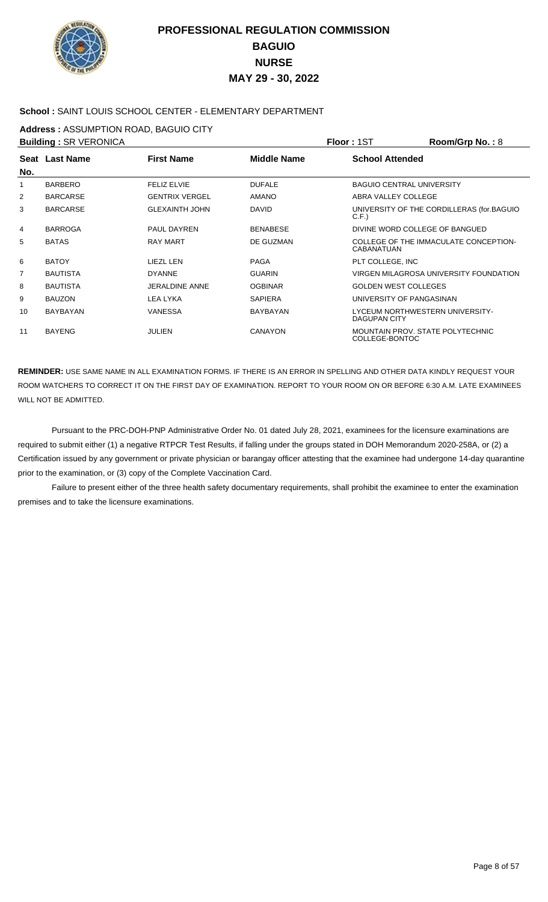

### **School :** SAINT LOUIS SCHOOL CENTER - ELEMENTARY DEPARTMENT

**Address :** ASSUMPTION ROAD, BAGUIO CITY

| <b>Building: SR VERONICA</b> |                 |                       |                 | Floor : 1ST                                            | <b>Room/Grp No.: 8</b>                    |
|------------------------------|-----------------|-----------------------|-----------------|--------------------------------------------------------|-------------------------------------------|
| No.                          | Seat Last Name  | <b>First Name</b>     | Middle Name     | <b>School Attended</b>                                 |                                           |
| 1                            | <b>BARBERO</b>  | <b>FELIZ ELVIE</b>    | <b>DUFALE</b>   | <b>BAGUIO CENTRAL UNIVERSITY</b>                       |                                           |
| 2                            | <b>BARCARSE</b> | <b>GENTRIX VERGEL</b> | <b>AMANO</b>    | ABRA VALLEY COLLEGE                                    |                                           |
| 3                            | <b>BARCARSE</b> | <b>GLEXAINTH JOHN</b> | <b>DAVID</b>    | C.F.                                                   | UNIVERSITY OF THE CORDILLERAS (for.BAGUIO |
| 4                            | <b>BARROGA</b>  | PAUL DAYREN           | <b>BENABESE</b> | DIVINE WORD COLLEGE OF BANGUED                         |                                           |
| 5                            | <b>BATAS</b>    | <b>RAY MART</b>       | DE GUZMAN       | <b>CABANATUAN</b>                                      | COLLEGE OF THE IMMACULATE CONCEPTION-     |
| 6                            | <b>BATOY</b>    | LIEZL LEN             | <b>PAGA</b>     | PLT COLLEGE, INC                                       |                                           |
| 7                            | <b>BAUTISTA</b> | <b>DYANNE</b>         | <b>GUARIN</b>   |                                                        | VIRGEN MILAGROSA UNIVERSITY FOUNDATION    |
| 8                            | <b>BAUTISTA</b> | <b>JERALDINE ANNE</b> | <b>OGBINAR</b>  | <b>GOLDEN WEST COLLEGES</b>                            |                                           |
| 9                            | <b>BAUZON</b>   | LEA LYKA              | <b>SAPIERA</b>  | UNIVERSITY OF PANGASINAN                               |                                           |
| 10                           | <b>BAYBAYAN</b> | <b>VANESSA</b>        | BAYBAYAN        | LYCEUM NORTHWESTERN UNIVERSITY-<br><b>DAGUPAN CITY</b> |                                           |
| 11                           | <b>BAYENG</b>   | <b>JULIEN</b>         | <b>CANAYON</b>  | MOUNTAIN PROV. STATE POLYTECHNIC<br>COLLEGE-BONTOC     |                                           |

**REMINDER:** USE SAME NAME IN ALL EXAMINATION FORMS. IF THERE IS AN ERROR IN SPELLING AND OTHER DATA KINDLY REQUEST YOUR ROOM WATCHERS TO CORRECT IT ON THE FIRST DAY OF EXAMINATION. REPORT TO YOUR ROOM ON OR BEFORE 6:30 A.M. LATE EXAMINEES WILL NOT BE ADMITTED.

 Pursuant to the PRC-DOH-PNP Administrative Order No. 01 dated July 28, 2021, examinees for the licensure examinations are required to submit either (1) a negative RTPCR Test Results, if falling under the groups stated in DOH Memorandum 2020-258A, or (2) a Certification issued by any government or private physician or barangay officer attesting that the examinee had undergone 14-day quarantine prior to the examination, or (3) copy of the Complete Vaccination Card.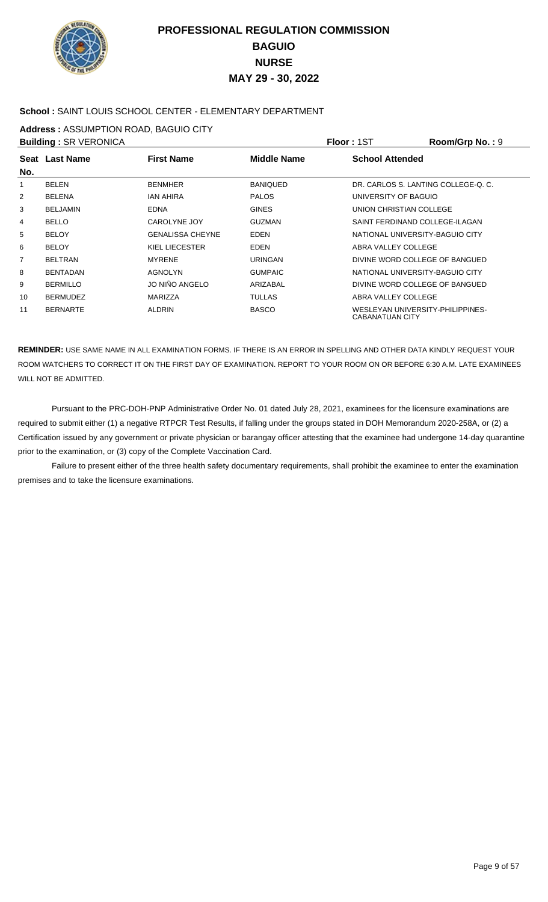

### **School :** SAINT LOUIS SCHOOL CENTER - ELEMENTARY DEPARTMENT

**Address :** ASSUMPTION ROAD, BAGUIO CITY

|     | <b>Building: SR VERONICA</b> |                         |                    | Floor: 1ST              | Room/Grp No.: 9                     |
|-----|------------------------------|-------------------------|--------------------|-------------------------|-------------------------------------|
|     | Seat Last Name               | <b>First Name</b>       | <b>Middle Name</b> | <b>School Attended</b>  |                                     |
| No. |                              |                         |                    |                         |                                     |
| 1   | <b>BELEN</b>                 | <b>BENMHER</b>          | <b>BANIOUED</b>    |                         | DR. CARLOS S. LANTING COLLEGE-O. C. |
| 2   | <b>BELENA</b>                | <b>JAN AHIRA</b>        | <b>PALOS</b>       | UNIVERSITY OF BAGUIO    |                                     |
| 3   | <b>BELJAMIN</b>              | <b>EDNA</b>             | <b>GINES</b>       | UNION CHRISTIAN COLLEGE |                                     |
| 4   | <b>BELLO</b>                 | CAROLYNE JOY            | <b>GUZMAN</b>      |                         | SAINT FERDINAND COLLEGE-ILAGAN      |
| 5   | <b>BELOY</b>                 | <b>GENALISSA CHEYNE</b> | <b>EDEN</b>        |                         | NATIONAL UNIVERSITY-BAGUIO CITY     |
| 6   | <b>BELOY</b>                 | KIEL LIECESTER          | <b>EDEN</b>        | ABRA VALLEY COLLEGE     |                                     |
| 7   | <b>BELTRAN</b>               | <b>MYRENE</b>           | <b>URINGAN</b>     |                         | DIVINE WORD COLLEGE OF BANGUED      |
| 8   | <b>BENTADAN</b>              | AGNOLYN                 | <b>GUMPAIC</b>     |                         | NATIONAL UNIVERSITY-BAGUIO CITY     |
| 9   | <b>BERMILLO</b>              | JO NIÑO ANGELO          | ARIZABAL           |                         | DIVINE WORD COLLEGE OF BANGUED      |
| 10  | <b>BERMUDEZ</b>              | MARIZZA                 | <b>TULLAS</b>      | ABRA VALLEY COLLEGE     |                                     |
| 11  | <b>BERNARTE</b>              | <b>ALDRIN</b>           | <b>BASCO</b>       | CABANATUAN CITY         | WESLEYAN UNIVERSITY-PHILIPPINES-    |

**REMINDER:** USE SAME NAME IN ALL EXAMINATION FORMS. IF THERE IS AN ERROR IN SPELLING AND OTHER DATA KINDLY REQUEST YOUR ROOM WATCHERS TO CORRECT IT ON THE FIRST DAY OF EXAMINATION. REPORT TO YOUR ROOM ON OR BEFORE 6:30 A.M. LATE EXAMINEES WILL NOT BE ADMITTED.

 Pursuant to the PRC-DOH-PNP Administrative Order No. 01 dated July 28, 2021, examinees for the licensure examinations are required to submit either (1) a negative RTPCR Test Results, if falling under the groups stated in DOH Memorandum 2020-258A, or (2) a Certification issued by any government or private physician or barangay officer attesting that the examinee had undergone 14-day quarantine prior to the examination, or (3) copy of the Complete Vaccination Card.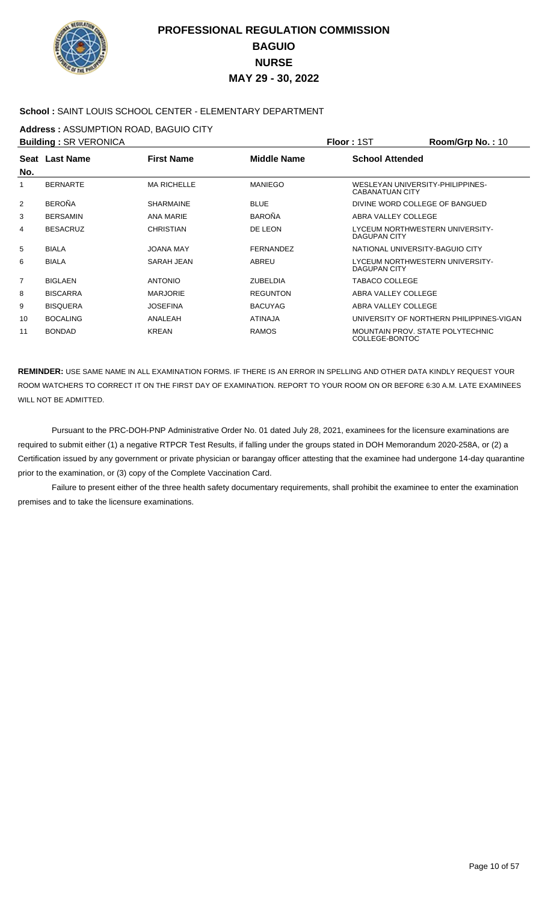

### **School :** SAINT LOUIS SCHOOL CENTER - ELEMENTARY DEPARTMENT

**Address :** ASSUMPTION ROAD, BAGUIO CITY

| <b>Building: SR VERONICA</b> |                       |                    |                    | Floor: 1ST             | Room/Grp No.: 10                         |
|------------------------------|-----------------------|--------------------|--------------------|------------------------|------------------------------------------|
| No.                          | <b>Seat Last Name</b> | <b>First Name</b>  | <b>Middle Name</b> | <b>School Attended</b> |                                          |
| 1                            | <b>BERNARTE</b>       | <b>MA RICHELLE</b> | <b>MANIEGO</b>     | <b>CABANATUAN CITY</b> | WESLEYAN UNIVERSITY-PHILIPPINES-         |
| 2                            | <b>BEROÑA</b>         | <b>SHARMAINE</b>   | <b>BLUE</b>        |                        | DIVINE WORD COLLEGE OF BANGUED           |
| 3                            | <b>BERSAMIN</b>       | ANA MARIE          | <b>BAROÑA</b>      | ABRA VALLEY COLLEGE    |                                          |
| 4                            | <b>BESACRUZ</b>       | <b>CHRISTIAN</b>   | DE LEON            | <b>DAGUPAN CITY</b>    | LYCEUM NORTHWESTERN UNIVERSITY-          |
| 5                            | <b>BIALA</b>          | JOANA MAY          | <b>FERNANDEZ</b>   |                        | NATIONAL UNIVERSITY-BAGUIO CITY          |
| 6                            | <b>BIALA</b>          | <b>SARAH JEAN</b>  | <b>ABREU</b>       | <b>DAGUPAN CITY</b>    | LYCEUM NORTHWESTERN UNIVERSITY-          |
| 7                            | <b>BIGLAEN</b>        | <b>ANTONIO</b>     | <b>ZUBELDIA</b>    | <b>TABACO COLLEGE</b>  |                                          |
| 8                            | <b>BISCARRA</b>       | <b>MARJORIE</b>    | <b>REGUNTON</b>    | ABRA VALLEY COLLEGE    |                                          |
| 9                            | <b>BISOUERA</b>       | <b>JOSEFINA</b>    | <b>BACUYAG</b>     | ABRA VALLEY COLLEGE    |                                          |
| 10                           | <b>BOCALING</b>       | ANALEAH            | <b>ATINAJA</b>     |                        | UNIVERSITY OF NORTHERN PHILIPPINES-VIGAN |
| 11                           | <b>BONDAD</b>         | <b>KREAN</b>       | <b>RAMOS</b>       | COLLEGE-BONTOC         | <b>MOUNTAIN PROV. STATE POLYTECHNIC</b>  |

**REMINDER:** USE SAME NAME IN ALL EXAMINATION FORMS. IF THERE IS AN ERROR IN SPELLING AND OTHER DATA KINDLY REQUEST YOUR ROOM WATCHERS TO CORRECT IT ON THE FIRST DAY OF EXAMINATION. REPORT TO YOUR ROOM ON OR BEFORE 6:30 A.M. LATE EXAMINEES WILL NOT BE ADMITTED.

 Pursuant to the PRC-DOH-PNP Administrative Order No. 01 dated July 28, 2021, examinees for the licensure examinations are required to submit either (1) a negative RTPCR Test Results, if falling under the groups stated in DOH Memorandum 2020-258A, or (2) a Certification issued by any government or private physician or barangay officer attesting that the examinee had undergone 14-day quarantine prior to the examination, or (3) copy of the Complete Vaccination Card.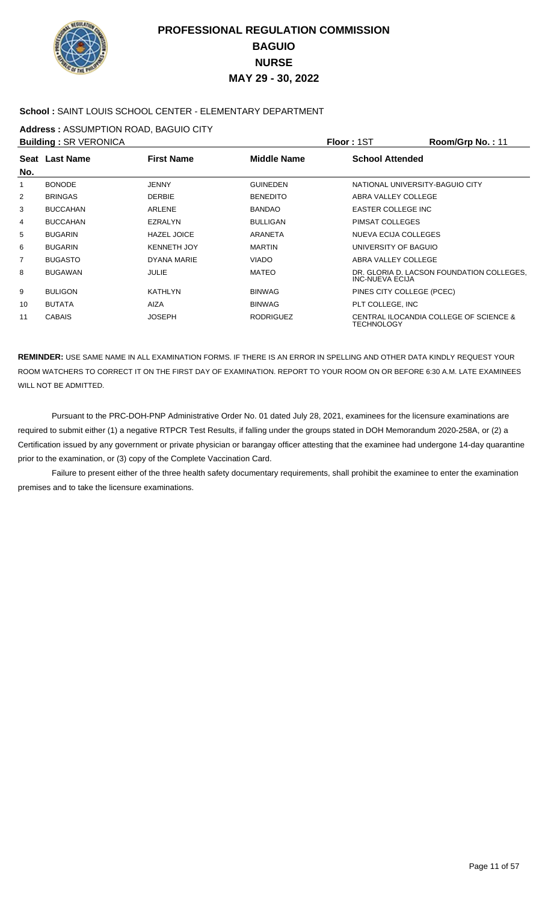

### **School :** SAINT LOUIS SCHOOL CENTER - ELEMENTARY DEPARTMENT

**Address :** ASSUMPTION ROAD, BAGUIO CITY

| <b>Building: SR VERONICA</b> |                 |                    |                  | Floor: 1ST                      | Room/Grp No.: 11                          |
|------------------------------|-----------------|--------------------|------------------|---------------------------------|-------------------------------------------|
|                              | Seat Last Name  | <b>First Name</b>  | Middle Name      | <b>School Attended</b>          |                                           |
| No.                          |                 |                    |                  |                                 |                                           |
| 1                            | <b>BONODE</b>   | <b>JENNY</b>       | <b>GUINEDEN</b>  | NATIONAL UNIVERSITY-BAGUIO CITY |                                           |
| $\overline{2}$               | <b>BRINGAS</b>  | <b>DERBIE</b>      | <b>BENEDITO</b>  | ABRA VALLEY COLLEGE             |                                           |
| 3                            | <b>BUCCAHAN</b> | ARLENE             | <b>BANDAO</b>    | EASTER COLLEGE INC              |                                           |
| 4                            | <b>BUCCAHAN</b> | <b>EZRALYN</b>     | <b>BULLIGAN</b>  | PIMSAT COLLEGES                 |                                           |
| 5                            | <b>BUGARIN</b>  | <b>HAZEL JOICE</b> | <b>ARANETA</b>   | NUEVA ECIJA COLLEGES            |                                           |
| 6                            | <b>BUGARIN</b>  | <b>KENNETH JOY</b> | <b>MARTIN</b>    | UNIVERSITY OF BAGUIO            |                                           |
| 7                            | <b>BUGASTO</b>  | DYANA MARIE        | <b>VIADO</b>     | ABRA VALLEY COLLEGE             |                                           |
| 8                            | <b>BUGAWAN</b>  | JULIE              | <b>MATEO</b>     | <b>INC-NUEVA ECIJA</b>          | DR. GLORIA D. LACSON FOUNDATION COLLEGES. |
| 9                            | <b>BULIGON</b>  | <b>KATHLYN</b>     | <b>BINWAG</b>    | PINES CITY COLLEGE (PCEC)       |                                           |
| 10                           | <b>BUTATA</b>   | <b>AIZA</b>        | <b>BINWAG</b>    | PLT COLLEGE, INC                |                                           |
| 11                           | <b>CABAIS</b>   | <b>JOSEPH</b>      | <b>RODRIGUEZ</b> | TECHNOLOGY                      | CENTRAL ILOCANDIA COLLEGE OF SCIENCE &    |

**REMINDER:** USE SAME NAME IN ALL EXAMINATION FORMS. IF THERE IS AN ERROR IN SPELLING AND OTHER DATA KINDLY REQUEST YOUR ROOM WATCHERS TO CORRECT IT ON THE FIRST DAY OF EXAMINATION. REPORT TO YOUR ROOM ON OR BEFORE 6:30 A.M. LATE EXAMINEES WILL NOT BE ADMITTED.

 Pursuant to the PRC-DOH-PNP Administrative Order No. 01 dated July 28, 2021, examinees for the licensure examinations are required to submit either (1) a negative RTPCR Test Results, if falling under the groups stated in DOH Memorandum 2020-258A, or (2) a Certification issued by any government or private physician or barangay officer attesting that the examinee had undergone 14-day quarantine prior to the examination, or (3) copy of the Complete Vaccination Card.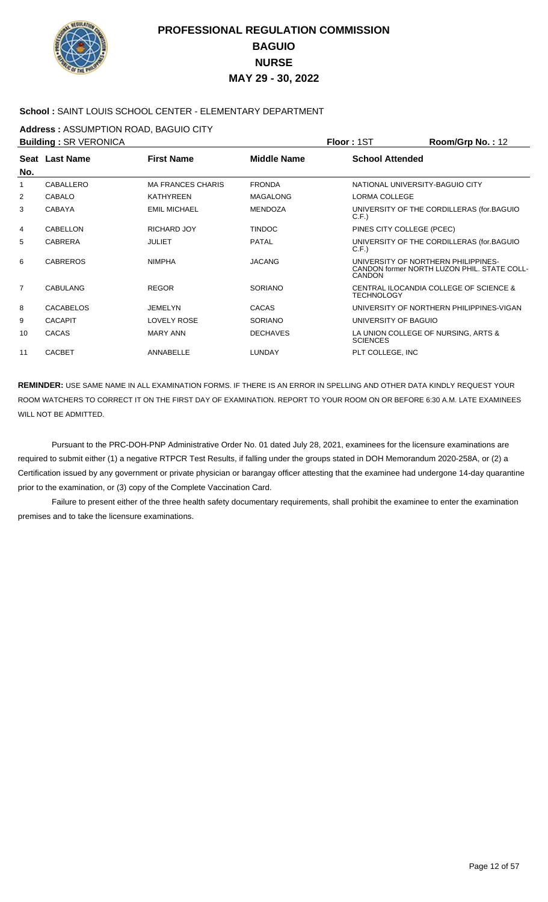

### **School :** SAINT LOUIS SCHOOL CENTER - ELEMENTARY DEPARTMENT

**Address :** ASSUMPTION ROAD, BAGUIO CITY

| <b>Building: SR VERONICA</b> |                  |                          |                    | Floor: 1ST                      | Room/Grp No.: 12                                                                   |
|------------------------------|------------------|--------------------------|--------------------|---------------------------------|------------------------------------------------------------------------------------|
|                              | Seat Last Name   | <b>First Name</b>        | <b>Middle Name</b> | <b>School Attended</b>          |                                                                                    |
| No.                          |                  |                          |                    |                                 |                                                                                    |
| 1                            | CABALLERO        | <b>MA FRANCES CHARIS</b> | <b>FRONDA</b>      | NATIONAL UNIVERSITY-BAGUIO CITY |                                                                                    |
| 2                            | <b>CABALO</b>    | <b>KATHYREEN</b>         | <b>MAGALONG</b>    | LORMA COLLEGE                   |                                                                                    |
| 3                            | <b>CABAYA</b>    | <b>EMIL MICHAEL</b>      | <b>MENDOZA</b>     | C.F.                            | UNIVERSITY OF THE CORDILLERAS (for.BAGUIO                                          |
| 4                            | CABELLON         | <b>RICHARD JOY</b>       | <b>TINDOC</b>      | PINES CITY COLLEGE (PCEC)       |                                                                                    |
| 5                            | <b>CABRERA</b>   | <b>JULIET</b>            | <b>PATAL</b>       | C.F.                            | UNIVERSITY OF THE CORDILLERAS (for.BAGUIO                                          |
| 6                            | <b>CABREROS</b>  | <b>NIMPHA</b>            | <b>JACANG</b>      | CANDON                          | UNIVERSITY OF NORTHERN PHILIPPINES-<br>CANDON former NORTH LUZON PHIL, STATE COLL- |
| $\overline{7}$               | <b>CABULANG</b>  | <b>REGOR</b>             | <b>SORIANO</b>     | <b>TECHNOLOGY</b>               | CENTRAL ILOCANDIA COLLEGE OF SCIENCE &                                             |
| 8                            | <b>CACABELOS</b> | <b>JEMELYN</b>           | <b>CACAS</b>       |                                 | UNIVERSITY OF NORTHERN PHILIPPINES-VIGAN                                           |
| 9                            | <b>CACAPIT</b>   | <b>LOVELY ROSE</b>       | <b>SORIANO</b>     | UNIVERSITY OF BAGUIO            |                                                                                    |
| 10                           | <b>CACAS</b>     | <b>MARY ANN</b>          | <b>DECHAVES</b>    | <b>SCIENCES</b>                 | LA UNION COLLEGE OF NURSING, ARTS &                                                |
| 11                           | <b>CACBET</b>    | ANNABELLE                | <b>LUNDAY</b>      | PLT COLLEGE, INC                |                                                                                    |
|                              |                  |                          |                    |                                 |                                                                                    |

**REMINDER:** USE SAME NAME IN ALL EXAMINATION FORMS. IF THERE IS AN ERROR IN SPELLING AND OTHER DATA KINDLY REQUEST YOUR ROOM WATCHERS TO CORRECT IT ON THE FIRST DAY OF EXAMINATION. REPORT TO YOUR ROOM ON OR BEFORE 6:30 A.M. LATE EXAMINEES WILL NOT BE ADMITTED.

 Pursuant to the PRC-DOH-PNP Administrative Order No. 01 dated July 28, 2021, examinees for the licensure examinations are required to submit either (1) a negative RTPCR Test Results, if falling under the groups stated in DOH Memorandum 2020-258A, or (2) a Certification issued by any government or private physician or barangay officer attesting that the examinee had undergone 14-day quarantine prior to the examination, or (3) copy of the Complete Vaccination Card.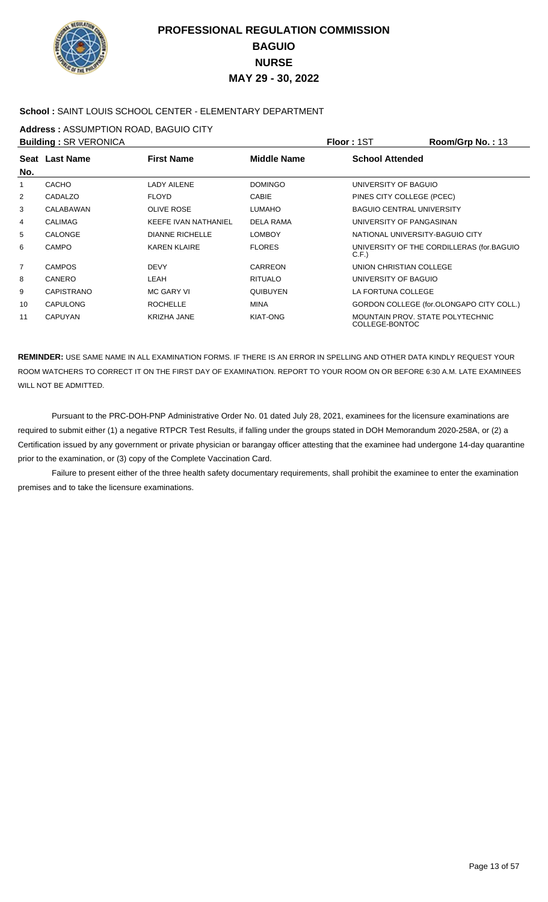

### **School :** SAINT LOUIS SCHOOL CENTER - ELEMENTARY DEPARTMENT

**Address :** ASSUMPTION ROAD, BAGUIO CITY

|                | <b>Building: SR VERONICA</b> |                        |                    | Floor: 1ST                                         | Room/Grp No.: 13                          |
|----------------|------------------------------|------------------------|--------------------|----------------------------------------------------|-------------------------------------------|
| No.            | Seat Last Name               | <b>First Name</b>      | <b>Middle Name</b> | <b>School Attended</b>                             |                                           |
| $\mathbf{1}$   | <b>CACHO</b>                 | <b>LADY AILENE</b>     | <b>DOMINGO</b>     | UNIVERSITY OF BAGUIO                               |                                           |
| $\overline{2}$ | CADALZO                      | <b>FLOYD</b>           | <b>CABIE</b>       | PINES CITY COLLEGE (PCEC)                          |                                           |
| 3              | CALABAWAN                    | <b>OLIVE ROSE</b>      | <b>LUMAHO</b>      | <b>BAGUIO CENTRAL UNIVERSITY</b>                   |                                           |
| 4              | <b>CALIMAG</b>               | KEEFE IVAN NATHANIEL   | DELA RAMA          | UNIVERSITY OF PANGASINAN                           |                                           |
| 5              | <b>CALONGE</b>               | <b>DIANNE RICHELLE</b> | <b>LOMBOY</b>      | NATIONAL UNIVERSITY-BAGUIO CITY                    |                                           |
| 6              | <b>CAMPO</b>                 | <b>KAREN KLAIRE</b>    | <b>FLORES</b>      | C.F.                                               | UNIVERSITY OF THE CORDILLERAS (for.BAGUIO |
| $\overline{7}$ | <b>CAMPOS</b>                | <b>DEVY</b>            | CARREON            | UNION CHRISTIAN COLLEGE                            |                                           |
| 8              | <b>CANERO</b>                | LEAH                   | <b>RITUALO</b>     | UNIVERSITY OF BAGUIO                               |                                           |
| 9              | <b>CAPISTRANO</b>            | <b>MC GARY VI</b>      | <b>OUIBUYEN</b>    | LA FORTUNA COLLEGE                                 |                                           |
| 10             | <b>CAPULONG</b>              | <b>ROCHELLE</b>        | <b>MINA</b>        |                                                    | GORDON COLLEGE (for.OLONGAPO CITY COLL.)  |
| 11             | <b>CAPUYAN</b>               | <b>KRIZHA JANE</b>     | <b>KIAT-ONG</b>    | MOUNTAIN PROV. STATE POLYTECHNIC<br>COLLEGE-BONTOC |                                           |

**REMINDER:** USE SAME NAME IN ALL EXAMINATION FORMS. IF THERE IS AN ERROR IN SPELLING AND OTHER DATA KINDLY REQUEST YOUR ROOM WATCHERS TO CORRECT IT ON THE FIRST DAY OF EXAMINATION. REPORT TO YOUR ROOM ON OR BEFORE 6:30 A.M. LATE EXAMINEES WILL NOT BE ADMITTED.

 Pursuant to the PRC-DOH-PNP Administrative Order No. 01 dated July 28, 2021, examinees for the licensure examinations are required to submit either (1) a negative RTPCR Test Results, if falling under the groups stated in DOH Memorandum 2020-258A, or (2) a Certification issued by any government or private physician or barangay officer attesting that the examinee had undergone 14-day quarantine prior to the examination, or (3) copy of the Complete Vaccination Card.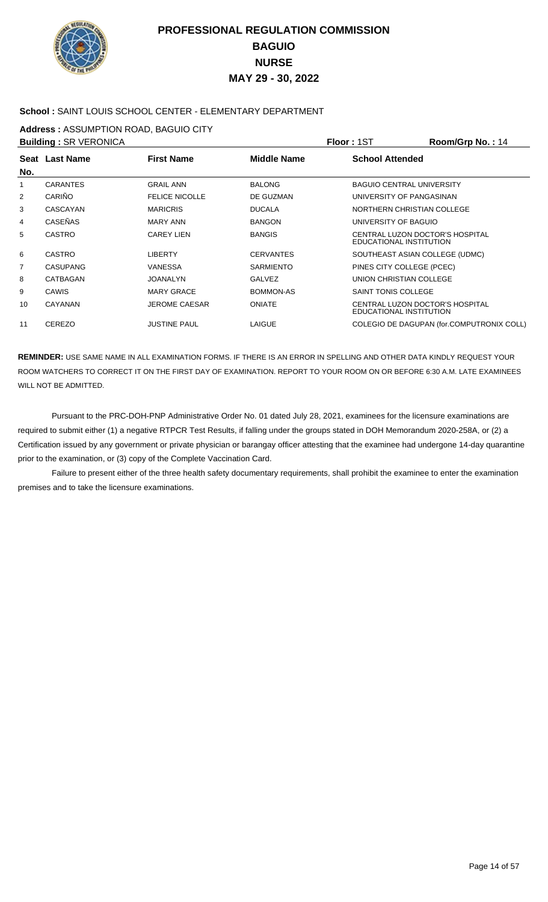

### **School :** SAINT LOUIS SCHOOL CENTER - ELEMENTARY DEPARTMENT

**Address :** ASSUMPTION ROAD, BAGUIO CITY

|                | <b>Building: SR VERONICA</b> |                       |                  | Floor: 1ST                                                 | Room/Grp No.: 14                          |
|----------------|------------------------------|-----------------------|------------------|------------------------------------------------------------|-------------------------------------------|
| No.            | Seat Last Name               | <b>First Name</b>     | Middle Name      | <b>School Attended</b>                                     |                                           |
| 1              | <b>CARANTES</b>              | <b>GRAIL ANN</b>      | <b>BALONG</b>    | <b>BAGUIO CENTRAL UNIVERSITY</b>                           |                                           |
| 2              | CARIÑO                       | <b>FELICE NICOLLE</b> | DE GUZMAN        | UNIVERSITY OF PANGASINAN                                   |                                           |
| 3              | CASCAYAN                     | <b>MARICRIS</b>       | <b>DUCALA</b>    | NORTHERN CHRISTIAN COLLEGE                                 |                                           |
| 4              | <b>CASEÑAS</b>               | <b>MARY ANN</b>       | <b>BANGON</b>    | UNIVERSITY OF BAGUIO                                       |                                           |
| 5              | <b>CASTRO</b>                | <b>CAREY LIEN</b>     | <b>BANGIS</b>    | CENTRAL LUZON DOCTOR'S HOSPITAL<br>EDUCATIONAL INSTITUTION |                                           |
| 6              | CASTRO                       | <b>LIBERTY</b>        | <b>CERVANTES</b> | SOUTHEAST ASIAN COLLEGE (UDMC)                             |                                           |
| $\overline{7}$ | <b>CASUPANG</b>              | <b>VANESSA</b>        | <b>SARMIENTO</b> | PINES CITY COLLEGE (PCEC)                                  |                                           |
| 8              | CATBAGAN                     | <b>JOANALYN</b>       | <b>GALVEZ</b>    | UNION CHRISTIAN COLLEGE                                    |                                           |
| 9              | <b>CAWIS</b>                 | <b>MARY GRACE</b>     | BOMMON-AS        | SAINT TONIS COLLEGE                                        |                                           |
| 10             | CAYANAN                      | <b>JEROME CAESAR</b>  | <b>ONIATE</b>    | CENTRAL LUZON DOCTOR'S HOSPITAL<br>EDUCATIONAL INSTITUTION |                                           |
| 11             | <b>CEREZO</b>                | <b>JUSTINE PAUL</b>   | <b>LAIGUE</b>    |                                                            | COLEGIO DE DAGUPAN (for.COMPUTRONIX COLL) |

**REMINDER:** USE SAME NAME IN ALL EXAMINATION FORMS. IF THERE IS AN ERROR IN SPELLING AND OTHER DATA KINDLY REQUEST YOUR ROOM WATCHERS TO CORRECT IT ON THE FIRST DAY OF EXAMINATION. REPORT TO YOUR ROOM ON OR BEFORE 6:30 A.M. LATE EXAMINEES WILL NOT BE ADMITTED.

 Pursuant to the PRC-DOH-PNP Administrative Order No. 01 dated July 28, 2021, examinees for the licensure examinations are required to submit either (1) a negative RTPCR Test Results, if falling under the groups stated in DOH Memorandum 2020-258A, or (2) a Certification issued by any government or private physician or barangay officer attesting that the examinee had undergone 14-day quarantine prior to the examination, or (3) copy of the Complete Vaccination Card.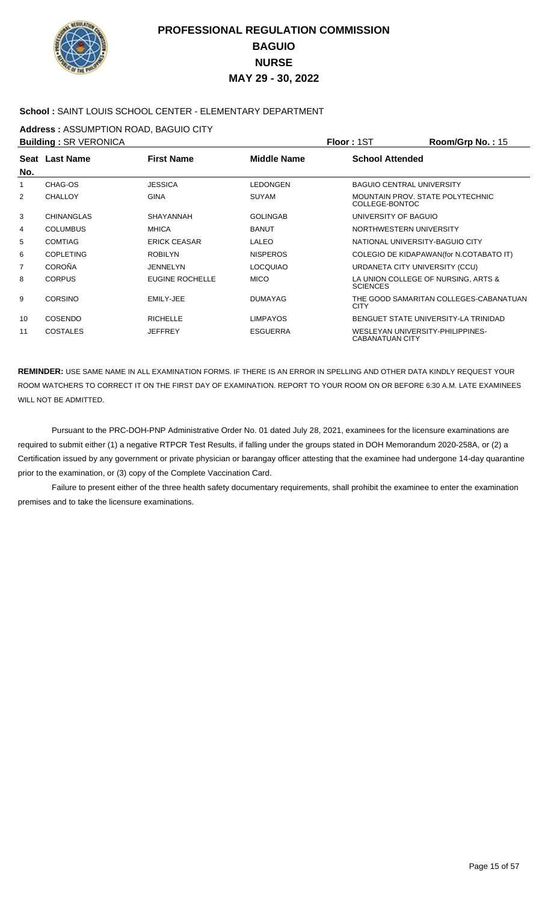

### **School :** SAINT LOUIS SCHOOL CENTER - ELEMENTARY DEPARTMENT

**Address :** ASSUMPTION ROAD, BAGUIO CITY

|                | <b>Building: SR VERONICA</b> |                        |                 | Floor: 1ST                                                 | Room/Grp No.: 15                        |
|----------------|------------------------------|------------------------|-----------------|------------------------------------------------------------|-----------------------------------------|
| No.            | Seat Last Name               | <b>First Name</b>      | Middle Name     | <b>School Attended</b>                                     |                                         |
| 1              | CHAG-OS                      | <b>JESSICA</b>         | <b>LEDONGEN</b> | <b>BAGUIO CENTRAL UNIVERSITY</b>                           |                                         |
| $\overline{2}$ | <b>CHALLOY</b>               | <b>GINA</b>            | <b>SUYAM</b>    | COLLEGE-BONTOC                                             | MOUNTAIN PROV. STATE POLYTECHNIC        |
| 3              | <b>CHINANGLAS</b>            | <b>SHAYANNAH</b>       | <b>GOLINGAB</b> | UNIVERSITY OF BAGUIO                                       |                                         |
| 4              | <b>COLUMBUS</b>              | <b>MHICA</b>           | <b>BANUT</b>    | NORTHWESTERN UNIVERSITY                                    |                                         |
| 5              | <b>COMTIAG</b>               | <b>ERICK CEASAR</b>    | <b>LALEO</b>    | NATIONAL UNIVERSITY-BAGUIO CITY                            |                                         |
| 6              | <b>COPLETING</b>             | <b>ROBILYN</b>         | <b>NISPEROS</b> |                                                            | COLEGIO DE KIDAPAWAN(for N.COTABATO IT) |
| 7              | <b>COROÑA</b>                | JENNELYN               | <b>LOCQUIAO</b> | URDANETA CITY UNIVERSITY (CCU)                             |                                         |
| 8              | <b>CORPUS</b>                | <b>EUGINE ROCHELLE</b> | <b>MICO</b>     | <b>SCIENCES</b>                                            | LA UNION COLLEGE OF NURSING, ARTS &     |
| 9              | <b>CORSINO</b>               | EMILY-JEE              | <b>DUMAYAG</b>  | <b>CITY</b>                                                | THE GOOD SAMARITAN COLLEGES-CABANATUAN  |
| 10             | <b>COSENDO</b>               | <b>RICHELLE</b>        | <b>LIMPAYOS</b> |                                                            | BENGUET STATE UNIVERSITY-LA TRINIDAD    |
| 11             | <b>COSTALES</b>              | <b>JEFFREY</b>         | <b>ESGUERRA</b> | WESLEYAN UNIVERSITY-PHILIPPINES-<br><b>CABANATUAN CITY</b> |                                         |

**REMINDER:** USE SAME NAME IN ALL EXAMINATION FORMS. IF THERE IS AN ERROR IN SPELLING AND OTHER DATA KINDLY REQUEST YOUR ROOM WATCHERS TO CORRECT IT ON THE FIRST DAY OF EXAMINATION. REPORT TO YOUR ROOM ON OR BEFORE 6:30 A.M. LATE EXAMINEES WILL NOT BE ADMITTED.

 Pursuant to the PRC-DOH-PNP Administrative Order No. 01 dated July 28, 2021, examinees for the licensure examinations are required to submit either (1) a negative RTPCR Test Results, if falling under the groups stated in DOH Memorandum 2020-258A, or (2) a Certification issued by any government or private physician or barangay officer attesting that the examinee had undergone 14-day quarantine prior to the examination, or (3) copy of the Complete Vaccination Card.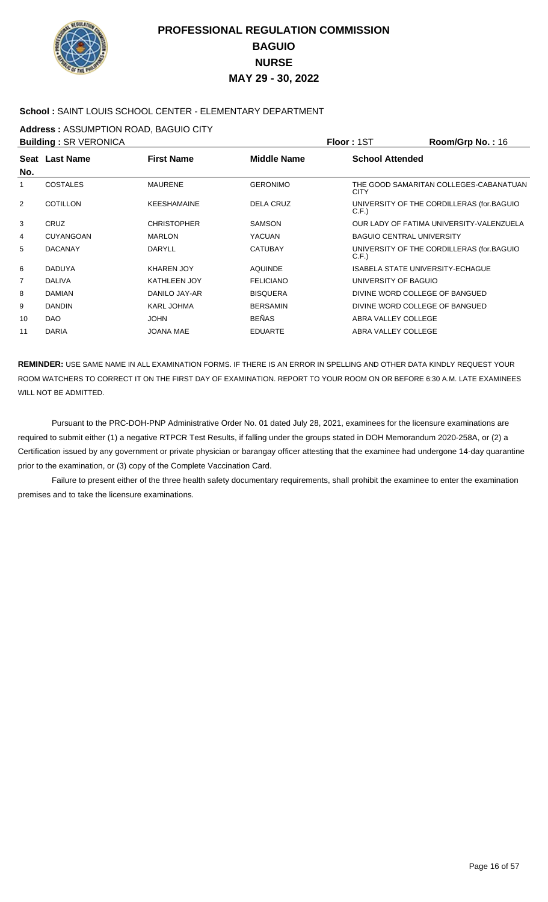

### **School :** SAINT LOUIS SCHOOL CENTER - ELEMENTARY DEPARTMENT

**Address :** ASSUMPTION ROAD, BAGUIO CITY

|     | <b>Building: SR VERONICA</b> |                     |                    | Floor: 1ST                              | Room/Grp No.: 16                          |
|-----|------------------------------|---------------------|--------------------|-----------------------------------------|-------------------------------------------|
|     | Seat Last Name               | <b>First Name</b>   | <b>Middle Name</b> | <b>School Attended</b>                  |                                           |
| No. |                              |                     |                    |                                         |                                           |
| 1   | <b>COSTALES</b>              | <b>MAURENE</b>      | <b>GERONIMO</b>    | <b>CITY</b>                             | THE GOOD SAMARITAN COLLEGES-CABANATUAN    |
| 2   | <b>COTILLON</b>              | <b>KEESHAMAINE</b>  | <b>DELA CRUZ</b>   | C.F.                                    | UNIVERSITY OF THE CORDILLERAS (for.BAGUIO |
| 3   | <b>CRUZ</b>                  | <b>CHRISTOPHER</b>  | <b>SAMSON</b>      |                                         | OUR LADY OF FATIMA UNIVERSITY-VALENZUELA  |
| 4   | <b>CUYANGOAN</b>             | <b>MARLON</b>       | <b>YACUAN</b>      | <b>BAGUIO CENTRAL UNIVERSITY</b>        |                                           |
| 5   | <b>DACANAY</b>               | <b>DARYLL</b>       | <b>CATUBAY</b>     | C.F.                                    | UNIVERSITY OF THE CORDILLERAS (for.BAGUIO |
| 6   | <b>DADUYA</b>                | <b>KHAREN JOY</b>   | <b>AOUINDE</b>     | <b>ISABELA STATE UNIVERSITY-ECHAGUE</b> |                                           |
| 7   | <b>DALIVA</b>                | <b>KATHLEEN JOY</b> | <b>FELICIANO</b>   | UNIVERSITY OF BAGUIO                    |                                           |
| 8   | <b>DAMIAN</b>                | DANILO JAY-AR       | <b>BISQUERA</b>    | DIVINE WORD COLLEGE OF BANGUED          |                                           |
| 9   | <b>DANDIN</b>                | <b>KARL JOHMA</b>   | <b>BERSAMIN</b>    | DIVINE WORD COLLEGE OF BANGUED          |                                           |
| 10  | <b>DAO</b>                   | <b>JOHN</b>         | <b>BEÑAS</b>       | ABRA VALLEY COLLEGE                     |                                           |
| 11  | <b>DARIA</b>                 | <b>JOANA MAE</b>    | <b>EDUARTE</b>     | ABRA VALLEY COLLEGE                     |                                           |

**REMINDER:** USE SAME NAME IN ALL EXAMINATION FORMS. IF THERE IS AN ERROR IN SPELLING AND OTHER DATA KINDLY REQUEST YOUR ROOM WATCHERS TO CORRECT IT ON THE FIRST DAY OF EXAMINATION. REPORT TO YOUR ROOM ON OR BEFORE 6:30 A.M. LATE EXAMINEES WILL NOT BE ADMITTED.

 Pursuant to the PRC-DOH-PNP Administrative Order No. 01 dated July 28, 2021, examinees for the licensure examinations are required to submit either (1) a negative RTPCR Test Results, if falling under the groups stated in DOH Memorandum 2020-258A, or (2) a Certification issued by any government or private physician or barangay officer attesting that the examinee had undergone 14-day quarantine prior to the examination, or (3) copy of the Complete Vaccination Card.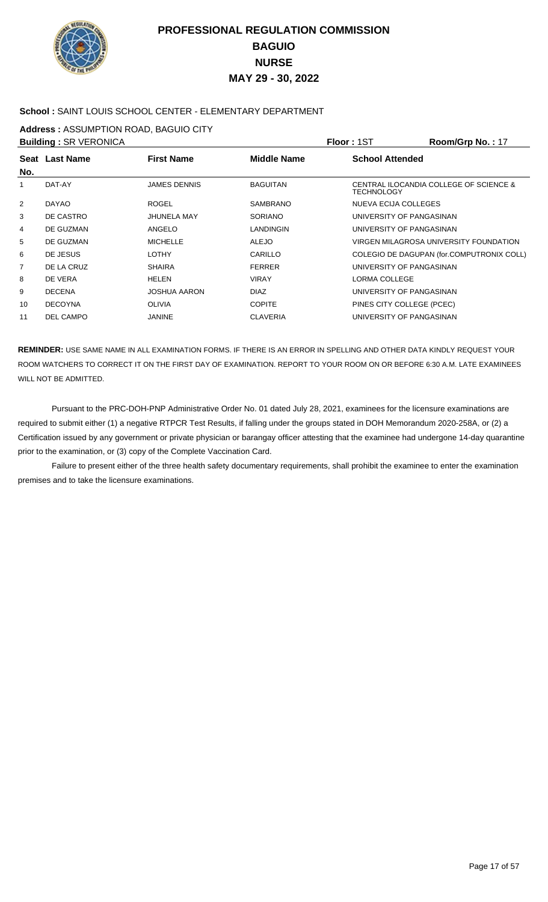

### **School :** SAINT LOUIS SCHOOL CENTER - ELEMENTARY DEPARTMENT

**Address :** ASSUMPTION ROAD, BAGUIO CITY

| CENTRAL ILOCANDIA COLLEGE OF SCIENCE &    |
|-------------------------------------------|
|                                           |
|                                           |
|                                           |
| VIRGEN MILAGROSA UNIVERSITY FOUNDATION    |
| COLEGIO DE DAGUPAN (for.COMPUTRONIX COLL) |
|                                           |
|                                           |
|                                           |
|                                           |
|                                           |
|                                           |

**REMINDER:** USE SAME NAME IN ALL EXAMINATION FORMS. IF THERE IS AN ERROR IN SPELLING AND OTHER DATA KINDLY REQUEST YOUR ROOM WATCHERS TO CORRECT IT ON THE FIRST DAY OF EXAMINATION. REPORT TO YOUR ROOM ON OR BEFORE 6:30 A.M. LATE EXAMINEES WILL NOT BE ADMITTED.

 Pursuant to the PRC-DOH-PNP Administrative Order No. 01 dated July 28, 2021, examinees for the licensure examinations are required to submit either (1) a negative RTPCR Test Results, if falling under the groups stated in DOH Memorandum 2020-258A, or (2) a Certification issued by any government or private physician or barangay officer attesting that the examinee had undergone 14-day quarantine prior to the examination, or (3) copy of the Complete Vaccination Card.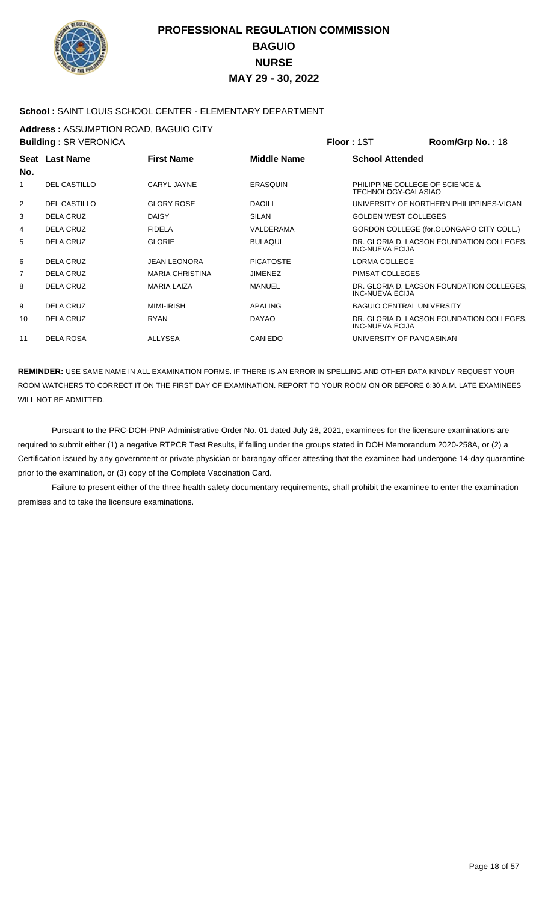

### **School :** SAINT LOUIS SCHOOL CENTER - ELEMENTARY DEPARTMENT

**Address :** ASSUMPTION ROAD, BAGUIO CITY

|                | <b>Building: SR VERONICA</b> |                        |                    | Floor: 1ST                                             | Room/Grp No.: 18                          |
|----------------|------------------------------|------------------------|--------------------|--------------------------------------------------------|-------------------------------------------|
| No.            | Seat Last Name               | <b>First Name</b>      | <b>Middle Name</b> | <b>School Attended</b>                                 |                                           |
| 1              | <b>DEL CASTILLO</b>          | CARYL JAYNE            | <b>ERASOUIN</b>    | PHILIPPINE COLLEGE OF SCIENCE &<br>TECHNOLOGY-CALASIAO |                                           |
| $\overline{2}$ | <b>DEL CASTILLO</b>          | <b>GLORY ROSE</b>      | <b>DAOILI</b>      |                                                        | UNIVERSITY OF NORTHERN PHILIPPINES-VIGAN  |
| 3              | <b>DELA CRUZ</b>             | <b>DAISY</b>           | <b>SILAN</b>       | <b>GOLDEN WEST COLLEGES</b>                            |                                           |
| 4              | <b>DELA CRUZ</b>             | <b>FIDELA</b>          | VALDERAMA          |                                                        | GORDON COLLEGE (for.OLONGAPO CITY COLL.)  |
| 5              | <b>DELA CRUZ</b>             | <b>GLORIE</b>          | <b>BULAOUI</b>     | <b>INC-NUEVA ECIJA</b>                                 | DR. GLORIA D. LACSON FOUNDATION COLLEGES, |
| 6              | <b>DELA CRUZ</b>             | <b>JEAN LEONORA</b>    | <b>PICATOSTE</b>   | <b>LORMA COLLEGE</b>                                   |                                           |
| 7              | <b>DELA CRUZ</b>             | <b>MARIA CHRISTINA</b> | <b>JIMENEZ</b>     | PIMSAT COLLEGES                                        |                                           |
| 8              | <b>DELA CRUZ</b>             | <b>MARIA LAIZA</b>     | <b>MANUEL</b>      | INC-NUEVA ECIJA                                        | DR. GLORIA D. LACSON FOUNDATION COLLEGES. |
| 9              | <b>DELA CRUZ</b>             | <b>MIMI-IRISH</b>      | <b>APALING</b>     | <b>BAGUIO CENTRAL UNIVERSITY</b>                       |                                           |
| 10             | <b>DELA CRUZ</b>             | <b>RYAN</b>            | <b>DAYAO</b>       | INC-NUEVA ECIJA                                        | DR. GLORIA D. LACSON FOUNDATION COLLEGES, |
| 11             | <b>DELA ROSA</b>             | <b>ALLYSSA</b>         | <b>CANIEDO</b>     | UNIVERSITY OF PANGASINAN                               |                                           |
|                |                              |                        |                    |                                                        |                                           |

**REMINDER:** USE SAME NAME IN ALL EXAMINATION FORMS. IF THERE IS AN ERROR IN SPELLING AND OTHER DATA KINDLY REQUEST YOUR ROOM WATCHERS TO CORRECT IT ON THE FIRST DAY OF EXAMINATION. REPORT TO YOUR ROOM ON OR BEFORE 6:30 A.M. LATE EXAMINEES WILL NOT BE ADMITTED.

 Pursuant to the PRC-DOH-PNP Administrative Order No. 01 dated July 28, 2021, examinees for the licensure examinations are required to submit either (1) a negative RTPCR Test Results, if falling under the groups stated in DOH Memorandum 2020-258A, or (2) a Certification issued by any government or private physician or barangay officer attesting that the examinee had undergone 14-day quarantine prior to the examination, or (3) copy of the Complete Vaccination Card.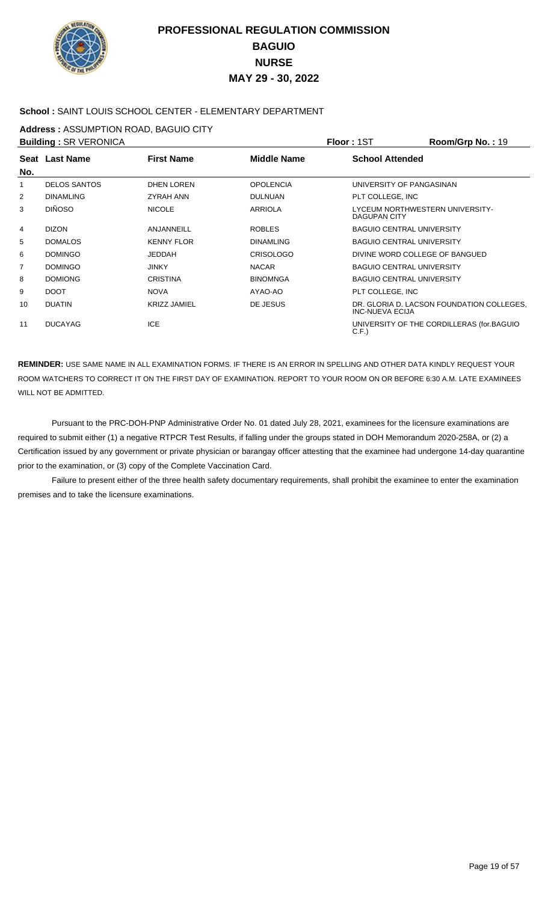

### **School :** SAINT LOUIS SCHOOL CENTER - ELEMENTARY DEPARTMENT

**Address :** ASSUMPTION ROAD, BAGUIO CITY

|                | <b>Building: SR VERONICA</b> |                     |                  | Floor: 1ST                                             | Room/Grp No.: 19                          |
|----------------|------------------------------|---------------------|------------------|--------------------------------------------------------|-------------------------------------------|
|                | Seat Last Name               | <b>First Name</b>   | Middle Name      | <b>School Attended</b>                                 |                                           |
| No.            |                              |                     |                  |                                                        |                                           |
| 1              | <b>DELOS SANTOS</b>          | <b>DHEN LOREN</b>   | <b>OPOLENCIA</b> | UNIVERSITY OF PANGASINAN                               |                                           |
| 2              | <b>DINAMLING</b>             | <b>ZYRAH ANN</b>    | <b>DULNUAN</b>   | PLT COLLEGE, INC                                       |                                           |
| 3              | <b>DIÑOSO</b>                | <b>NICOLE</b>       | <b>ARRIOLA</b>   | LYCEUM NORTHWESTERN UNIVERSITY-<br><b>DAGUPAN CITY</b> |                                           |
| 4              | <b>DIZON</b>                 | <b>ANJANNEILL</b>   | <b>ROBLES</b>    | <b>BAGUIO CENTRAL UNIVERSITY</b>                       |                                           |
| 5              | <b>DOMALOS</b>               | <b>KENNY FLOR</b>   | <b>DINAMLING</b> | <b>BAGUIO CENTRAL UNIVERSITY</b>                       |                                           |
| 6              | <b>DOMINGO</b>               | <b>JEDDAH</b>       | <b>CRISOLOGO</b> | DIVINE WORD COLLEGE OF BANGUED                         |                                           |
| $\overline{7}$ | <b>DOMINGO</b>               | <b>JINKY</b>        | <b>NACAR</b>     | <b>BAGUIO CENTRAL UNIVERSITY</b>                       |                                           |
| 8              | <b>DOMIONG</b>               | <b>CRISTINA</b>     | <b>BINOMNGA</b>  | <b>BAGUIO CENTRAL UNIVERSITY</b>                       |                                           |
| 9              | <b>DOOT</b>                  | <b>NOVA</b>         | AYAO-AO          | PLT COLLEGE, INC                                       |                                           |
| 10             | <b>DUATIN</b>                | <b>KRIZZ JAMIEL</b> | DE JESUS         | INC-NUEVA ECIJA                                        | DR. GLORIA D. LACSON FOUNDATION COLLEGES. |
| 11             | <b>DUCAYAG</b>               | <b>ICE</b>          |                  | C.F.                                                   | UNIVERSITY OF THE CORDILLERAS (for.BAGUIO |

**REMINDER:** USE SAME NAME IN ALL EXAMINATION FORMS. IF THERE IS AN ERROR IN SPELLING AND OTHER DATA KINDLY REQUEST YOUR ROOM WATCHERS TO CORRECT IT ON THE FIRST DAY OF EXAMINATION. REPORT TO YOUR ROOM ON OR BEFORE 6:30 A.M. LATE EXAMINEES WILL NOT BE ADMITTED.

 Pursuant to the PRC-DOH-PNP Administrative Order No. 01 dated July 28, 2021, examinees for the licensure examinations are required to submit either (1) a negative RTPCR Test Results, if falling under the groups stated in DOH Memorandum 2020-258A, or (2) a Certification issued by any government or private physician or barangay officer attesting that the examinee had undergone 14-day quarantine prior to the examination, or (3) copy of the Complete Vaccination Card.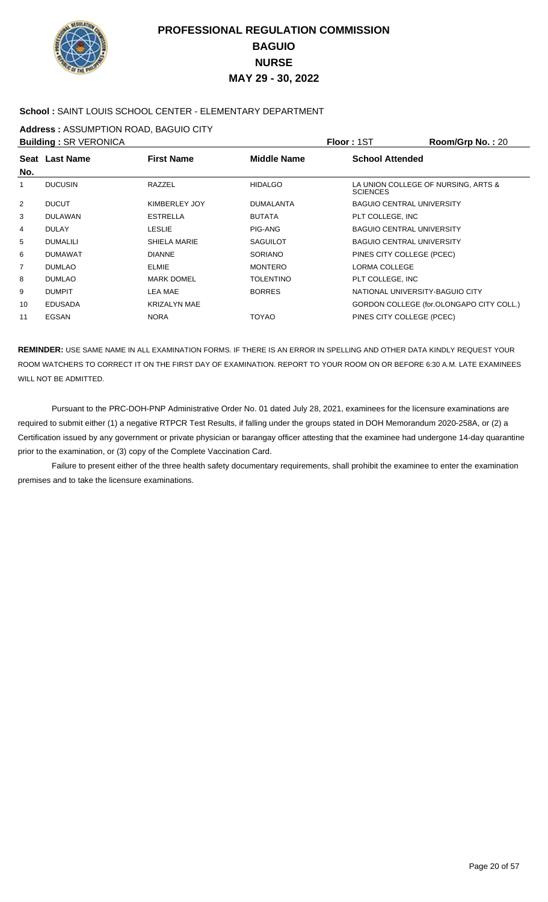

### **School :** SAINT LOUIS SCHOOL CENTER - ELEMENTARY DEPARTMENT

**Address :** ASSUMPTION ROAD, BAGUIO CITY

| Room/Grp No.: 20                         |
|------------------------------------------|
|                                          |
| LA UNION COLLEGE OF NURSING, ARTS &      |
|                                          |
|                                          |
|                                          |
|                                          |
|                                          |
|                                          |
|                                          |
|                                          |
| GORDON COLLEGE (for.OLONGAPO CITY COLL.) |
|                                          |
|                                          |

**REMINDER:** USE SAME NAME IN ALL EXAMINATION FORMS. IF THERE IS AN ERROR IN SPELLING AND OTHER DATA KINDLY REQUEST YOUR ROOM WATCHERS TO CORRECT IT ON THE FIRST DAY OF EXAMINATION. REPORT TO YOUR ROOM ON OR BEFORE 6:30 A.M. LATE EXAMINEES WILL NOT BE ADMITTED.

 Pursuant to the PRC-DOH-PNP Administrative Order No. 01 dated July 28, 2021, examinees for the licensure examinations are required to submit either (1) a negative RTPCR Test Results, if falling under the groups stated in DOH Memorandum 2020-258A, or (2) a Certification issued by any government or private physician or barangay officer attesting that the examinee had undergone 14-day quarantine prior to the examination, or (3) copy of the Complete Vaccination Card.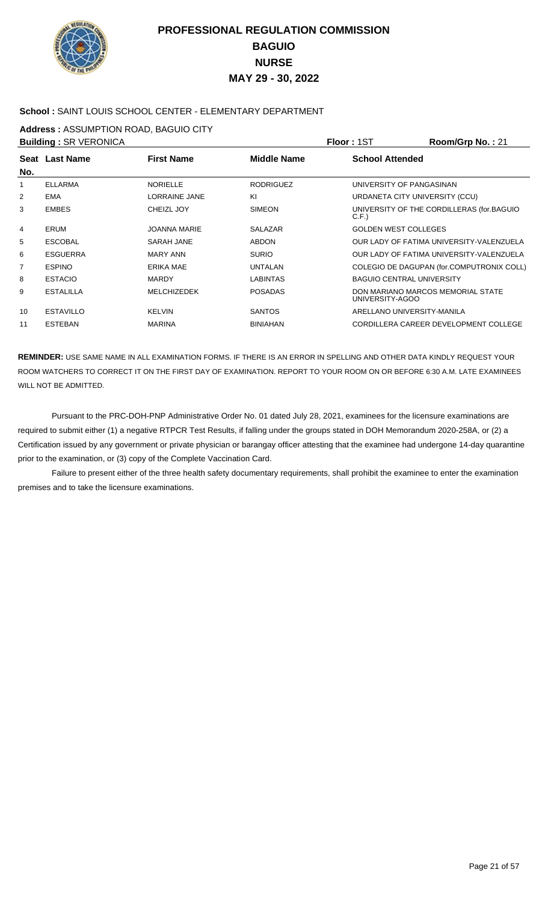

### **School :** SAINT LOUIS SCHOOL CENTER - ELEMENTARY DEPARTMENT

**Address :** ASSUMPTION ROAD, BAGUIO CITY

|                | <b>Building: SR VERONICA</b> |                      |                  | Floor: 1ST                       | Room/Grp No.: 21                          |
|----------------|------------------------------|----------------------|------------------|----------------------------------|-------------------------------------------|
| No.            | Seat Last Name               | <b>First Name</b>    | Middle Name      | <b>School Attended</b>           |                                           |
| 1              | <b>ELLARMA</b>               | <b>NORIELLE</b>      | <b>RODRIGUEZ</b> | UNIVERSITY OF PANGASINAN         |                                           |
| 2              | <b>EMA</b>                   | <b>LORRAINE JANE</b> | KI               | URDANETA CITY UNIVERSITY (CCU)   |                                           |
| 3              | <b>EMBES</b>                 | <b>CHEIZL JOY</b>    | <b>SIMEON</b>    | C.F.                             | UNIVERSITY OF THE CORDILLERAS (for.BAGUIO |
| 4              | <b>ERUM</b>                  | <b>JOANNA MARIE</b>  | <b>SALAZAR</b>   | <b>GOLDEN WEST COLLEGES</b>      |                                           |
| 5              | <b>ESCOBAL</b>               | SARAH JANE           | <b>ABDON</b>     |                                  | OUR LADY OF FATIMA UNIVERSITY-VALENZUELA  |
| 6              | <b>ESGUERRA</b>              | <b>MARY ANN</b>      | <b>SURIO</b>     |                                  | OUR LADY OF FATIMA UNIVERSITY-VALENZUELA  |
| $\overline{7}$ | <b>ESPINO</b>                | <b>ERIKA MAE</b>     | <b>UNTALAN</b>   |                                  | COLEGIO DE DAGUPAN (for.COMPUTRONIX COLL) |
| 8              | <b>ESTACIO</b>               | <b>MARDY</b>         | <b>LABINTAS</b>  | <b>BAGUIO CENTRAL UNIVERSITY</b> |                                           |
| 9              | <b>ESTALILLA</b>             | <b>MELCHIZEDEK</b>   | <b>POSADAS</b>   | UNIVERSITY-AGOO                  | DON MARIANO MARCOS MEMORIAL STATE         |
| 10             | <b>ESTAVILLO</b>             | <b>KELVIN</b>        | <b>SANTOS</b>    | ARELLANO UNIVERSITY-MANILA       |                                           |
| 11             | <b>ESTEBAN</b>               | <b>MARINA</b>        | <b>BINIAHAN</b>  |                                  | CORDILLERA CAREER DEVELOPMENT COLLEGE     |

**REMINDER:** USE SAME NAME IN ALL EXAMINATION FORMS. IF THERE IS AN ERROR IN SPELLING AND OTHER DATA KINDLY REQUEST YOUR ROOM WATCHERS TO CORRECT IT ON THE FIRST DAY OF EXAMINATION. REPORT TO YOUR ROOM ON OR BEFORE 6:30 A.M. LATE EXAMINEES WILL NOT BE ADMITTED.

 Pursuant to the PRC-DOH-PNP Administrative Order No. 01 dated July 28, 2021, examinees for the licensure examinations are required to submit either (1) a negative RTPCR Test Results, if falling under the groups stated in DOH Memorandum 2020-258A, or (2) a Certification issued by any government or private physician or barangay officer attesting that the examinee had undergone 14-day quarantine prior to the examination, or (3) copy of the Complete Vaccination Card.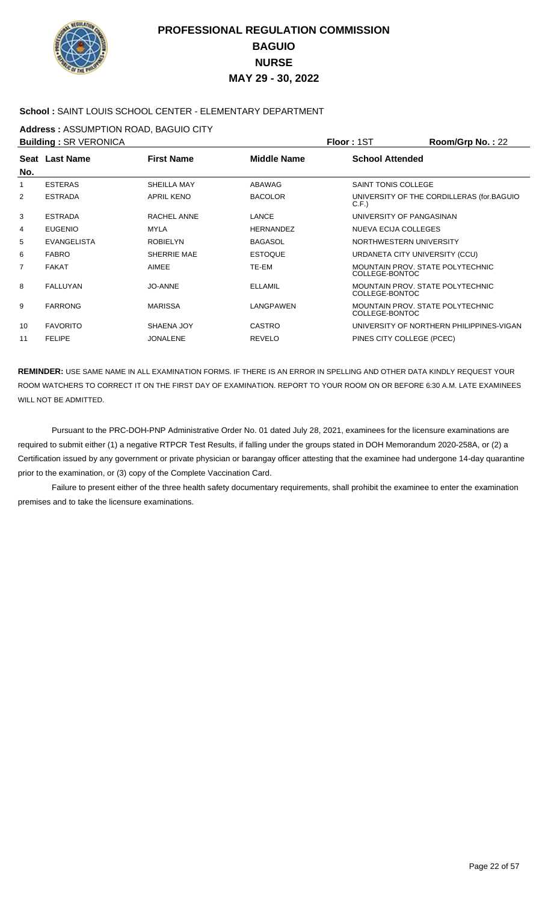

### **School :** SAINT LOUIS SCHOOL CENTER - ELEMENTARY DEPARTMENT

**Address :** ASSUMPTION ROAD, BAGUIO CITY

| <b>Building: SR VERONICA</b> |                    |                    |                    | Floor: 1ST                                         | Room/Grp No.: 22                          |
|------------------------------|--------------------|--------------------|--------------------|----------------------------------------------------|-------------------------------------------|
|                              | Seat Last Name     | <b>First Name</b>  | <b>Middle Name</b> | <b>School Attended</b>                             |                                           |
| No.                          |                    |                    |                    |                                                    |                                           |
| 1                            | <b>ESTERAS</b>     | <b>SHEILLA MAY</b> | <b>ABAWAG</b>      | SAINT TONIS COLLEGE                                |                                           |
| 2                            | <b>ESTRADA</b>     | <b>APRIL KENO</b>  | <b>BACOLOR</b>     | C.F.                                               | UNIVERSITY OF THE CORDILLERAS (for.BAGUIO |
| 3                            | <b>ESTRADA</b>     | RACHEL ANNE        | LANCE              | UNIVERSITY OF PANGASINAN                           |                                           |
| 4                            | <b>EUGENIO</b>     | <b>MYLA</b>        | <b>HERNANDEZ</b>   | <b>NUEVA ECIJA COLLEGES</b>                        |                                           |
| 5                            | <b>EVANGELISTA</b> | <b>ROBIELYN</b>    | <b>BAGASOL</b>     | NORTHWESTERN UNIVERSITY                            |                                           |
| 6                            | <b>FABRO</b>       | SHERRIE MAE        | <b>ESTOQUE</b>     | URDANETA CITY UNIVERSITY (CCU)                     |                                           |
| 7                            | <b>FAKAT</b>       | AIMEE              | TE-EM              | MOUNTAIN PROV. STATE POLYTECHNIC<br>COLLEGE-BONTOC |                                           |
| 8                            | <b>FALLUYAN</b>    | JO-ANNE            | <b>ELLAMIL</b>     | MOUNTAIN PROV. STATE POLYTECHNIC<br>COLLEGE-BONTOC |                                           |
| 9                            | <b>FARRONG</b>     | <b>MARISSA</b>     | LANGPAWEN          | MOUNTAIN PROV. STATE POLYTECHNIC<br>COLLEGE-BONTOC |                                           |
| 10                           | <b>FAVORITO</b>    | SHAENA JOY         | <b>CASTRO</b>      |                                                    | UNIVERSITY OF NORTHERN PHILIPPINES-VIGAN  |
| 11                           | <b>FELIPE</b>      | <b>JONALENE</b>    | <b>REVELO</b>      | PINES CITY COLLEGE (PCEC)                          |                                           |
|                              |                    |                    |                    |                                                    |                                           |

**REMINDER:** USE SAME NAME IN ALL EXAMINATION FORMS. IF THERE IS AN ERROR IN SPELLING AND OTHER DATA KINDLY REQUEST YOUR ROOM WATCHERS TO CORRECT IT ON THE FIRST DAY OF EXAMINATION. REPORT TO YOUR ROOM ON OR BEFORE 6:30 A.M. LATE EXAMINEES WILL NOT BE ADMITTED.

 Pursuant to the PRC-DOH-PNP Administrative Order No. 01 dated July 28, 2021, examinees for the licensure examinations are required to submit either (1) a negative RTPCR Test Results, if falling under the groups stated in DOH Memorandum 2020-258A, or (2) a Certification issued by any government or private physician or barangay officer attesting that the examinee had undergone 14-day quarantine prior to the examination, or (3) copy of the Complete Vaccination Card.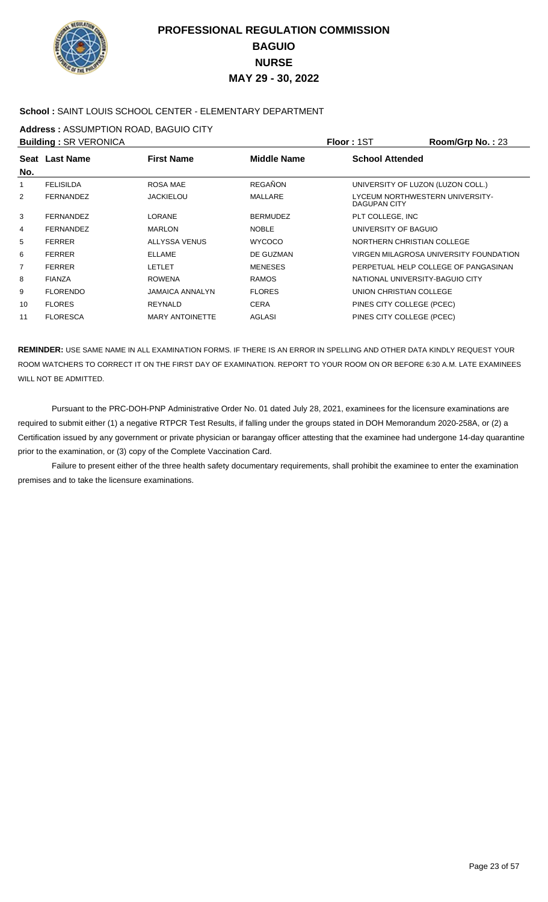

### **School :** SAINT LOUIS SCHOOL CENTER - ELEMENTARY DEPARTMENT

**Address :** ASSUMPTION ROAD, BAGUIO CITY

|                | <b>Building: SR VERONICA</b> |                        |                    | Floor: 1ST                                      | Room/Grp No.: 23                       |
|----------------|------------------------------|------------------------|--------------------|-------------------------------------------------|----------------------------------------|
|                | <b>Seat Last Name</b>        | <b>First Name</b>      | <b>Middle Name</b> | <b>School Attended</b>                          |                                        |
| No.            |                              |                        |                    |                                                 |                                        |
| 1              | <b>FELISILDA</b>             | ROSA MAE               | <b>REGAÑON</b>     | UNIVERSITY OF LUZON (LUZON COLL.)               |                                        |
| $\overline{2}$ | <b>FERNANDEZ</b>             | <b>JACKIELOU</b>       | <b>MALLARE</b>     | LYCEUM NORTHWESTERN UNIVERSITY-<br>DAGUPAN CITY |                                        |
| 3              | <b>FERNANDEZ</b>             | <b>LORANE</b>          | <b>BERMUDEZ</b>    | PLT COLLEGE, INC                                |                                        |
| 4              | <b>FERNANDEZ</b>             | <b>MARLON</b>          | <b>NOBLE</b>       | UNIVERSITY OF BAGUIO                            |                                        |
| 5              | <b>FERRER</b>                | ALLYSSA VENUS          | <b>WYCOCO</b>      | NORTHERN CHRISTIAN COLLEGE                      |                                        |
| 6              | <b>FERRER</b>                | <b>ELLAME</b>          | DE GUZMAN          |                                                 | VIRGEN MILAGROSA UNIVERSITY FOUNDATION |
| 7              | <b>FERRER</b>                | <b>LETLET</b>          | <b>MENESES</b>     |                                                 | PERPETUAL HELP COLLEGE OF PANGASINAN   |
| 8              | <b>FIANZA</b>                | <b>ROWENA</b>          | <b>RAMOS</b>       | NATIONAL UNIVERSITY-BAGUIO CITY                 |                                        |
| 9              | <b>FLORENDO</b>              | <b>JAMAICA ANNALYN</b> | <b>FLORES</b>      | UNION CHRISTIAN COLLEGE                         |                                        |
| 10             | <b>FLORES</b>                | <b>REYNALD</b>         | <b>CERA</b>        | PINES CITY COLLEGE (PCEC)                       |                                        |
| 11             | <b>FLORESCA</b>              | <b>MARY ANTOINETTE</b> | AGLASI             | PINES CITY COLLEGE (PCEC)                       |                                        |

**REMINDER:** USE SAME NAME IN ALL EXAMINATION FORMS. IF THERE IS AN ERROR IN SPELLING AND OTHER DATA KINDLY REQUEST YOUR ROOM WATCHERS TO CORRECT IT ON THE FIRST DAY OF EXAMINATION. REPORT TO YOUR ROOM ON OR BEFORE 6:30 A.M. LATE EXAMINEES WILL NOT BE ADMITTED.

 Pursuant to the PRC-DOH-PNP Administrative Order No. 01 dated July 28, 2021, examinees for the licensure examinations are required to submit either (1) a negative RTPCR Test Results, if falling under the groups stated in DOH Memorandum 2020-258A, or (2) a Certification issued by any government or private physician or barangay officer attesting that the examinee had undergone 14-day quarantine prior to the examination, or (3) copy of the Complete Vaccination Card.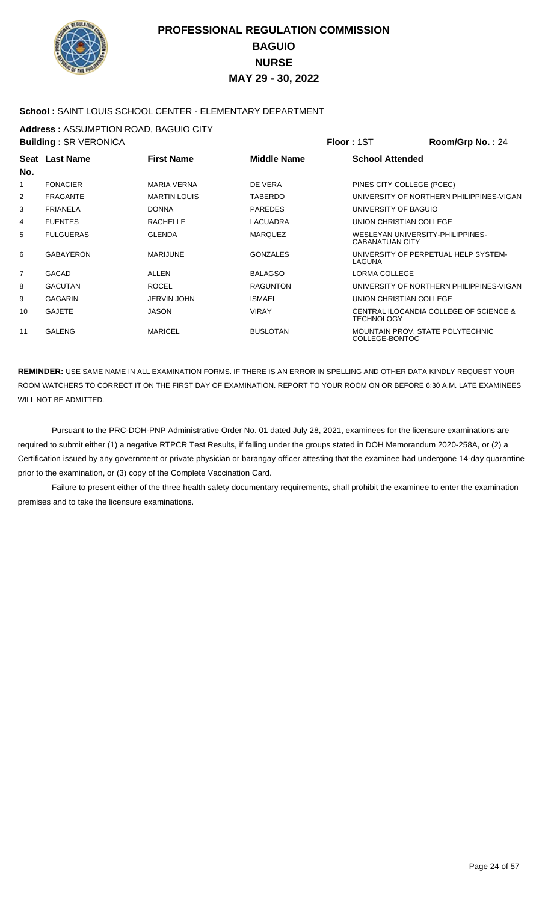

### **School :** SAINT LOUIS SCHOOL CENTER - ELEMENTARY DEPARTMENT

**Address :** ASSUMPTION ROAD, BAGUIO CITY

|     | <b>Building: SR VERONICA</b> |                     |                 | Floor : 1ST                                                | Room/Grp No.: 24                         |
|-----|------------------------------|---------------------|-----------------|------------------------------------------------------------|------------------------------------------|
|     | Seat Last Name               | <b>First Name</b>   | Middle Name     | <b>School Attended</b>                                     |                                          |
| No. |                              |                     |                 |                                                            |                                          |
| 1   | <b>FONACIER</b>              | <b>MARIA VERNA</b>  | DE VERA         | PINES CITY COLLEGE (PCEC)                                  |                                          |
| 2   | <b>FRAGANTE</b>              | <b>MARTIN LOUIS</b> | <b>TABERDO</b>  |                                                            | UNIVERSITY OF NORTHERN PHILIPPINES-VIGAN |
| 3   | <b>FRIANELA</b>              | <b>DONNA</b>        | <b>PAREDES</b>  | UNIVERSITY OF BAGUIO                                       |                                          |
| 4   | <b>FUENTES</b>               | <b>RACHELLE</b>     | <b>LACUADRA</b> | UNION CHRISTIAN COLLEGE                                    |                                          |
| 5   | <b>FULGUERAS</b>             | <b>GLENDA</b>       | <b>MAROUEZ</b>  | WESLEYAN UNIVERSITY-PHILIPPINES-<br><b>CABANATUAN CITY</b> |                                          |
| 6   | <b>GABAYERON</b>             | <b>MARIJUNE</b>     | <b>GONZALES</b> | LAGUNA                                                     | UNIVERSITY OF PERPETUAL HELP SYSTEM-     |
| 7   | <b>GACAD</b>                 | <b>ALLEN</b>        | <b>BALAGSO</b>  | LORMA COLLEGE                                              |                                          |
| 8   | <b>GACUTAN</b>               | <b>ROCEL</b>        | <b>RAGUNTON</b> |                                                            | UNIVERSITY OF NORTHERN PHILIPPINES-VIGAN |
| 9   | <b>GAGARIN</b>               | <b>JERVIN JOHN</b>  | <b>ISMAEL</b>   | UNION CHRISTIAN COLLEGE                                    |                                          |
| 10  | <b>GAJETE</b>                | <b>JASON</b>        | <b>VIRAY</b>    | <b>TECHNOLOGY</b>                                          | CENTRAL ILOCANDIA COLLEGE OF SCIENCE &   |
| 11  | <b>GALENG</b>                | <b>MARICEL</b>      | <b>BUSLOTAN</b> | MOUNTAIN PROV. STATE POLYTECHNIC<br>COLLEGE-BONTOC         |                                          |

**REMINDER:** USE SAME NAME IN ALL EXAMINATION FORMS. IF THERE IS AN ERROR IN SPELLING AND OTHER DATA KINDLY REQUEST YOUR ROOM WATCHERS TO CORRECT IT ON THE FIRST DAY OF EXAMINATION. REPORT TO YOUR ROOM ON OR BEFORE 6:30 A.M. LATE EXAMINEES WILL NOT BE ADMITTED.

 Pursuant to the PRC-DOH-PNP Administrative Order No. 01 dated July 28, 2021, examinees for the licensure examinations are required to submit either (1) a negative RTPCR Test Results, if falling under the groups stated in DOH Memorandum 2020-258A, or (2) a Certification issued by any government or private physician or barangay officer attesting that the examinee had undergone 14-day quarantine prior to the examination, or (3) copy of the Complete Vaccination Card.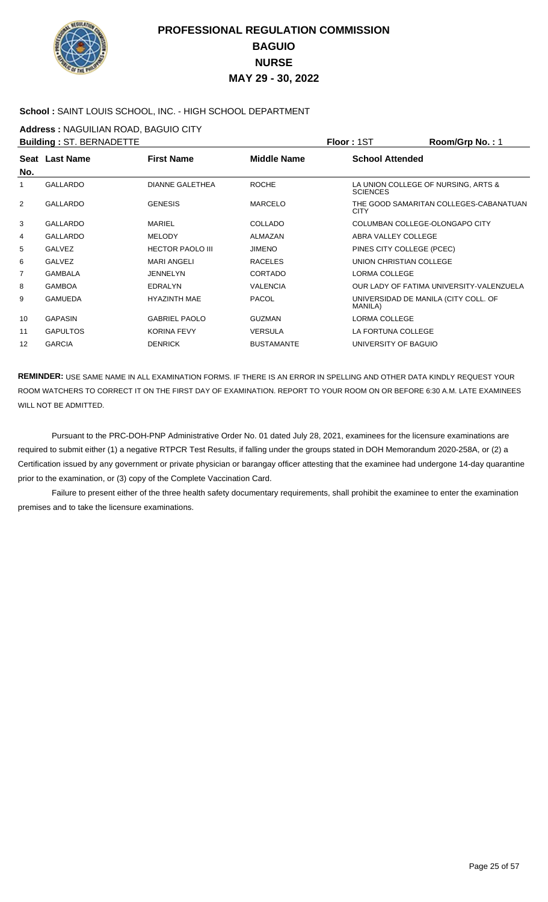

### **School :** SAINT LOUIS SCHOOL, INC. - HIGH SCHOOL DEPARTMENT

**Address :** NAGUILIAN ROAD, BAGUIO CITY

| <b>Building: ST. BERNADETTE</b> |                 |                         |                    | Floor: 1ST                                             | Room/Grp No.: 1                          |
|---------------------------------|-----------------|-------------------------|--------------------|--------------------------------------------------------|------------------------------------------|
| No.                             | Seat Last Name  | <b>First Name</b>       | <b>Middle Name</b> | <b>School Attended</b>                                 |                                          |
| 1                               | <b>GALLARDO</b> | <b>DIANNE GALETHEA</b>  | <b>ROCHE</b>       | LA UNION COLLEGE OF NURSING, ARTS &<br><b>SCIENCES</b> |                                          |
| $\overline{2}$                  | <b>GALLARDO</b> | <b>GENESIS</b>          | <b>MARCELO</b>     | <b>CITY</b>                                            | THE GOOD SAMARITAN COLLEGES-CABANATUAN   |
| 3                               | <b>GALLARDO</b> | <b>MARIEL</b>           | <b>COLLADO</b>     | COLUMBAN COLLEGE-OLONGAPO CITY                         |                                          |
| 4                               | <b>GALLARDO</b> | <b>MELODY</b>           | ALMAZAN            | ABRA VALLEY COLLEGE                                    |                                          |
| 5                               | <b>GALVEZ</b>   | <b>HECTOR PAOLO III</b> | <b>JIMENO</b>      | PINES CITY COLLEGE (PCEC)                              |                                          |
| 6                               | <b>GALVEZ</b>   | <b>MARI ANGELI</b>      | <b>RACELES</b>     | UNION CHRISTIAN COLLEGE                                |                                          |
| 7                               | <b>GAMBALA</b>  | <b>JENNELYN</b>         | <b>CORTADO</b>     | LORMA COLLEGE                                          |                                          |
| 8                               | <b>GAMBOA</b>   | EDRALYN                 | <b>VALENCIA</b>    |                                                        | OUR LADY OF FATIMA UNIVERSITY-VALENZUELA |
| 9                               | <b>GAMUEDA</b>  | <b>HYAZINTH MAE</b>     | <b>PACOL</b>       | UNIVERSIDAD DE MANILA (CITY COLL. OF<br>MANILA)        |                                          |
| 10                              | <b>GAPASIN</b>  | <b>GABRIEL PAOLO</b>    | <b>GUZMAN</b>      | LORMA COLLEGE                                          |                                          |
| 11                              | <b>GAPULTOS</b> | <b>KORINA FEVY</b>      | <b>VERSULA</b>     | LA FORTUNA COLLEGE                                     |                                          |
| 12                              | <b>GARCIA</b>   | <b>DENRICK</b>          | <b>BUSTAMANTE</b>  | UNIVERSITY OF BAGUIO                                   |                                          |
|                                 |                 |                         |                    |                                                        |                                          |

**REMINDER:** USE SAME NAME IN ALL EXAMINATION FORMS. IF THERE IS AN ERROR IN SPELLING AND OTHER DATA KINDLY REQUEST YOUR ROOM WATCHERS TO CORRECT IT ON THE FIRST DAY OF EXAMINATION. REPORT TO YOUR ROOM ON OR BEFORE 6:30 A.M. LATE EXAMINEES WILL NOT BE ADMITTED.

 Pursuant to the PRC-DOH-PNP Administrative Order No. 01 dated July 28, 2021, examinees for the licensure examinations are required to submit either (1) a negative RTPCR Test Results, if falling under the groups stated in DOH Memorandum 2020-258A, or (2) a Certification issued by any government or private physician or barangay officer attesting that the examinee had undergone 14-day quarantine prior to the examination, or (3) copy of the Complete Vaccination Card.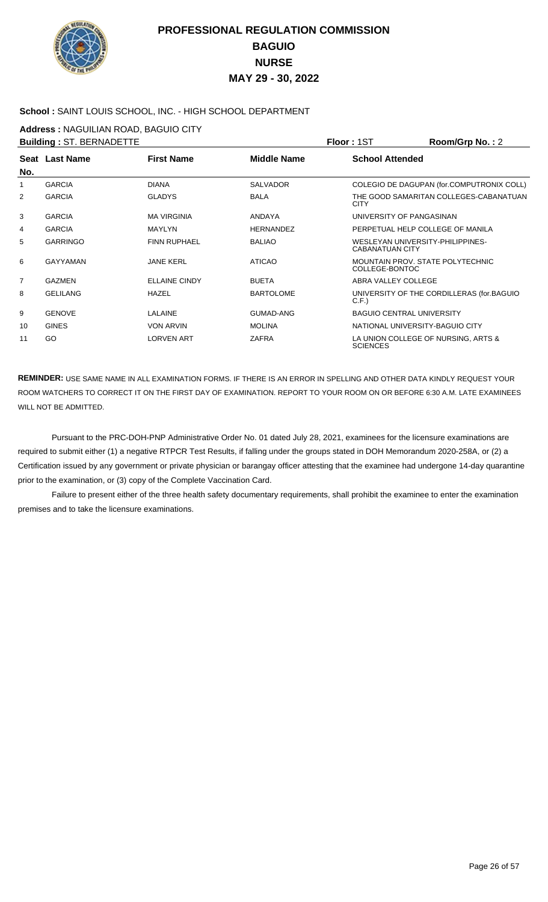

### **School :** SAINT LOUIS SCHOOL, INC. - HIGH SCHOOL DEPARTMENT

**Address :** NAGUILIAN ROAD, BAGUIO CITY

| <b>Building: ST. BERNADETTE</b> |                 |                      |                    | Floor: 1ST                                                 | Room/Grp No.: 2                           |
|---------------------------------|-----------------|----------------------|--------------------|------------------------------------------------------------|-------------------------------------------|
| No.                             | Seat Last Name  | <b>First Name</b>    | <b>Middle Name</b> | <b>School Attended</b>                                     |                                           |
| 1                               | <b>GARCIA</b>   | <b>DIANA</b>         | <b>SALVADOR</b>    |                                                            | COLEGIO DE DAGUPAN (for.COMPUTRONIX COLL) |
| 2                               | <b>GARCIA</b>   | <b>GLADYS</b>        | <b>BALA</b>        | <b>CITY</b>                                                | THE GOOD SAMARITAN COLLEGES-CABANATUAN    |
| 3                               | <b>GARCIA</b>   | <b>MA VIRGINIA</b>   | <b>ANDAYA</b>      | UNIVERSITY OF PANGASINAN                                   |                                           |
| 4                               | <b>GARCIA</b>   | <b>MAYLYN</b>        | <b>HERNANDEZ</b>   | PERPETUAL HELP COLLEGE OF MANILA                           |                                           |
| 5                               | <b>GARRINGO</b> | <b>FINN RUPHAEL</b>  | <b>BALIAO</b>      | WESLEYAN UNIVERSITY-PHILIPPINES-<br><b>CABANATUAN CITY</b> |                                           |
| 6                               | <b>GAYYAMAN</b> | <b>JANE KERL</b>     | <b>ATICAO</b>      | MOUNTAIN PROV. STATE POLYTECHNIC<br>COLLEGE-BONTOC         |                                           |
| $\overline{7}$                  | <b>GAZMEN</b>   | <b>ELLAINE CINDY</b> | <b>BUETA</b>       | ABRA VALLEY COLLEGE                                        |                                           |
| 8                               | <b>GELILANG</b> | HAZEL                | <b>BARTOLOME</b>   | C.F.                                                       | UNIVERSITY OF THE CORDILLERAS (for.BAGUIO |
| 9                               | <b>GENOVE</b>   | <b>LALAINE</b>       | <b>GUMAD-ANG</b>   | <b>BAGUIO CENTRAL UNIVERSITY</b>                           |                                           |
| 10                              | <b>GINES</b>    | <b>VON ARVIN</b>     | <b>MOLINA</b>      | NATIONAL UNIVERSITY-BAGUIO CITY                            |                                           |
| 11                              | GO              | <b>LORVEN ART</b>    | ZAFRA              | <b>SCIENCES</b>                                            | LA UNION COLLEGE OF NURSING, ARTS &       |

**REMINDER:** USE SAME NAME IN ALL EXAMINATION FORMS. IF THERE IS AN ERROR IN SPELLING AND OTHER DATA KINDLY REQUEST YOUR ROOM WATCHERS TO CORRECT IT ON THE FIRST DAY OF EXAMINATION. REPORT TO YOUR ROOM ON OR BEFORE 6:30 A.M. LATE EXAMINEES WILL NOT BE ADMITTED.

 Pursuant to the PRC-DOH-PNP Administrative Order No. 01 dated July 28, 2021, examinees for the licensure examinations are required to submit either (1) a negative RTPCR Test Results, if falling under the groups stated in DOH Memorandum 2020-258A, or (2) a Certification issued by any government or private physician or barangay officer attesting that the examinee had undergone 14-day quarantine prior to the examination, or (3) copy of the Complete Vaccination Card.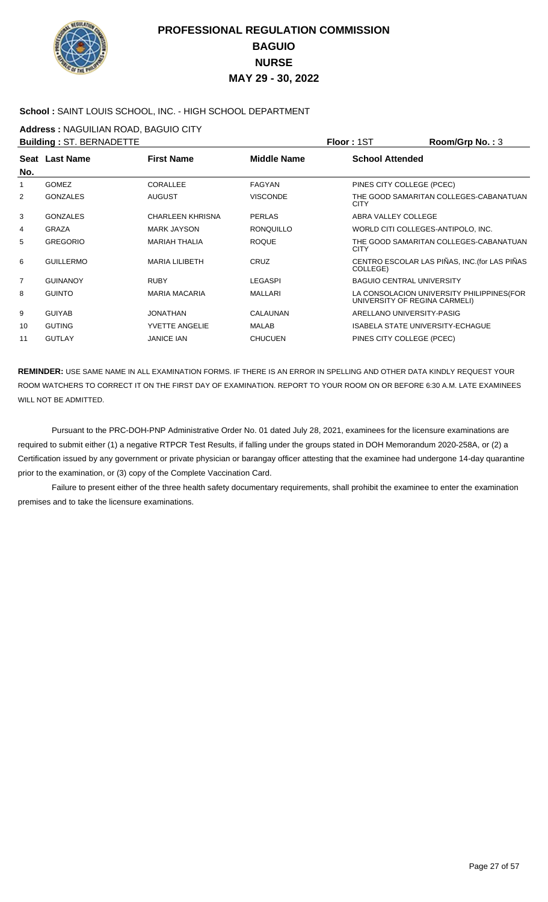

### **School :** SAINT LOUIS SCHOOL, INC. - HIGH SCHOOL DEPARTMENT

**Address :** NAGUILIAN ROAD, BAGUIO CITY

|     | <b>Building: ST. BERNADETTE</b> |                         |                    | Floor: 1ST                              | Room/Grp No.: 3                               |
|-----|---------------------------------|-------------------------|--------------------|-----------------------------------------|-----------------------------------------------|
| No. | Seat Last Name                  | <b>First Name</b>       | <b>Middle Name</b> | <b>School Attended</b>                  |                                               |
| 1   | <b>GOMEZ</b>                    | <b>CORALLEE</b>         | <b>FAGYAN</b>      | PINES CITY COLLEGE (PCEC)               |                                               |
| 2   | <b>GONZALES</b>                 | <b>AUGUST</b>           | <b>VISCONDE</b>    | <b>CITY</b>                             | THE GOOD SAMARITAN COLLEGES-CABANATUAN        |
| 3   | <b>GONZALES</b>                 | <b>CHARLEEN KHRISNA</b> | <b>PERLAS</b>      | ABRA VALLEY COLLEGE                     |                                               |
| 4   | <b>GRAZA</b>                    | <b>MARK JAYSON</b>      | <b>RONOUILLO</b>   | WORLD CITI COLLEGES-ANTIPOLO, INC.      |                                               |
| 5   | <b>GREGORIO</b>                 | <b>MARIAH THALIA</b>    | <b>ROOUE</b>       | <b>CITY</b>                             | THE GOOD SAMARITAN COLLEGES-CABANATUAN        |
| 6   | <b>GUILLERMO</b>                | <b>MARIA LILIBETH</b>   | <b>CRUZ</b>        | COLLEGE)                                | CENTRO ESCOLAR LAS PIÑAS, INC. (for LAS PIÑAS |
| 7   | <b>GUINANOY</b>                 | <b>RUBY</b>             | <b>LEGASPI</b>     | <b>BAGUIO CENTRAL UNIVERSITY</b>        |                                               |
| 8   | <b>GUINTO</b>                   | <b>MARIA MACARIA</b>    | <b>MALLARI</b>     | UNIVERSITY OF REGINA CARMELI)           | LA CONSOLACION UNIVERSITY PHILIPPINES (FOR    |
| 9   | <b>GUIYAB</b>                   | <b>JONATHAN</b>         | CALAUNAN           | ARELLANO UNIVERSITY-PASIG               |                                               |
| 10  | <b>GUTING</b>                   | <b>YVETTE ANGELIE</b>   | <b>MALAB</b>       | <b>ISABELA STATE UNIVERSITY-ECHAGUE</b> |                                               |
| 11  | <b>GUTLAY</b>                   | <b>JANICE IAN</b>       | <b>CHUCUEN</b>     | PINES CITY COLLEGE (PCEC)               |                                               |

**REMINDER:** USE SAME NAME IN ALL EXAMINATION FORMS. IF THERE IS AN ERROR IN SPELLING AND OTHER DATA KINDLY REQUEST YOUR ROOM WATCHERS TO CORRECT IT ON THE FIRST DAY OF EXAMINATION. REPORT TO YOUR ROOM ON OR BEFORE 6:30 A.M. LATE EXAMINEES WILL NOT BE ADMITTED.

 Pursuant to the PRC-DOH-PNP Administrative Order No. 01 dated July 28, 2021, examinees for the licensure examinations are required to submit either (1) a negative RTPCR Test Results, if falling under the groups stated in DOH Memorandum 2020-258A, or (2) a Certification issued by any government or private physician or barangay officer attesting that the examinee had undergone 14-day quarantine prior to the examination, or (3) copy of the Complete Vaccination Card.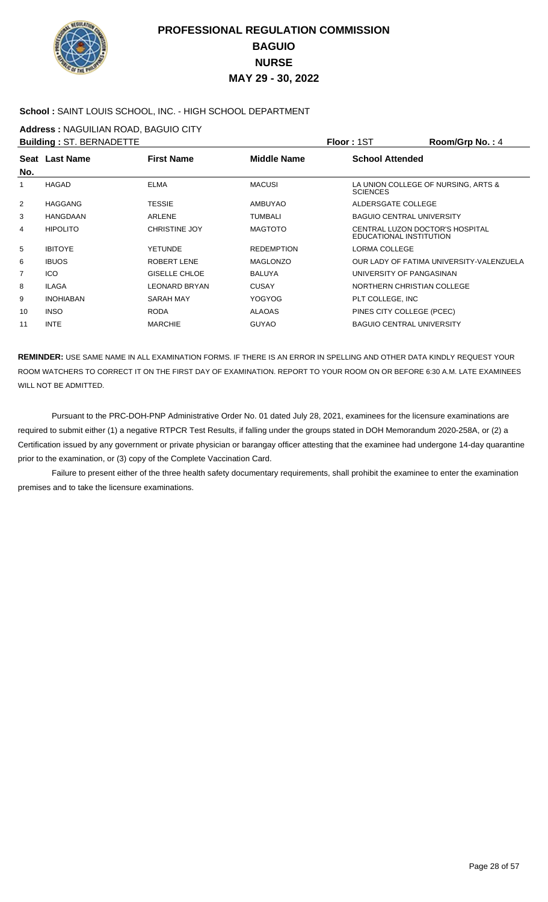

### **School :** SAINT LOUIS SCHOOL, INC. - HIGH SCHOOL DEPARTMENT

**Address :** NAGUILIAN ROAD, BAGUIO CITY

|                | <b>Building: ST. BERNADETTE</b> |                      |                    | Floor: 1ST                                                        | Room/Grp No.: 4                          |
|----------------|---------------------------------|----------------------|--------------------|-------------------------------------------------------------------|------------------------------------------|
|                | Seat Last Name                  | <b>First Name</b>    | <b>Middle Name</b> | <b>School Attended</b>                                            |                                          |
| No.            |                                 |                      |                    |                                                                   |                                          |
| 1              | <b>HAGAD</b>                    | <b>ELMA</b>          | <b>MACUSI</b>      | <b>SCIENCES</b>                                                   | LA UNION COLLEGE OF NURSING, ARTS &      |
| 2              | <b>HAGGANG</b>                  | <b>TESSIE</b>        | <b>AMBUYAO</b>     | ALDERSGATE COLLEGE                                                |                                          |
| 3              | <b>HANGDAAN</b>                 | <b>ARLENE</b>        | <b>TUMBALI</b>     | <b>BAGUIO CENTRAL UNIVERSITY</b>                                  |                                          |
| 4              | <b>HIPOLITO</b>                 | <b>CHRISTINE JOY</b> | <b>MAGTOTO</b>     | <b>CENTRAL LUZON DOCTOR'S HOSPITAL</b><br>EDUCATIONAL INSTITUTION |                                          |
| 5              | <b>IBITOYE</b>                  | <b>YETUNDE</b>       | <b>REDEMPTION</b>  | LORMA COLLEGE                                                     |                                          |
| 6              | <b>IBUOS</b>                    | <b>ROBERT LENE</b>   | <b>MAGLONZO</b>    |                                                                   | OUR LADY OF FATIMA UNIVERSITY-VALENZUELA |
| $\overline{7}$ | <b>ICO</b>                      | <b>GISELLE CHLOE</b> | <b>BALUYA</b>      | UNIVERSITY OF PANGASINAN                                          |                                          |
| 8              | <b>ILAGA</b>                    | <b>LEONARD BRYAN</b> | <b>CUSAY</b>       | NORTHERN CHRISTIAN COLLEGE                                        |                                          |
| 9              | <b>INOHIABAN</b>                | <b>SARAH MAY</b>     | <b>YOGYOG</b>      | PLT COLLEGE, INC                                                  |                                          |
| 10             | <b>INSO</b>                     | <b>RODA</b>          | <b>ALAOAS</b>      | PINES CITY COLLEGE (PCEC)                                         |                                          |
| 11             | <b>INTE</b>                     | <b>MARCHIE</b>       | <b>GUYAO</b>       | <b>BAGUIO CENTRAL UNIVERSITY</b>                                  |                                          |

**REMINDER:** USE SAME NAME IN ALL EXAMINATION FORMS. IF THERE IS AN ERROR IN SPELLING AND OTHER DATA KINDLY REQUEST YOUR ROOM WATCHERS TO CORRECT IT ON THE FIRST DAY OF EXAMINATION. REPORT TO YOUR ROOM ON OR BEFORE 6:30 A.M. LATE EXAMINEES WILL NOT BE ADMITTED.

 Pursuant to the PRC-DOH-PNP Administrative Order No. 01 dated July 28, 2021, examinees for the licensure examinations are required to submit either (1) a negative RTPCR Test Results, if falling under the groups stated in DOH Memorandum 2020-258A, or (2) a Certification issued by any government or private physician or barangay officer attesting that the examinee had undergone 14-day quarantine prior to the examination, or (3) copy of the Complete Vaccination Card.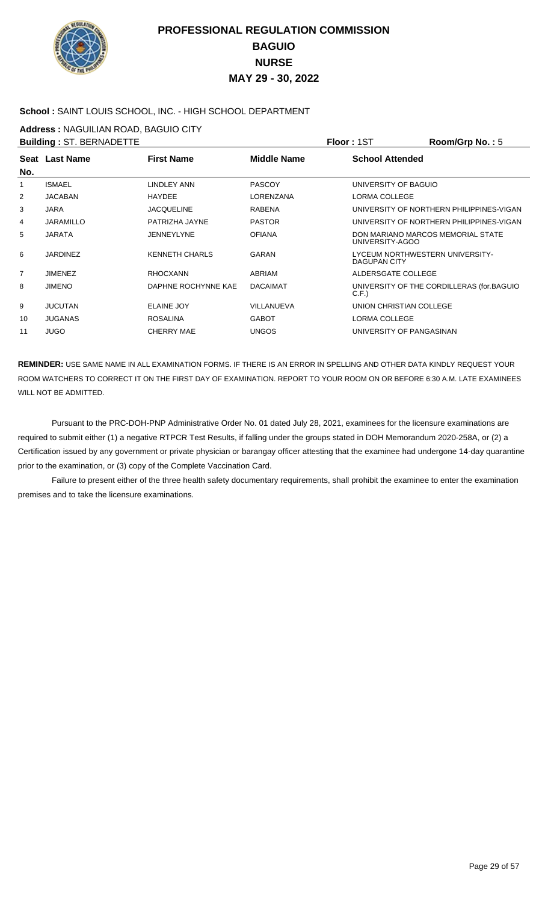

#### **School :** SAINT LOUIS SCHOOL, INC. - HIGH SCHOOL DEPARTMENT

**Address :** NAGUILIAN ROAD, BAGUIO CITY

|     | <b>Building: ST. BERNADETTE</b> |                       |                    | Floor: 1ST               | Room/Grp No.: 5                           |
|-----|---------------------------------|-----------------------|--------------------|--------------------------|-------------------------------------------|
|     | Seat Last Name                  | <b>First Name</b>     | <b>Middle Name</b> | <b>School Attended</b>   |                                           |
| No. |                                 |                       |                    |                          |                                           |
| 1   | <b>ISMAEL</b>                   | LINDLEY ANN           | <b>PASCOY</b>      | UNIVERSITY OF BAGUIO     |                                           |
| 2   | <b>JACABAN</b>                  | <b>HAYDEE</b>         | LORENZANA          | LORMA COLLEGE            |                                           |
| 3   | <b>JARA</b>                     | <b>JACQUELINE</b>     | <b>RABENA</b>      |                          | UNIVERSITY OF NORTHERN PHILIPPINES-VIGAN  |
| 4   | <b>JARAMILLO</b>                | PATRIZHA JAYNE        | <b>PASTOR</b>      |                          | UNIVERSITY OF NORTHERN PHILIPPINES-VIGAN  |
| 5   | <b>JARATA</b>                   | <b>JENNEYLYNE</b>     | <b>OFIANA</b>      | UNIVERSITY-AGOO          | DON MARIANO MARCOS MEMORIAL STATE         |
| 6   | <b>JARDINEZ</b>                 | <b>KENNETH CHARLS</b> | <b>GARAN</b>       | <b>DAGUPAN CITY</b>      | LYCEUM NORTHWESTERN UNIVERSITY-           |
| 7   | <b>JIMENEZ</b>                  | <b>RHOCXANN</b>       | <b>ABRIAM</b>      | ALDERSGATE COLLEGE       |                                           |
| 8   | <b>JIMENO</b>                   | DAPHNE ROCHYNNE KAE   | <b>DACAIMAT</b>    | C.F.                     | UNIVERSITY OF THE CORDILLERAS (for.BAGUIO |
| 9   | <b>JUCUTAN</b>                  | ELAINE JOY            | <b>VILLANUEVA</b>  | UNION CHRISTIAN COLLEGE  |                                           |
| 10  | <b>JUGANAS</b>                  | <b>ROSALINA</b>       | <b>GABOT</b>       | LORMA COLLEGE            |                                           |
| 11  | <b>JUGO</b>                     | CHERRY MAE            | <b>UNGOS</b>       | UNIVERSITY OF PANGASINAN |                                           |
|     |                                 |                       |                    |                          |                                           |

**REMINDER:** USE SAME NAME IN ALL EXAMINATION FORMS. IF THERE IS AN ERROR IN SPELLING AND OTHER DATA KINDLY REQUEST YOUR ROOM WATCHERS TO CORRECT IT ON THE FIRST DAY OF EXAMINATION. REPORT TO YOUR ROOM ON OR BEFORE 6:30 A.M. LATE EXAMINEES WILL NOT BE ADMITTED.

 Pursuant to the PRC-DOH-PNP Administrative Order No. 01 dated July 28, 2021, examinees for the licensure examinations are required to submit either (1) a negative RTPCR Test Results, if falling under the groups stated in DOH Memorandum 2020-258A, or (2) a Certification issued by any government or private physician or barangay officer attesting that the examinee had undergone 14-day quarantine prior to the examination, or (3) copy of the Complete Vaccination Card.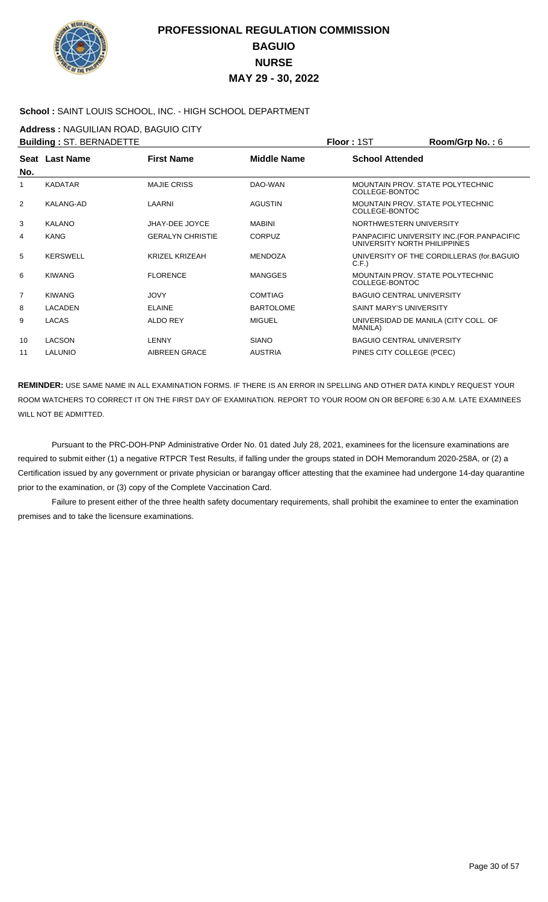

### **School :** SAINT LOUIS SCHOOL, INC. - HIGH SCHOOL DEPARTMENT

**Address :** NAGUILIAN ROAD, BAGUIO CITY

|                | <b>Building: ST. BERNADETTE</b> |                         |                    | Floor: 1ST                                                | Room/Grp No.: 6                             |
|----------------|---------------------------------|-------------------------|--------------------|-----------------------------------------------------------|---------------------------------------------|
| No.            | Seat Last Name                  | <b>First Name</b>       | <b>Middle Name</b> | <b>School Attended</b>                                    |                                             |
| $\mathbf{1}$   | <b>KADATAR</b>                  | <b>MAJIE CRISS</b>      | DAO-WAN            | <b>MOUNTAIN PROV. STATE POLYTECHNIC</b><br>COLLEGE-BONTOC |                                             |
| $\overline{2}$ | <b>KALANG-AD</b>                | LAARNI                  | <b>AGUSTIN</b>     | MOUNTAIN PROV. STATE POLYTECHNIC<br>COLLEGE-BONTOC        |                                             |
| 3              | <b>KALANO</b>                   | JHAY-DEE JOYCE          | <b>MABINI</b>      | NORTHWESTERN UNIVERSITY                                   |                                             |
| 4              | <b>KANG</b>                     | <b>GERALYN CHRISTIE</b> | <b>CORPUZ</b>      | UNIVERSITY NORTH PHILIPPINES                              | PANPACIFIC UNIVERSITY INC. (FOR. PANPACIFIC |
| 5              | <b>KERSWELL</b>                 | <b>KRIZEL KRIZEAH</b>   | <b>MENDOZA</b>     | C.F.                                                      | UNIVERSITY OF THE CORDILLERAS (for.BAGUIO   |
| 6              | <b>KIWANG</b>                   | <b>FLORENCE</b>         | <b>MANGGES</b>     | MOUNTAIN PROV. STATE POLYTECHNIC<br>COLLEGE-BONTOC        |                                             |
| 7              | <b>KIWANG</b>                   | <b>JOVY</b>             | <b>COMTIAG</b>     | <b>BAGUIO CENTRAL UNIVERSITY</b>                          |                                             |
| 8              | <b>LACADEN</b>                  | <b>ELAINE</b>           | <b>BARTOLOME</b>   | SAINT MARY'S UNIVERSITY                                   |                                             |
| 9              | LACAS                           | <b>ALDO REY</b>         | <b>MIGUEL</b>      | MANILA)                                                   | UNIVERSIDAD DE MANILA (CITY COLL. OF        |
| 10             | LACSON                          | <b>LENNY</b>            | <b>SIANO</b>       | <b>BAGUIO CENTRAL UNIVERSITY</b>                          |                                             |
| 11             | LALUNIO                         | AIBREEN GRACE           | <b>AUSTRIA</b>     | PINES CITY COLLEGE (PCEC)                                 |                                             |

**REMINDER:** USE SAME NAME IN ALL EXAMINATION FORMS. IF THERE IS AN ERROR IN SPELLING AND OTHER DATA KINDLY REQUEST YOUR ROOM WATCHERS TO CORRECT IT ON THE FIRST DAY OF EXAMINATION. REPORT TO YOUR ROOM ON OR BEFORE 6:30 A.M. LATE EXAMINEES WILL NOT BE ADMITTED.

 Pursuant to the PRC-DOH-PNP Administrative Order No. 01 dated July 28, 2021, examinees for the licensure examinations are required to submit either (1) a negative RTPCR Test Results, if falling under the groups stated in DOH Memorandum 2020-258A, or (2) a Certification issued by any government or private physician or barangay officer attesting that the examinee had undergone 14-day quarantine prior to the examination, or (3) copy of the Complete Vaccination Card.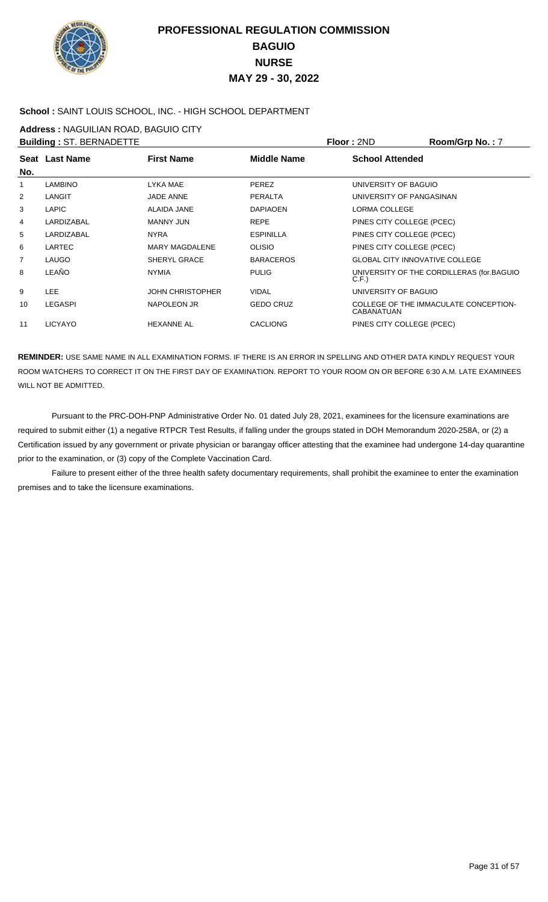

### **School :** SAINT LOUIS SCHOOL, INC. - HIGH SCHOOL DEPARTMENT

**Address :** NAGUILIAN ROAD, BAGUIO CITY

|                | <b>Building: ST. BERNADETTE</b> |                         |                  | Floor: 2ND                            | Room/Grp No.: 7                           |
|----------------|---------------------------------|-------------------------|------------------|---------------------------------------|-------------------------------------------|
| No.            | Seat Last Name                  | <b>First Name</b>       | Middle Name      | <b>School Attended</b>                |                                           |
| 1              | <b>LAMBINO</b>                  | LYKA MAE                | <b>PEREZ</b>     | UNIVERSITY OF BAGUIO                  |                                           |
| $\overline{2}$ | LANGIT                          | <b>JADE ANNE</b>        | <b>PERALTA</b>   | UNIVERSITY OF PANGASINAN              |                                           |
| 3              | LAPIC                           | ALAIDA JANE             | <b>DAPIAOEN</b>  | LORMA COLLEGE                         |                                           |
| 4              | LARDIZABAL                      | MANNY JUN               | <b>REPE</b>      | PINES CITY COLLEGE (PCEC)             |                                           |
| 5              | LARDIZABAL                      | <b>NYRA</b>             | <b>ESPINILLA</b> | PINES CITY COLLEGE (PCEC)             |                                           |
| 6              | <b>LARTEC</b>                   | <b>MARY MAGDALENE</b>   | <b>OLISIO</b>    | PINES CITY COLLEGE (PCEC)             |                                           |
| 7              | <b>LAUGO</b>                    | <b>SHERYL GRACE</b>     | <b>BARACEROS</b> | <b>GLOBAL CITY INNOVATIVE COLLEGE</b> |                                           |
| 8              | LEAÑO                           | <b>NYMIA</b>            | <b>PULIG</b>     | C.F.                                  | UNIVERSITY OF THE CORDILLERAS (for.BAGUIO |
| 9              | LEE.                            | <b>JOHN CHRISTOPHER</b> | <b>VIDAL</b>     | UNIVERSITY OF BAGUIO                  |                                           |
| 10             | <b>LEGASPI</b>                  | NAPOLEON JR             | <b>GEDO CRUZ</b> | <b>CABANATUAN</b>                     | COLLEGE OF THE IMMACULATE CONCEPTION-     |
| 11             | <b>LICYAYO</b>                  | <b>HEXANNE AL</b>       | <b>CACLIONG</b>  | PINES CITY COLLEGE (PCEC)             |                                           |

**REMINDER:** USE SAME NAME IN ALL EXAMINATION FORMS. IF THERE IS AN ERROR IN SPELLING AND OTHER DATA KINDLY REQUEST YOUR ROOM WATCHERS TO CORRECT IT ON THE FIRST DAY OF EXAMINATION. REPORT TO YOUR ROOM ON OR BEFORE 6:30 A.M. LATE EXAMINEES WILL NOT BE ADMITTED.

 Pursuant to the PRC-DOH-PNP Administrative Order No. 01 dated July 28, 2021, examinees for the licensure examinations are required to submit either (1) a negative RTPCR Test Results, if falling under the groups stated in DOH Memorandum 2020-258A, or (2) a Certification issued by any government or private physician or barangay officer attesting that the examinee had undergone 14-day quarantine prior to the examination, or (3) copy of the Complete Vaccination Card.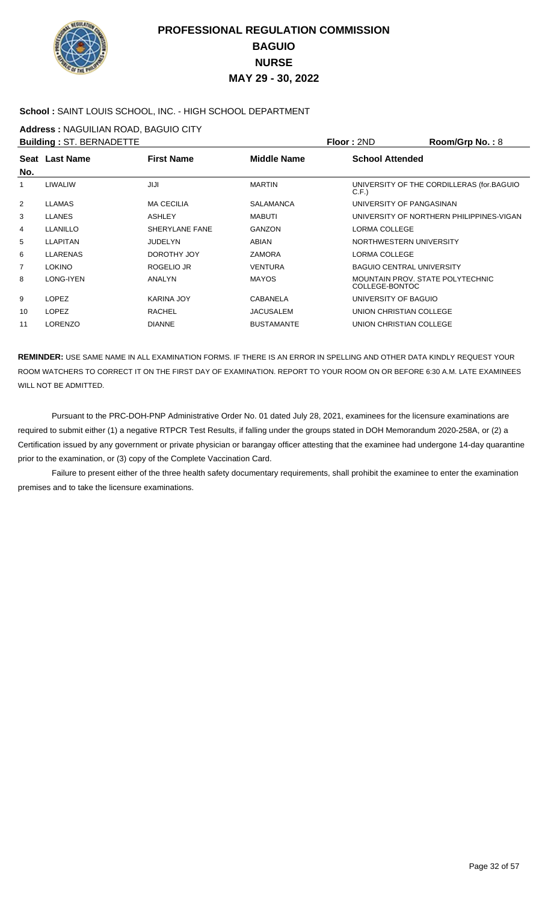

### **School :** SAINT LOUIS SCHOOL, INC. - HIGH SCHOOL DEPARTMENT

**Address :** NAGUILIAN ROAD, BAGUIO CITY

|                | <b>Building: ST. BERNADETTE</b> |                   |                   | Floor: 2ND                                         | Room/Grp No.: 8                           |
|----------------|---------------------------------|-------------------|-------------------|----------------------------------------------------|-------------------------------------------|
| No.            | <b>Seat Last Name</b>           | <b>First Name</b> | Middle Name       | <b>School Attended</b>                             |                                           |
| 1              | LIWALIW                         | JIJI              | <b>MARTIN</b>     | C.F.                                               | UNIVERSITY OF THE CORDILLERAS (for.BAGUIO |
| 2              | <b>LLAMAS</b>                   | <b>MA CECILIA</b> | <b>SALAMANCA</b>  | UNIVERSITY OF PANGASINAN                           |                                           |
| 3              | <b>LLANES</b>                   | <b>ASHLEY</b>     | <b>MABUTI</b>     |                                                    | UNIVERSITY OF NORTHERN PHILIPPINES-VIGAN  |
| 4              | LLANILLO                        | SHERYLANE FANE    | <b>GANZON</b>     | LORMA COLLEGE                                      |                                           |
| 5              | <b>LLAPITAN</b>                 | <b>JUDELYN</b>    | ABIAN             | NORTHWESTERN UNIVERSITY                            |                                           |
| 6              | <b>LLARENAS</b>                 | DOROTHY JOY       | ZAMORA            | LORMA COLLEGE                                      |                                           |
| $\overline{7}$ | <b>LOKINO</b>                   | ROGELIO JR        | <b>VENTURA</b>    | <b>BAGUIO CENTRAL UNIVERSITY</b>                   |                                           |
| 8              | LONG-IYEN                       | ANALYN            | <b>MAYOS</b>      | MOUNTAIN PROV. STATE POLYTECHNIC<br>COLLEGE-BONTOC |                                           |
| 9              | <b>LOPEZ</b>                    | KARINA JOY        | <b>CABANELA</b>   | UNIVERSITY OF BAGUIO                               |                                           |
| 10             | <b>LOPEZ</b>                    | <b>RACHEL</b>     | <b>JACUSALEM</b>  | UNION CHRISTIAN COLLEGE                            |                                           |
| 11             | <b>LORENZO</b>                  | <b>DIANNE</b>     | <b>BUSTAMANTE</b> | UNION CHRISTIAN COLLEGE                            |                                           |
|                |                                 |                   |                   |                                                    |                                           |

**REMINDER:** USE SAME NAME IN ALL EXAMINATION FORMS. IF THERE IS AN ERROR IN SPELLING AND OTHER DATA KINDLY REQUEST YOUR ROOM WATCHERS TO CORRECT IT ON THE FIRST DAY OF EXAMINATION. REPORT TO YOUR ROOM ON OR BEFORE 6:30 A.M. LATE EXAMINEES WILL NOT BE ADMITTED.

 Pursuant to the PRC-DOH-PNP Administrative Order No. 01 dated July 28, 2021, examinees for the licensure examinations are required to submit either (1) a negative RTPCR Test Results, if falling under the groups stated in DOH Memorandum 2020-258A, or (2) a Certification issued by any government or private physician or barangay officer attesting that the examinee had undergone 14-day quarantine prior to the examination, or (3) copy of the Complete Vaccination Card.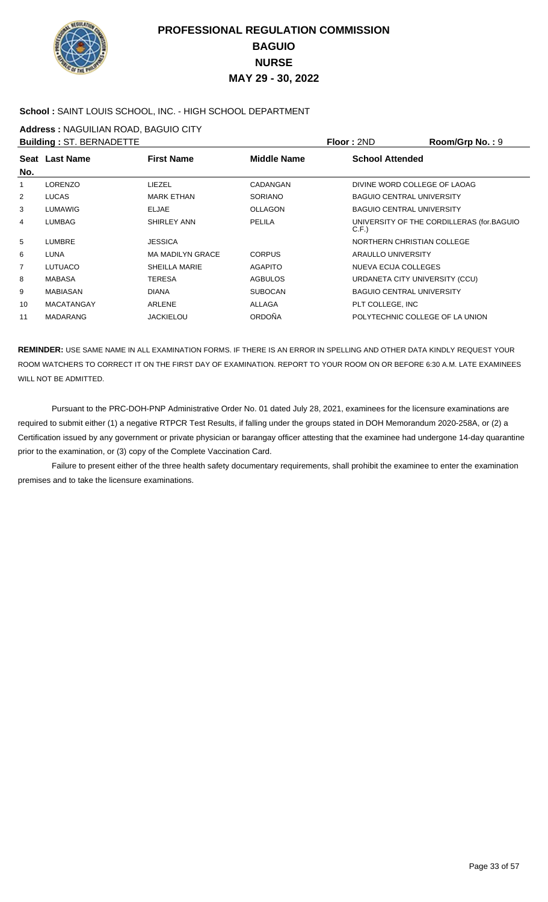

### **School :** SAINT LOUIS SCHOOL, INC. - HIGH SCHOOL DEPARTMENT

**Address :** NAGUILIAN ROAD, BAGUIO CITY

|                | <b>Building: ST. BERNADETTE</b> |                         |                    | Floor: 2ND                        | Room/Grp No.: 9                           |
|----------------|---------------------------------|-------------------------|--------------------|-----------------------------------|-------------------------------------------|
|                | Seat Last Name                  | <b>First Name</b>       | <b>Middle Name</b> | <b>School Attended</b>            |                                           |
| No.            |                                 |                         |                    |                                   |                                           |
| 1              | <b>LORENZO</b>                  | LIEZEL                  | CADANGAN           | DIVINE WORD COLLEGE OF LAOAG      |                                           |
| $\overline{2}$ | <b>LUCAS</b>                    | <b>MARK ETHAN</b>       | SORIANO            | <b>BAGUIO CENTRAL UNIVERSITY</b>  |                                           |
| 3              | <b>LUMAWIG</b>                  | <b>ELJAE</b>            | <b>OLLAGON</b>     | <b>BAGUIO CENTRAL UNIVERSITY</b>  |                                           |
| 4              | <b>LUMBAG</b>                   | <b>SHIRLEY ANN</b>      | PELILA             | C.F.                              | UNIVERSITY OF THE CORDILLERAS (for.BAGUIO |
| 5              | <b>LUMBRE</b>                   | <b>JESSICA</b>          |                    | <b>NORTHERN CHRISTIAN COLLEGE</b> |                                           |
| 6              | <b>LUNA</b>                     | <b>MA MADILYN GRACE</b> | <b>CORPUS</b>      | ARAULLO UNIVERSITY                |                                           |
| 7              | <b>LUTUACO</b>                  | <b>SHEILLA MARIE</b>    | <b>AGAPITO</b>     | <b>NUEVA ECIJA COLLEGES</b>       |                                           |
| 8              | <b>MABASA</b>                   | <b>TERESA</b>           | <b>AGBULOS</b>     | URDANETA CITY UNIVERSITY (CCU)    |                                           |
| 9              | MABIASAN                        | <b>DIANA</b>            | <b>SUBOCAN</b>     | <b>BAGUIO CENTRAL UNIVERSITY</b>  |                                           |
| 10             | <b>MACATANGAY</b>               | <b>ARLENE</b>           | <b>ALLAGA</b>      | PLT COLLEGE, INC                  |                                           |
| 11             | <b>MADARANG</b>                 | <b>JACKIELOU</b>        | <b>ORDOÑA</b>      | POLYTECHNIC COLLEGE OF LA UNION   |                                           |
|                |                                 |                         |                    |                                   |                                           |

**REMINDER:** USE SAME NAME IN ALL EXAMINATION FORMS. IF THERE IS AN ERROR IN SPELLING AND OTHER DATA KINDLY REQUEST YOUR ROOM WATCHERS TO CORRECT IT ON THE FIRST DAY OF EXAMINATION. REPORT TO YOUR ROOM ON OR BEFORE 6:30 A.M. LATE EXAMINEES WILL NOT BE ADMITTED.

 Pursuant to the PRC-DOH-PNP Administrative Order No. 01 dated July 28, 2021, examinees for the licensure examinations are required to submit either (1) a negative RTPCR Test Results, if falling under the groups stated in DOH Memorandum 2020-258A, or (2) a Certification issued by any government or private physician or barangay officer attesting that the examinee had undergone 14-day quarantine prior to the examination, or (3) copy of the Complete Vaccination Card.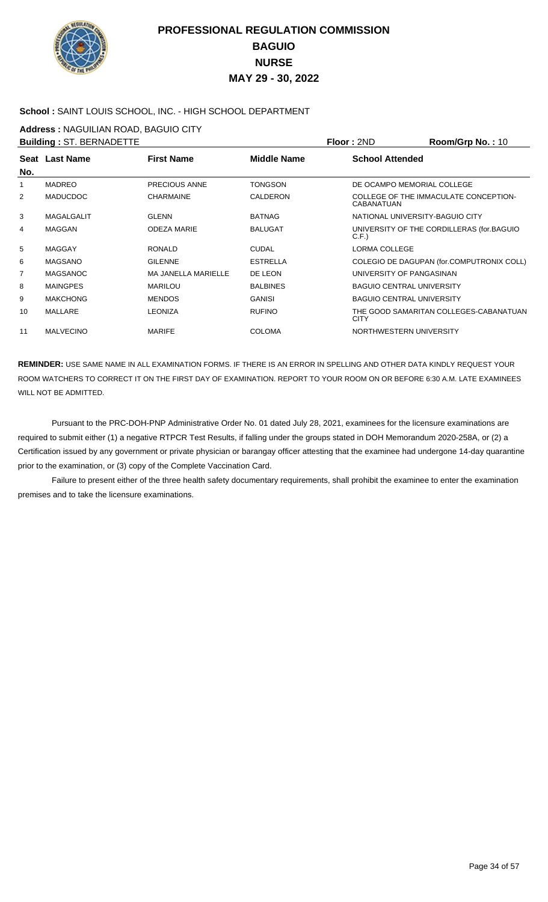

### **School :** SAINT LOUIS SCHOOL, INC. - HIGH SCHOOL DEPARTMENT

**Address :** NAGUILIAN ROAD, BAGUIO CITY

|                | <b>Building: ST. BERNADETTE</b> |                            |                 | Floor: 2ND                       | Room/Grp No.: 10                          |
|----------------|---------------------------------|----------------------------|-----------------|----------------------------------|-------------------------------------------|
| No.            | Seat Last Name                  | <b>First Name</b>          | Middle Name     | <b>School Attended</b>           |                                           |
| 1              | <b>MADREO</b>                   | PRECIOUS ANNE              | <b>TONGSON</b>  | DE OCAMPO MEMORIAL COLLEGE       |                                           |
| $\overline{2}$ | <b>MADUCDOC</b>                 | <b>CHARMAINE</b>           | <b>CALDERON</b> | <b>CABANATUAN</b>                | COLLEGE OF THE IMMACULATE CONCEPTION-     |
| 3              | <b>MAGALGALIT</b>               | <b>GLENN</b>               | <b>BATNAG</b>   | NATIONAL UNIVERSITY-BAGUIO CITY  |                                           |
| 4              | <b>MAGGAN</b>                   | <b>ODEZA MARIE</b>         | <b>BALUGAT</b>  | C.F.                             | UNIVERSITY OF THE CORDILLERAS (for.BAGUIO |
| 5              | <b>MAGGAY</b>                   | <b>RONALD</b>              | <b>CUDAL</b>    | LORMA COLLEGE                    |                                           |
| 6              | <b>MAGSANO</b>                  | <b>GILENNE</b>             | <b>ESTRELLA</b> |                                  | COLEGIO DE DAGUPAN (for.COMPUTRONIX COLL) |
| 7              | <b>MAGSANOC</b>                 | <b>MA JANELLA MARIELLE</b> | DE LEON         | UNIVERSITY OF PANGASINAN         |                                           |
| 8              | <b>MAINGPES</b>                 | <b>MARILOU</b>             | <b>BALBINES</b> | <b>BAGUIO CENTRAL UNIVERSITY</b> |                                           |
| 9              | <b>MAKCHONG</b>                 | <b>MENDOS</b>              | <b>GANISI</b>   | <b>BAGUIO CENTRAL UNIVERSITY</b> |                                           |
| 10             | MALLARE                         | <b>LEONIZA</b>             | <b>RUFINO</b>   | <b>CITY</b>                      | THE GOOD SAMARITAN COLLEGES-CABANATUAN    |
| 11             | <b>MALVECINO</b>                | <b>MARIFE</b>              | <b>COLOMA</b>   | NORTHWESTERN UNIVERSITY          |                                           |
|                |                                 |                            |                 |                                  |                                           |

**REMINDER:** USE SAME NAME IN ALL EXAMINATION FORMS. IF THERE IS AN ERROR IN SPELLING AND OTHER DATA KINDLY REQUEST YOUR ROOM WATCHERS TO CORRECT IT ON THE FIRST DAY OF EXAMINATION. REPORT TO YOUR ROOM ON OR BEFORE 6:30 A.M. LATE EXAMINEES WILL NOT BE ADMITTED.

 Pursuant to the PRC-DOH-PNP Administrative Order No. 01 dated July 28, 2021, examinees for the licensure examinations are required to submit either (1) a negative RTPCR Test Results, if falling under the groups stated in DOH Memorandum 2020-258A, or (2) a Certification issued by any government or private physician or barangay officer attesting that the examinee had undergone 14-day quarantine prior to the examination, or (3) copy of the Complete Vaccination Card.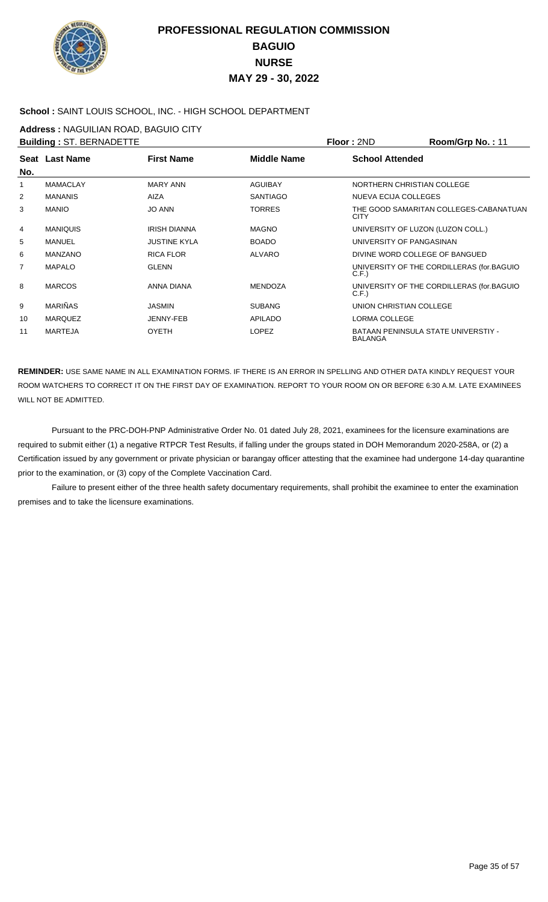

#### **School :** SAINT LOUIS SCHOOL, INC. - HIGH SCHOOL DEPARTMENT

**Address :** NAGUILIAN ROAD, BAGUIO CITY

|                | <b>Building: ST. BERNADETTE</b> |                     |                    | Floor: 2ND                        | Room/Grp No.: 11                          |
|----------------|---------------------------------|---------------------|--------------------|-----------------------------------|-------------------------------------------|
| No.            | Seat Last Name                  | <b>First Name</b>   | <b>Middle Name</b> | <b>School Attended</b>            |                                           |
| 1              | <b>MAMACLAY</b>                 | <b>MARY ANN</b>     | <b>AGUIBAY</b>     | NORTHERN CHRISTIAN COLLEGE        |                                           |
| 2              | <b>MANANIS</b>                  | <b>AIZA</b>         | <b>SANTIAGO</b>    | NUEVA ECIJA COLLEGES              |                                           |
| 3              | <b>MANIO</b>                    | <b>JO ANN</b>       | <b>TORRES</b>      | <b>CITY</b>                       | THE GOOD SAMARITAN COLLEGES-CABANATUAN    |
| 4              | <b>MANIOUIS</b>                 | <b>IRISH DIANNA</b> | <b>MAGNO</b>       | UNIVERSITY OF LUZON (LUZON COLL.) |                                           |
| 5              | <b>MANUEL</b>                   | <b>JUSTINE KYLA</b> | <b>BOADO</b>       | UNIVERSITY OF PANGASINAN          |                                           |
| 6              | MANZANO                         | <b>RICA FLOR</b>    | <b>ALVARO</b>      | DIVINE WORD COLLEGE OF BANGUED    |                                           |
| $\overline{7}$ | <b>MAPALO</b>                   | <b>GLENN</b>        |                    | C.F.                              | UNIVERSITY OF THE CORDILLERAS (for.BAGUIO |
| 8              | <b>MARCOS</b>                   | <b>ANNA DIANA</b>   | <b>MENDOZA</b>     | C.F.                              | UNIVERSITY OF THE CORDILLERAS (for BAGUIO |
| 9              | <b>MARIÑAS</b>                  | <b>JASMIN</b>       | <b>SUBANG</b>      | UNION CHRISTIAN COLLEGE           |                                           |
| 10             | <b>MARQUEZ</b>                  | JENNY-FEB           | <b>APILADO</b>     | LORMA COLLEGE                     |                                           |
| 11             | <b>MARTEJA</b>                  | <b>OYETH</b>        | <b>LOPEZ</b>       | <b>BALANGA</b>                    | BATAAN PENINSULA STATE UNIVERSTIY -       |

**REMINDER:** USE SAME NAME IN ALL EXAMINATION FORMS. IF THERE IS AN ERROR IN SPELLING AND OTHER DATA KINDLY REQUEST YOUR ROOM WATCHERS TO CORRECT IT ON THE FIRST DAY OF EXAMINATION. REPORT TO YOUR ROOM ON OR BEFORE 6:30 A.M. LATE EXAMINEES WILL NOT BE ADMITTED.

 Pursuant to the PRC-DOH-PNP Administrative Order No. 01 dated July 28, 2021, examinees for the licensure examinations are required to submit either (1) a negative RTPCR Test Results, if falling under the groups stated in DOH Memorandum 2020-258A, or (2) a Certification issued by any government or private physician or barangay officer attesting that the examinee had undergone 14-day quarantine prior to the examination, or (3) copy of the Complete Vaccination Card.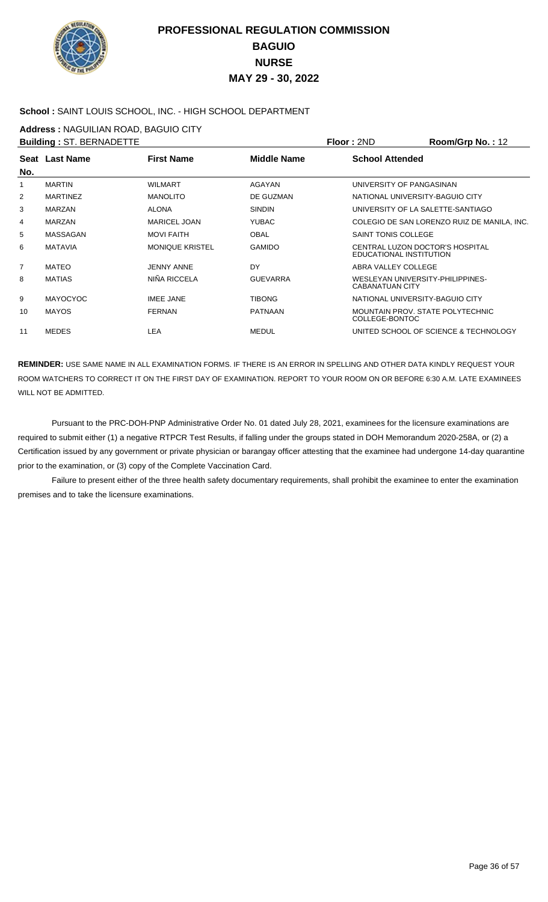

### **School :** SAINT LOUIS SCHOOL, INC. - HIGH SCHOOL DEPARTMENT

**Address :** NAGUILIAN ROAD, BAGUIO CITY

|                | <b>Building: ST. BERNADETTE</b> |                     |                    | Floor: 2ND                                                 | Room/Grp No.: 12                            |
|----------------|---------------------------------|---------------------|--------------------|------------------------------------------------------------|---------------------------------------------|
|                | Seat Last Name                  | <b>First Name</b>   | <b>Middle Name</b> | <b>School Attended</b>                                     |                                             |
| No.            |                                 |                     |                    |                                                            |                                             |
| 1              | <b>MARTIN</b>                   | WILMART             | AGAYAN             | UNIVERSITY OF PANGASINAN                                   |                                             |
| 2              | <b>MARTINEZ</b>                 | <b>MANOLITO</b>     | DE GUZMAN          | NATIONAL UNIVERSITY-BAGUIO CITY                            |                                             |
| 3              | <b>MARZAN</b>                   | <b>ALONA</b>        | <b>SINDIN</b>      | UNIVERSITY OF LA SALETTE-SANTIAGO                          |                                             |
| 4              | <b>MARZAN</b>                   | <b>MARICEL JOAN</b> | <b>YUBAC</b>       |                                                            | COLEGIO DE SAN LORENZO RUIZ DE MANILA. INC. |
| 5              | MASSAGAN                        | <b>MOVI FAITH</b>   | <b>OBAL</b>        | SAINT TONIS COLLEGE                                        |                                             |
| 6              | <b>MATAVIA</b>                  | MONIQUE KRISTEL     | <b>GAMIDO</b>      | CENTRAL LUZON DOCTOR'S HOSPITAL<br>EDUCATIONAL INSTITUTION |                                             |
| $\overline{7}$ | <b>MATEO</b>                    | <b>JENNY ANNE</b>   | DY                 | ABRA VALLEY COLLEGE                                        |                                             |
| 8              | <b>MATIAS</b>                   | NIÑA RICCELA        | <b>GUEVARRA</b>    | WESLEYAN UNIVERSITY-PHILIPPINES-<br>CABANATUAN CITY        |                                             |
| 9              | <b>MAYOCYOC</b>                 | <b>IMEE JANE</b>    | <b>TIBONG</b>      | NATIONAL UNIVERSITY-BAGUIO CITY                            |                                             |
| 10             | <b>MAYOS</b>                    | <b>FERNAN</b>       | <b>PATNAAN</b>     | MOUNTAIN PROV. STATE POLYTECHNIC<br>COLLEGE-BONTOC         |                                             |
| 11             | <b>MEDES</b>                    | LEA                 | <b>MEDUL</b>       |                                                            | UNITED SCHOOL OF SCIENCE & TECHNOLOGY       |

**REMINDER:** USE SAME NAME IN ALL EXAMINATION FORMS. IF THERE IS AN ERROR IN SPELLING AND OTHER DATA KINDLY REQUEST YOUR ROOM WATCHERS TO CORRECT IT ON THE FIRST DAY OF EXAMINATION. REPORT TO YOUR ROOM ON OR BEFORE 6:30 A.M. LATE EXAMINEES WILL NOT BE ADMITTED.

 Pursuant to the PRC-DOH-PNP Administrative Order No. 01 dated July 28, 2021, examinees for the licensure examinations are required to submit either (1) a negative RTPCR Test Results, if falling under the groups stated in DOH Memorandum 2020-258A, or (2) a Certification issued by any government or private physician or barangay officer attesting that the examinee had undergone 14-day quarantine prior to the examination, or (3) copy of the Complete Vaccination Card.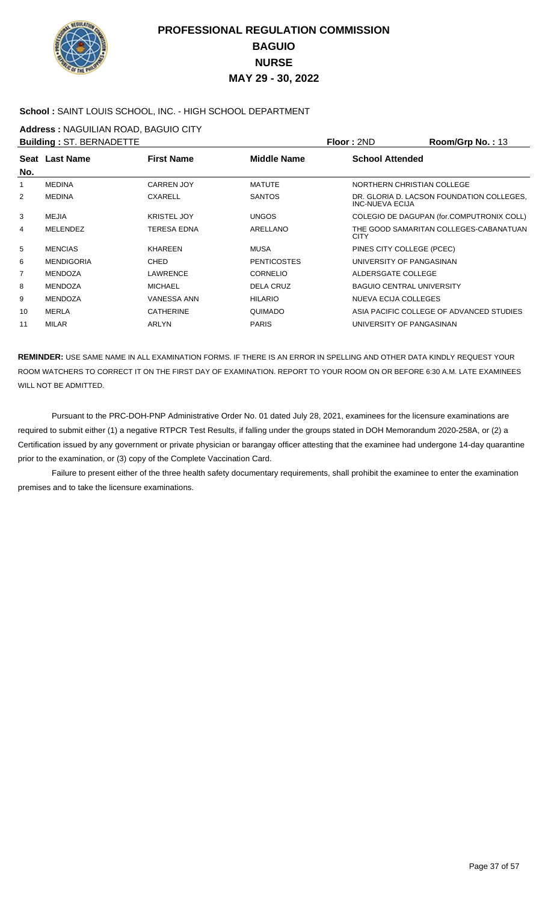

### **School :** SAINT LOUIS SCHOOL, INC. - HIGH SCHOOL DEPARTMENT

**Address :** NAGUILIAN ROAD, BAGUIO CITY

|                | <b>Building: ST. BERNADETTE</b> |                    |                    | Floor: 2ND                       | Room/Grp No.: 13                          |
|----------------|---------------------------------|--------------------|--------------------|----------------------------------|-------------------------------------------|
| No.            | Seat Last Name                  | <b>First Name</b>  | Middle Name        | <b>School Attended</b>           |                                           |
| 1              | <b>MEDINA</b>                   | <b>CARREN JOY</b>  | <b>MATUTE</b>      | NORTHERN CHRISTIAN COLLEGE       |                                           |
| $\overline{2}$ | <b>MEDINA</b>                   | <b>CXARELL</b>     | <b>SANTOS</b>      | INC-NUEVA ECIJA                  | DR. GLORIA D. LACSON FOUNDATION COLLEGES, |
| 3              | MEJIA                           | <b>KRISTEL JOY</b> | <b>UNGOS</b>       |                                  | COLEGIO DE DAGUPAN (for.COMPUTRONIX COLL) |
| 4              | <b>MELENDEZ</b>                 | <b>TERESA EDNA</b> | ARELLANO           | <b>CITY</b>                      | THE GOOD SAMARITAN COLLEGES-CABANATUAN    |
| 5              | <b>MENCIAS</b>                  | <b>KHAREEN</b>     | MUSA               | PINES CITY COLLEGE (PCEC)        |                                           |
| 6              | <b>MENDIGORIA</b>               | <b>CHED</b>        | <b>PENTICOSTES</b> | UNIVERSITY OF PANGASINAN         |                                           |
| 7              | <b>MENDOZA</b>                  | <b>LAWRENCE</b>    | <b>CORNELIO</b>    | ALDERSGATE COLLEGE               |                                           |
| 8              | <b>MENDOZA</b>                  | <b>MICHAEL</b>     | <b>DELA CRUZ</b>   | <b>BAGUIO CENTRAL UNIVERSITY</b> |                                           |
| 9              | <b>MENDOZA</b>                  | <b>VANESSA ANN</b> | <b>HILARIO</b>     | <b>NUEVA ECIJA COLLEGES</b>      |                                           |
| 10             | <b>MERLA</b>                    | <b>CATHERINE</b>   | <b>OUIMADO</b>     |                                  | ASIA PACIFIC COLLEGE OF ADVANCED STUDIES  |
| 11             | MILAR                           | ARLYN              | <b>PARIS</b>       | UNIVERSITY OF PANGASINAN         |                                           |
|                |                                 |                    |                    |                                  |                                           |

**REMINDER:** USE SAME NAME IN ALL EXAMINATION FORMS. IF THERE IS AN ERROR IN SPELLING AND OTHER DATA KINDLY REQUEST YOUR ROOM WATCHERS TO CORRECT IT ON THE FIRST DAY OF EXAMINATION. REPORT TO YOUR ROOM ON OR BEFORE 6:30 A.M. LATE EXAMINEES WILL NOT BE ADMITTED.

 Pursuant to the PRC-DOH-PNP Administrative Order No. 01 dated July 28, 2021, examinees for the licensure examinations are required to submit either (1) a negative RTPCR Test Results, if falling under the groups stated in DOH Memorandum 2020-258A, or (2) a Certification issued by any government or private physician or barangay officer attesting that the examinee had undergone 14-day quarantine prior to the examination, or (3) copy of the Complete Vaccination Card.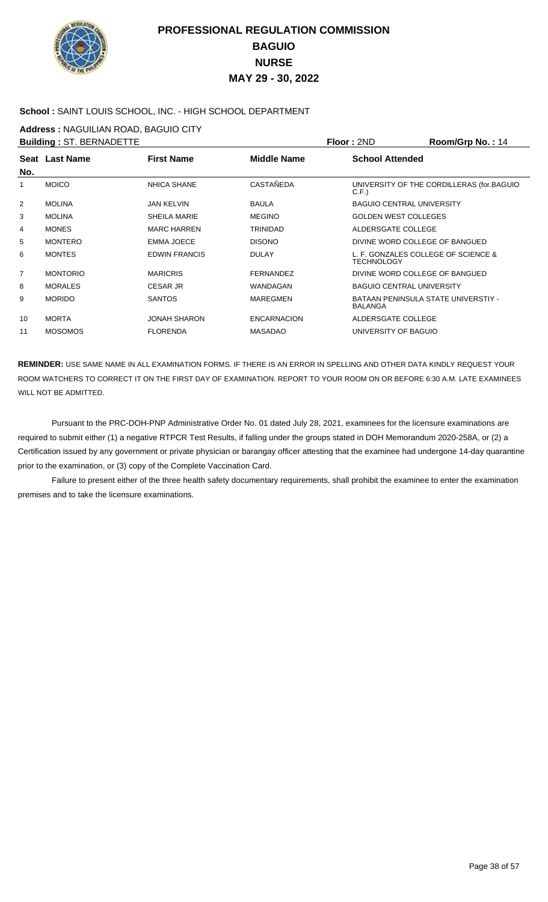

### **School :** SAINT LOUIS SCHOOL, INC. - HIGH SCHOOL DEPARTMENT

**Address :** NAGUILIAN ROAD, BAGUIO CITY

|                | <b>Building: ST. BERNADETTE</b> |                      |                    | Floor: 2ND                                               | Room/Grp No.: 14                          |
|----------------|---------------------------------|----------------------|--------------------|----------------------------------------------------------|-------------------------------------------|
| No.            | Seat Last Name                  | <b>First Name</b>    | <b>Middle Name</b> | <b>School Attended</b>                                   |                                           |
| $\mathbf{1}$   | <b>MOICO</b>                    | <b>NHICA SHANE</b>   | <b>CASTAÑEDA</b>   | C.F.                                                     | UNIVERSITY OF THE CORDILLERAS (for.BAGUIO |
| $\overline{2}$ | <b>MOLINA</b>                   | <b>JAN KELVIN</b>    | <b>BAULA</b>       | <b>BAGUIO CENTRAL UNIVERSITY</b>                         |                                           |
| 3              | <b>MOLINA</b>                   | <b>SHEILA MARIE</b>  | <b>MEGINO</b>      | <b>GOLDEN WEST COLLEGES</b>                              |                                           |
| 4              | <b>MONES</b>                    | <b>MARC HARREN</b>   | TRINIDAD           | ALDERSGATE COLLEGE                                       |                                           |
| 5              | <b>MONTERO</b>                  | <b>EMMA JOECE</b>    | <b>DISONO</b>      | DIVINE WORD COLLEGE OF BANGUED                           |                                           |
| 6              | <b>MONTES</b>                   | <b>EDWIN FRANCIS</b> | <b>DULAY</b>       | L. F. GONZALES COLLEGE OF SCIENCE &<br><b>TECHNOLOGY</b> |                                           |
| 7              | <b>MONTORIO</b>                 | <b>MARICRIS</b>      | <b>FERNANDEZ</b>   | DIVINE WORD COLLEGE OF BANGUED                           |                                           |
| 8              | <b>MORALES</b>                  | <b>CESAR JR</b>      | WANDAGAN           | <b>BAGUIO CENTRAL UNIVERSITY</b>                         |                                           |
| 9              | <b>MORIDO</b>                   | <b>SANTOS</b>        | <b>MAREGMEN</b>    | <b>BALANGA</b>                                           | BATAAN PENINSULA STATE UNIVERSTIY -       |
| 10             | <b>MORTA</b>                    | <b>JONAH SHARON</b>  | <b>ENCARNACION</b> | ALDERSGATE COLLEGE                                       |                                           |
| 11             | <b>MOSOMOS</b>                  | <b>FLORENDA</b>      | <b>MASADAO</b>     | UNIVERSITY OF BAGUIO                                     |                                           |

**REMINDER:** USE SAME NAME IN ALL EXAMINATION FORMS. IF THERE IS AN ERROR IN SPELLING AND OTHER DATA KINDLY REQUEST YOUR ROOM WATCHERS TO CORRECT IT ON THE FIRST DAY OF EXAMINATION. REPORT TO YOUR ROOM ON OR BEFORE 6:30 A.M. LATE EXAMINEES WILL NOT BE ADMITTED.

 Pursuant to the PRC-DOH-PNP Administrative Order No. 01 dated July 28, 2021, examinees for the licensure examinations are required to submit either (1) a negative RTPCR Test Results, if falling under the groups stated in DOH Memorandum 2020-258A, or (2) a Certification issued by any government or private physician or barangay officer attesting that the examinee had undergone 14-day quarantine prior to the examination, or (3) copy of the Complete Vaccination Card.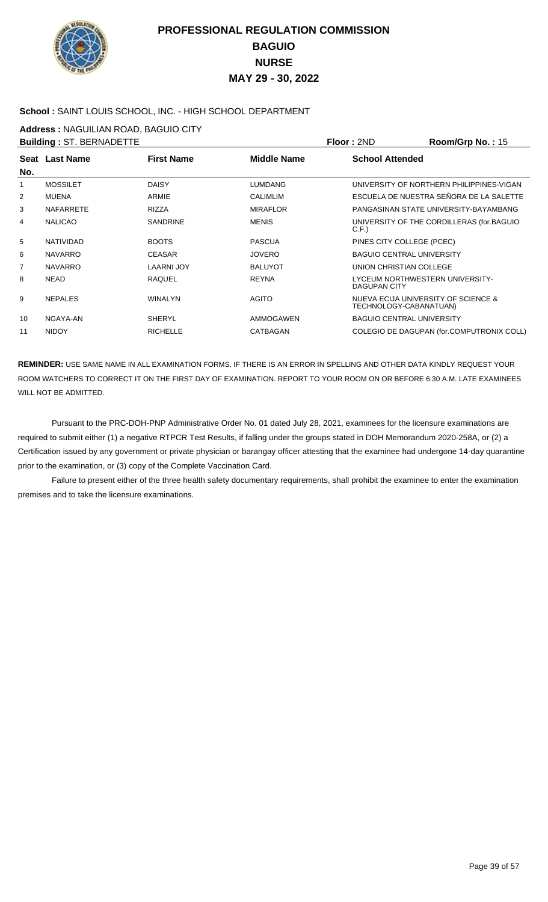

### **School :** SAINT LOUIS SCHOOL, INC. - HIGH SCHOOL DEPARTMENT

**Address :** NAGUILIAN ROAD, BAGUIO CITY

|                | <b>Building: ST. BERNADETTE</b> |                   |                 | Floor: 2ND                                                    | Room/Grp No.: 15                          |
|----------------|---------------------------------|-------------------|-----------------|---------------------------------------------------------------|-------------------------------------------|
| No.            | Seat Last Name                  | <b>First Name</b> | Middle Name     | <b>School Attended</b>                                        |                                           |
| 1              | <b>MOSSILET</b>                 | <b>DAISY</b>      | <b>LUMDANG</b>  |                                                               | UNIVERSITY OF NORTHERN PHILIPPINES-VIGAN  |
| $\overline{2}$ | <b>MUENA</b>                    | <b>ARMIE</b>      | <b>CALIMLIM</b> |                                                               | ESCUELA DE NUESTRA SEÑORA DE LA SALETTE   |
| 3              | <b>NAFARRETE</b>                | <b>RIZZA</b>      | <b>MIRAFLOR</b> |                                                               | PANGASINAN STATE UNIVERSITY-BAYAMBANG     |
| 4              | <b>NALICAO</b>                  | <b>SANDRINE</b>   | <b>MENIS</b>    | C.F.                                                          | UNIVERSITY OF THE CORDILLERAS (for.BAGUIO |
| 5              | <b>NATIVIDAD</b>                | <b>BOOTS</b>      | <b>PASCUA</b>   | PINES CITY COLLEGE (PCEC)                                     |                                           |
| 6              | <b>NAVARRO</b>                  | <b>CEASAR</b>     | <b>JOVERO</b>   | <b>BAGUIO CENTRAL UNIVERSITY</b>                              |                                           |
| 7              | <b>NAVARRO</b>                  | <b>LAARNI JOY</b> | <b>BALUYOT</b>  | UNION CHRISTIAN COLLEGE                                       |                                           |
| 8              | <b>NEAD</b>                     | <b>RAOUEL</b>     | <b>REYNA</b>    | LYCEUM NORTHWESTERN UNIVERSITY-<br>DAGUPAN CITY               |                                           |
| 9              | <b>NEPALES</b>                  | <b>WINALYN</b>    | <b>AGITO</b>    | NUEVA ECIJA UNIVERSITY OF SCIENCE &<br>TECHNOLOGY-CABANATUAN) |                                           |
| 10             | NGAYA-AN                        | <b>SHERYL</b>     | AMMOGAWEN       | <b>BAGUIO CENTRAL UNIVERSITY</b>                              |                                           |
| 11             | <b>NIDOY</b>                    | <b>RICHELLE</b>   | CATBAGAN        |                                                               | COLEGIO DE DAGUPAN (for.COMPUTRONIX COLL) |
|                |                                 |                   |                 |                                                               |                                           |

**REMINDER:** USE SAME NAME IN ALL EXAMINATION FORMS. IF THERE IS AN ERROR IN SPELLING AND OTHER DATA KINDLY REQUEST YOUR ROOM WATCHERS TO CORRECT IT ON THE FIRST DAY OF EXAMINATION. REPORT TO YOUR ROOM ON OR BEFORE 6:30 A.M. LATE EXAMINEES WILL NOT BE ADMITTED.

 Pursuant to the PRC-DOH-PNP Administrative Order No. 01 dated July 28, 2021, examinees for the licensure examinations are required to submit either (1) a negative RTPCR Test Results, if falling under the groups stated in DOH Memorandum 2020-258A, or (2) a Certification issued by any government or private physician or barangay officer attesting that the examinee had undergone 14-day quarantine prior to the examination, or (3) copy of the Complete Vaccination Card.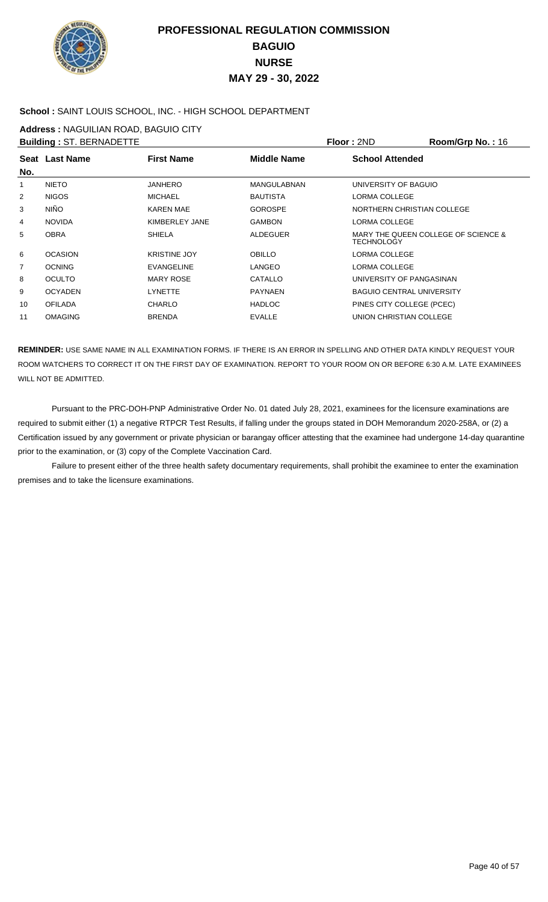

### **School :** SAINT LOUIS SCHOOL, INC. - HIGH SCHOOL DEPARTMENT

**Address :** NAGUILIAN ROAD, BAGUIO CITY

|                | <b>Building: ST. BERNADETTE</b> |                     |                    | Floor: 2ND                       | Room/Grp No.: 16                    |
|----------------|---------------------------------|---------------------|--------------------|----------------------------------|-------------------------------------|
|                | Seat Last Name                  | <b>First Name</b>   | Middle Name        | <b>School Attended</b>           |                                     |
| No.            |                                 |                     |                    |                                  |                                     |
| 1              | <b>NIETO</b>                    | <b>JANHERO</b>      | <b>MANGULABNAN</b> | UNIVERSITY OF BAGUIO             |                                     |
| 2              | <b>NIGOS</b>                    | <b>MICHAEL</b>      | <b>BAUTISTA</b>    | LORMA COLLEGE                    |                                     |
| 3              | <b>NIÑO</b>                     | <b>KAREN MAE</b>    | <b>GOROSPE</b>     | NORTHERN CHRISTIAN COLLEGE       |                                     |
| 4              | <b>NOVIDA</b>                   | KIMBERLEY JANE      | <b>GAMBON</b>      | LORMA COLLEGE                    |                                     |
| 5              | <b>OBRA</b>                     | <b>SHIELA</b>       | <b>ALDEGUER</b>    | <b>TECHNOLOGY</b>                | MARY THE OUEEN COLLEGE OF SCIENCE & |
| 6              | <b>OCASION</b>                  | <b>KRISTINE JOY</b> | <b>OBILLO</b>      | LORMA COLLEGE                    |                                     |
| $\overline{7}$ | <b>OCNING</b>                   | <b>EVANGELINE</b>   | <b>LANGEO</b>      | LORMA COLLEGE                    |                                     |
| 8              | <b>OCULTO</b>                   | <b>MARY ROSE</b>    | CATALLO            | UNIVERSITY OF PANGASINAN         |                                     |
| 9              | <b>OCYADEN</b>                  | <b>LYNETTE</b>      | <b>PAYNAEN</b>     | <b>BAGUIO CENTRAL UNIVERSITY</b> |                                     |
| 10             | <b>OFILADA</b>                  | <b>CHARLO</b>       | <b>HADLOC</b>      | PINES CITY COLLEGE (PCEC)        |                                     |
| 11             | <b>OMAGING</b>                  | <b>BRENDA</b>       | <b>EVALLE</b>      | UNION CHRISTIAN COLLEGE          |                                     |
|                |                                 |                     |                    |                                  |                                     |

**REMINDER:** USE SAME NAME IN ALL EXAMINATION FORMS. IF THERE IS AN ERROR IN SPELLING AND OTHER DATA KINDLY REQUEST YOUR ROOM WATCHERS TO CORRECT IT ON THE FIRST DAY OF EXAMINATION. REPORT TO YOUR ROOM ON OR BEFORE 6:30 A.M. LATE EXAMINEES WILL NOT BE ADMITTED.

 Pursuant to the PRC-DOH-PNP Administrative Order No. 01 dated July 28, 2021, examinees for the licensure examinations are required to submit either (1) a negative RTPCR Test Results, if falling under the groups stated in DOH Memorandum 2020-258A, or (2) a Certification issued by any government or private physician or barangay officer attesting that the examinee had undergone 14-day quarantine prior to the examination, or (3) copy of the Complete Vaccination Card.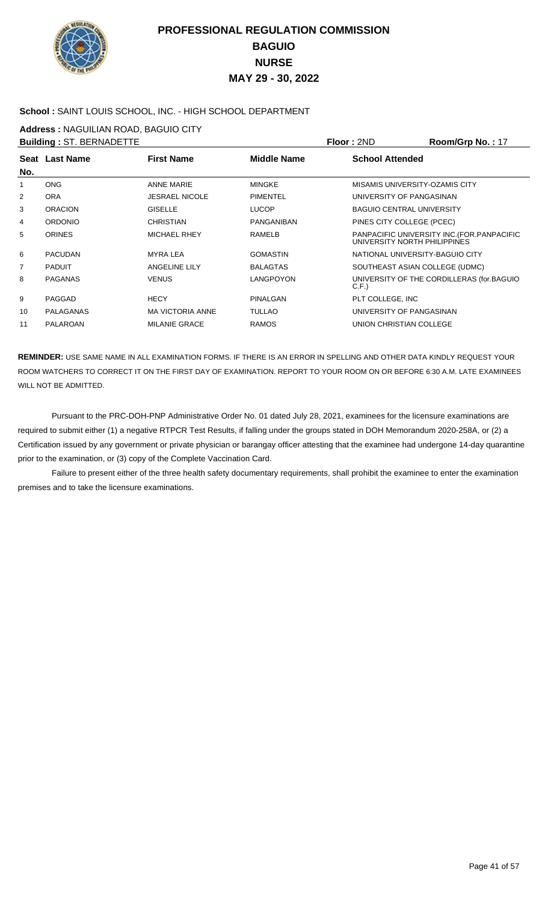

### **School :** SAINT LOUIS SCHOOL, INC. - HIGH SCHOOL DEPARTMENT

**Address :** NAGUILIAN ROAD, BAGUIO CITY

|     | <b>Building: ST. BERNADETTE</b> |                         |                    | Floor: 2ND                       | Room/Grp No.: 17                            |
|-----|---------------------------------|-------------------------|--------------------|----------------------------------|---------------------------------------------|
|     | Seat Last Name                  | <b>First Name</b>       | <b>Middle Name</b> | <b>School Attended</b>           |                                             |
| No. |                                 |                         |                    |                                  |                                             |
| 1   | <b>ONG</b>                      | <b>ANNE MARIE</b>       | <b>MINGKE</b>      | MISAMIS UNIVERSITY-OZAMIS CITY   |                                             |
| 2   | <b>ORA</b>                      | <b>JESRAEL NICOLE</b>   | <b>PIMENTEL</b>    | UNIVERSITY OF PANGASINAN         |                                             |
| 3   | <b>ORACION</b>                  | <b>GISELLE</b>          | <b>LUCOP</b>       | <b>BAGUIO CENTRAL UNIVERSITY</b> |                                             |
| 4   | <b>ORDONIO</b>                  | <b>CHRISTIAN</b>        | PANGANIBAN         | PINES CITY COLLEGE (PCEC)        |                                             |
| 5   | <b>ORINES</b>                   | <b>MICHAEL RHEY</b>     | <b>RAMELB</b>      | UNIVERSITY NORTH PHILIPPINES     | PANPACIFIC UNIVERSITY INC. (FOR. PANPACIFIC |
| 6   | <b>PACUDAN</b>                  | <b>MYRA LEA</b>         | <b>GOMASTIN</b>    | NATIONAL UNIVERSITY-BAGUIO CITY  |                                             |
| 7   | <b>PADUIT</b>                   | <b>ANGELINE LILY</b>    | <b>BALAGTAS</b>    | SOUTHEAST ASIAN COLLEGE (UDMC)   |                                             |
| 8   | <b>PAGANAS</b>                  | <b>VENUS</b>            | LANGPOYON          | C.F.                             | UNIVERSITY OF THE CORDILLERAS (for.BAGUIO   |
| 9   | PAGGAD                          | <b>HECY</b>             | PINALGAN           | PLT COLLEGE, INC                 |                                             |
| 10  | <b>PALAGANAS</b>                | <b>MA VICTORIA ANNE</b> | <b>TULLAO</b>      | UNIVERSITY OF PANGASINAN         |                                             |
| 11  | PALAROAN                        | <b>MILANIE GRACE</b>    | <b>RAMOS</b>       | UNION CHRISTIAN COLLEGE          |                                             |

**REMINDER:** USE SAME NAME IN ALL EXAMINATION FORMS. IF THERE IS AN ERROR IN SPELLING AND OTHER DATA KINDLY REQUEST YOUR ROOM WATCHERS TO CORRECT IT ON THE FIRST DAY OF EXAMINATION. REPORT TO YOUR ROOM ON OR BEFORE 6:30 A.M. LATE EXAMINEES WILL NOT BE ADMITTED.

 Pursuant to the PRC-DOH-PNP Administrative Order No. 01 dated July 28, 2021, examinees for the licensure examinations are required to submit either (1) a negative RTPCR Test Results, if falling under the groups stated in DOH Memorandum 2020-258A, or (2) a Certification issued by any government or private physician or barangay officer attesting that the examinee had undergone 14-day quarantine prior to the examination, or (3) copy of the Complete Vaccination Card.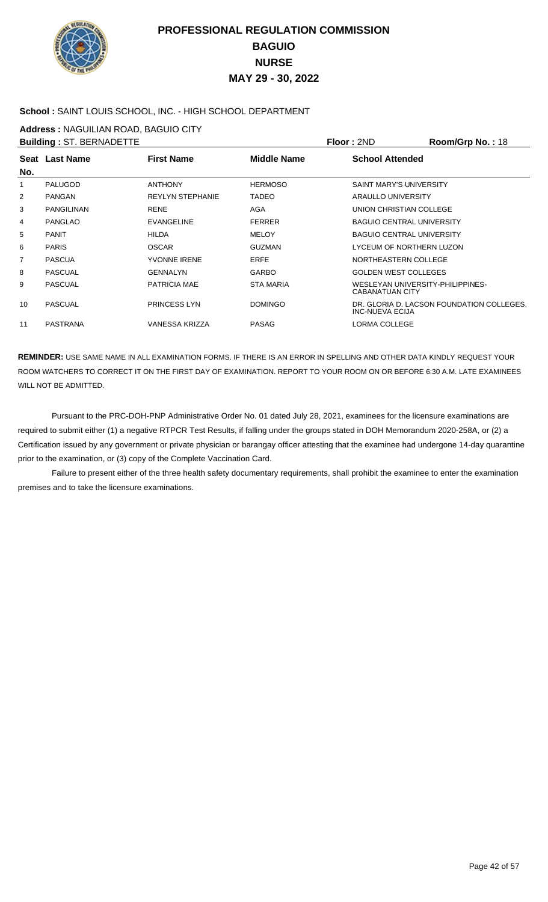

### **School :** SAINT LOUIS SCHOOL, INC. - HIGH SCHOOL DEPARTMENT

**Address :** NAGUILIAN ROAD, BAGUIO CITY

|     | <b>Building: ST. BERNADETTE</b> |                         |                  | Floor: 2ND                                                 | <b>Room/Grp No.: 18</b>                   |
|-----|---------------------------------|-------------------------|------------------|------------------------------------------------------------|-------------------------------------------|
| No. | Seat Last Name                  | <b>First Name</b>       | Middle Name      | <b>School Attended</b>                                     |                                           |
| 1   | <b>PALUGOD</b>                  | <b>ANTHONY</b>          | <b>HERMOSO</b>   | SAINT MARY'S UNIVERSITY                                    |                                           |
| 2   | <b>PANGAN</b>                   | <b>REYLYN STEPHANIE</b> | <b>TADEO</b>     | ARAULLO UNIVERSITY                                         |                                           |
| 3   | <b>PANGILINAN</b>               | <b>RENE</b>             | <b>AGA</b>       | UNION CHRISTIAN COLLEGE                                    |                                           |
| 4   | <b>PANGLAO</b>                  | <b>EVANGELINE</b>       | <b>FERRER</b>    | <b>BAGUIO CENTRAL UNIVERSITY</b>                           |                                           |
| 5   | <b>PANIT</b>                    | <b>HILDA</b>            | <b>MELOY</b>     | <b>BAGUIO CENTRAL UNIVERSITY</b>                           |                                           |
| 6   | <b>PARIS</b>                    | <b>OSCAR</b>            | <b>GUZMAN</b>    | LYCEUM OF NORTHERN LUZON                                   |                                           |
| 7   | <b>PASCUA</b>                   | <b>YVONNE IRENE</b>     | <b>ERFE</b>      | NORTHEASTERN COLLEGE                                       |                                           |
| 8   | <b>PASCUAL</b>                  | <b>GENNALYN</b>         | <b>GARBO</b>     | <b>GOLDEN WEST COLLEGES</b>                                |                                           |
| 9   | <b>PASCUAL</b>                  | PATRICIA MAE            | <b>STA MARIA</b> | WESLEYAN UNIVERSITY-PHILIPPINES-<br><b>CABANATUAN CITY</b> |                                           |
| 10  | <b>PASCUAL</b>                  | <b>PRINCESS LYN</b>     | <b>DOMINGO</b>   | <b>INC-NUEVA ECIJA</b>                                     | DR. GLORIA D. LACSON FOUNDATION COLLEGES. |
| 11  | <b>PASTRANA</b>                 | <b>VANESSA KRIZZA</b>   | <b>PASAG</b>     | <b>LORMA COLLEGE</b>                                       |                                           |
|     |                                 |                         |                  |                                                            |                                           |

**REMINDER:** USE SAME NAME IN ALL EXAMINATION FORMS. IF THERE IS AN ERROR IN SPELLING AND OTHER DATA KINDLY REQUEST YOUR ROOM WATCHERS TO CORRECT IT ON THE FIRST DAY OF EXAMINATION. REPORT TO YOUR ROOM ON OR BEFORE 6:30 A.M. LATE EXAMINEES WILL NOT BE ADMITTED.

 Pursuant to the PRC-DOH-PNP Administrative Order No. 01 dated July 28, 2021, examinees for the licensure examinations are required to submit either (1) a negative RTPCR Test Results, if falling under the groups stated in DOH Memorandum 2020-258A, or (2) a Certification issued by any government or private physician or barangay officer attesting that the examinee had undergone 14-day quarantine prior to the examination, or (3) copy of the Complete Vaccination Card.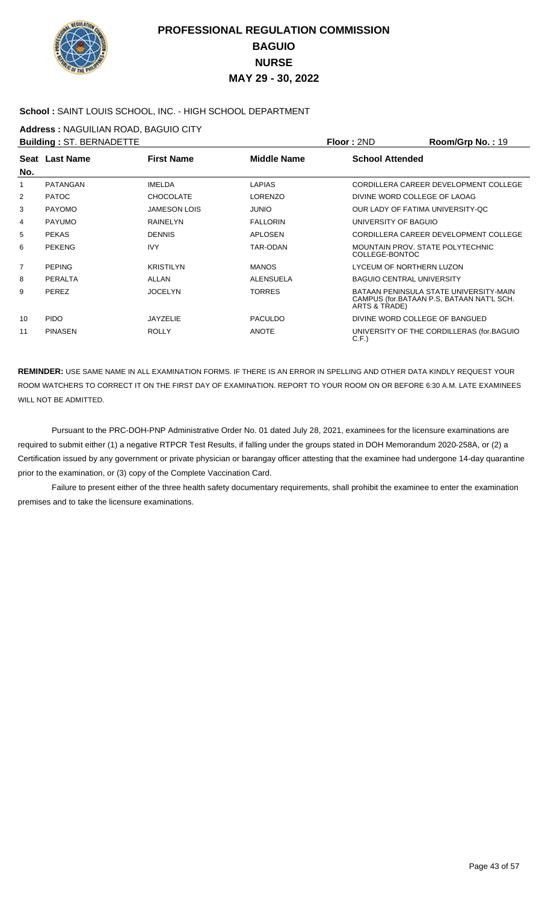

### **School :** SAINT LOUIS SCHOOL, INC. - HIGH SCHOOL DEPARTMENT

**Address :** NAGUILIAN ROAD, BAGUIO CITY

|                | <b>Building: ST. BERNADETTE</b> |                     |                    | Floor: 2ND                                         | Room/Grp No.: 19                                                                    |
|----------------|---------------------------------|---------------------|--------------------|----------------------------------------------------|-------------------------------------------------------------------------------------|
| No.            | Seat Last Name                  | <b>First Name</b>   | <b>Middle Name</b> | <b>School Attended</b>                             |                                                                                     |
| 1              | <b>PATANGAN</b>                 | <b>IMELDA</b>       | <b>LAPIAS</b>      |                                                    | CORDILLERA CAREER DEVELOPMENT COLLEGE                                               |
| 2              | <b>PATOC</b>                    | <b>CHOCOLATE</b>    | <b>LORENZO</b>     | DIVINE WORD COLLEGE OF LAOAG                       |                                                                                     |
| 3              | <b>PAYOMO</b>                   | <b>JAMESON LOIS</b> | <b>JUNIO</b>       | OUR LADY OF FATIMA UNIVERSITY-OC                   |                                                                                     |
| 4              | <b>PAYUMO</b>                   | <b>RAINELYN</b>     | <b>FALLORIN</b>    | UNIVERSITY OF BAGUIO                               |                                                                                     |
| 5              | <b>PEKAS</b>                    | <b>DENNIS</b>       | <b>APLOSEN</b>     |                                                    | CORDILLERA CAREER DEVELOPMENT COLLEGE                                               |
| 6              | <b>PEKENG</b>                   | <b>IVY</b>          | <b>TAR-ODAN</b>    | MOUNTAIN PROV. STATE POLYTECHNIC<br>COLLEGE-BONTOC |                                                                                     |
| $\overline{7}$ | <b>PEPING</b>                   | <b>KRISTILYN</b>    | <b>MANOS</b>       | LYCEUM OF NORTHERN LUZON                           |                                                                                     |
| 8              | PERALTA                         | ALLAN               | <b>ALENSUELA</b>   | <b>BAGUIO CENTRAL UNIVERSITY</b>                   |                                                                                     |
| 9              | <b>PEREZ</b>                    | <b>JOCELYN</b>      | <b>TORRES</b>      | ARTS & TRADE)                                      | BATAAN PENINSULA STATE UNIVERSITY-MAIN<br>CAMPUS (for.BATAAN P.S. BATAAN NAT'L SCH. |
| 10             | <b>PIDO</b>                     | <b>JAYZELIE</b>     | <b>PACULDO</b>     | DIVINE WORD COLLEGE OF BANGUED                     |                                                                                     |
| 11             | <b>PINASEN</b>                  | <b>ROLLY</b>        | <b>ANOTE</b>       | C.F.                                               | UNIVERSITY OF THE CORDILLERAS (for BAGUIO                                           |

**REMINDER:** USE SAME NAME IN ALL EXAMINATION FORMS. IF THERE IS AN ERROR IN SPELLING AND OTHER DATA KINDLY REQUEST YOUR ROOM WATCHERS TO CORRECT IT ON THE FIRST DAY OF EXAMINATION. REPORT TO YOUR ROOM ON OR BEFORE 6:30 A.M. LATE EXAMINEES WILL NOT BE ADMITTED.

 Pursuant to the PRC-DOH-PNP Administrative Order No. 01 dated July 28, 2021, examinees for the licensure examinations are required to submit either (1) a negative RTPCR Test Results, if falling under the groups stated in DOH Memorandum 2020-258A, or (2) a Certification issued by any government or private physician or barangay officer attesting that the examinee had undergone 14-day quarantine prior to the examination, or (3) copy of the Complete Vaccination Card.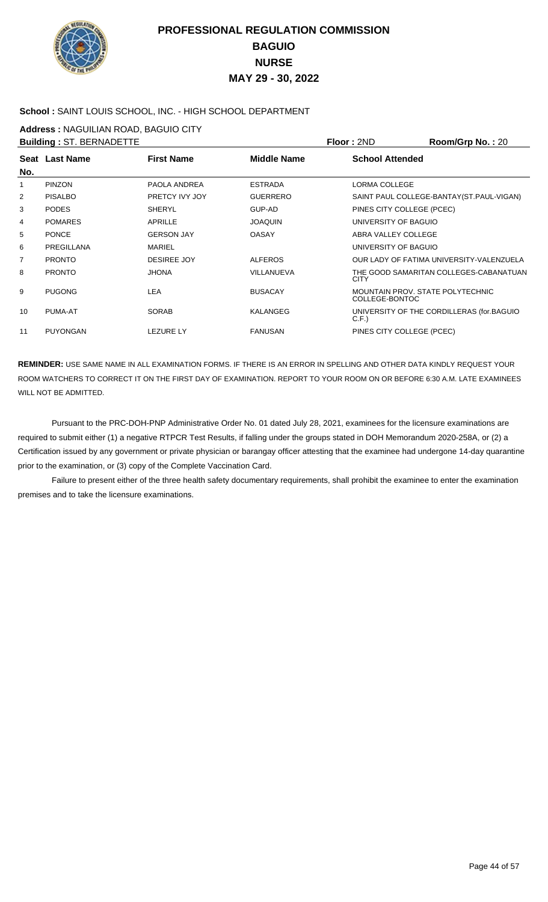

### **School :** SAINT LOUIS SCHOOL, INC. - HIGH SCHOOL DEPARTMENT

**Address :** NAGUILIAN ROAD, BAGUIO CITY

| <b>Building: ST. BERNADETTE</b> |                       |                    |                   | Floor: 2ND                                         | <b>Room/Grp No.: 20</b>                    |
|---------------------------------|-----------------------|--------------------|-------------------|----------------------------------------------------|--------------------------------------------|
| No.                             | <b>Seat Last Name</b> | <b>First Name</b>  | Middle Name       | <b>School Attended</b>                             |                                            |
| 1                               | <b>PINZON</b>         | PAOLA ANDREA       | <b>ESTRADA</b>    | LORMA COLLEGE                                      |                                            |
| $\overline{2}$                  | <b>PISALBO</b>        | PRETCY IVY JOY     | <b>GUERRERO</b>   |                                                    | SAINT PAUL COLLEGE-BANTAY (ST. PAUL-VIGAN) |
| 3                               | <b>PODES</b>          | <b>SHERYL</b>      | GUP-AD            | PINES CITY COLLEGE (PCEC)                          |                                            |
| 4                               | <b>POMARES</b>        | APRILLE            | <b>JOAOUIN</b>    | UNIVERSITY OF BAGUIO                               |                                            |
| 5                               | <b>PONCE</b>          | <b>GERSON JAY</b>  | <b>OASAY</b>      | ABRA VALLEY COLLEGE                                |                                            |
| 6                               | PREGILLANA            | <b>MARIEL</b>      |                   | UNIVERSITY OF BAGUIO                               |                                            |
| 7                               | <b>PRONTO</b>         | <b>DESIREE JOY</b> | <b>ALFEROS</b>    |                                                    | OUR LADY OF FATIMA UNIVERSITY-VALENZUELA   |
| 8                               | <b>PRONTO</b>         | <b>JHONA</b>       | <b>VILLANUEVA</b> | <b>CITY</b>                                        | THE GOOD SAMARITAN COLLEGES-CABANATUAN     |
| 9                               | <b>PUGONG</b>         | <b>LEA</b>         | <b>BUSACAY</b>    | MOUNTAIN PROV. STATE POLYTECHNIC<br>COLLEGE-BONTOC |                                            |
| 10                              | PUMA-AT               | <b>SORAB</b>       | KALANGEG          | C.F.                                               | UNIVERSITY OF THE CORDILLERAS (for BAGUIO  |
| 11                              | <b>PUYONGAN</b>       | <b>LEZURE LY</b>   | <b>FANUSAN</b>    | PINES CITY COLLEGE (PCEC)                          |                                            |

**REMINDER:** USE SAME NAME IN ALL EXAMINATION FORMS. IF THERE IS AN ERROR IN SPELLING AND OTHER DATA KINDLY REQUEST YOUR ROOM WATCHERS TO CORRECT IT ON THE FIRST DAY OF EXAMINATION. REPORT TO YOUR ROOM ON OR BEFORE 6:30 A.M. LATE EXAMINEES WILL NOT BE ADMITTED.

 Pursuant to the PRC-DOH-PNP Administrative Order No. 01 dated July 28, 2021, examinees for the licensure examinations are required to submit either (1) a negative RTPCR Test Results, if falling under the groups stated in DOH Memorandum 2020-258A, or (2) a Certification issued by any government or private physician or barangay officer attesting that the examinee had undergone 14-day quarantine prior to the examination, or (3) copy of the Complete Vaccination Card.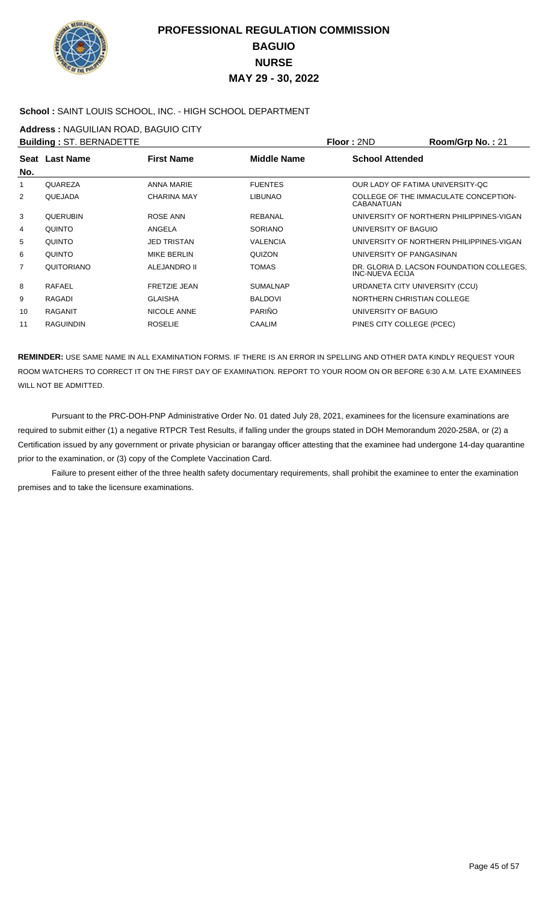

### **School :** SAINT LOUIS SCHOOL, INC. - HIGH SCHOOL DEPARTMENT

**Address :** NAGUILIAN ROAD, BAGUIO CITY

|     | <b>Building: ST. BERNADETTE</b> |                     |                 | Floor: 2ND                       | Room/Grp No.: 21                          |
|-----|---------------------------------|---------------------|-----------------|----------------------------------|-------------------------------------------|
| No. | Seat Last Name                  | <b>First Name</b>   | Middle Name     | <b>School Attended</b>           |                                           |
| 1   | <b>OUAREZA</b>                  | <b>ANNA MARIE</b>   | <b>FUENTES</b>  | OUR LADY OF FATIMA UNIVERSITY-OC |                                           |
| 2   | <b>OUEJADA</b>                  | <b>CHARINA MAY</b>  | <b>LIBUNAO</b>  | CABANATUAN                       | COLLEGE OF THE IMMACULATE CONCEPTION-     |
| 3   | <b>OUERUBIN</b>                 | ROSE ANN            | <b>REBANAL</b>  |                                  | UNIVERSITY OF NORTHERN PHILIPPINES-VIGAN  |
| 4   | <b>OUINTO</b>                   | ANGELA              | <b>SORIANO</b>  | UNIVERSITY OF BAGUIO             |                                           |
| 5   | <b>OUINTO</b>                   | <b>JED TRISTAN</b>  | <b>VALENCIA</b> |                                  | UNIVERSITY OF NORTHERN PHILIPPINES-VIGAN  |
| 6   | <b>OUINTO</b>                   | MIKE BERLIN         | <b>OUIZON</b>   | UNIVERSITY OF PANGASINAN         |                                           |
| 7   | <b>OUITORIANO</b>               | ALEJANDRO II        | <b>TOMAS</b>    | INC-NUEVA ECIJA                  | DR. GLORIA D. LACSON FOUNDATION COLLEGES. |
| 8   | <b>RAFAEL</b>                   | <b>FRETZIE JEAN</b> | <b>SUMALNAP</b> | URDANETA CITY UNIVERSITY (CCU)   |                                           |
| 9   | RAGADI                          | <b>GLAISHA</b>      | <b>BALDOVI</b>  | NORTHERN CHRISTIAN COLLEGE       |                                           |
| 10  | RAGANIT                         | NICOLE ANNE         | PARIÑO          | UNIVERSITY OF BAGUIO             |                                           |
| 11  | <b>RAGUINDIN</b>                | <b>ROSELIE</b>      | <b>CAALIM</b>   | PINES CITY COLLEGE (PCEC)        |                                           |
|     |                                 |                     |                 |                                  |                                           |

**REMINDER:** USE SAME NAME IN ALL EXAMINATION FORMS. IF THERE IS AN ERROR IN SPELLING AND OTHER DATA KINDLY REQUEST YOUR ROOM WATCHERS TO CORRECT IT ON THE FIRST DAY OF EXAMINATION. REPORT TO YOUR ROOM ON OR BEFORE 6:30 A.M. LATE EXAMINEES WILL NOT BE ADMITTED.

 Pursuant to the PRC-DOH-PNP Administrative Order No. 01 dated July 28, 2021, examinees for the licensure examinations are required to submit either (1) a negative RTPCR Test Results, if falling under the groups stated in DOH Memorandum 2020-258A, or (2) a Certification issued by any government or private physician or barangay officer attesting that the examinee had undergone 14-day quarantine prior to the examination, or (3) copy of the Complete Vaccination Card.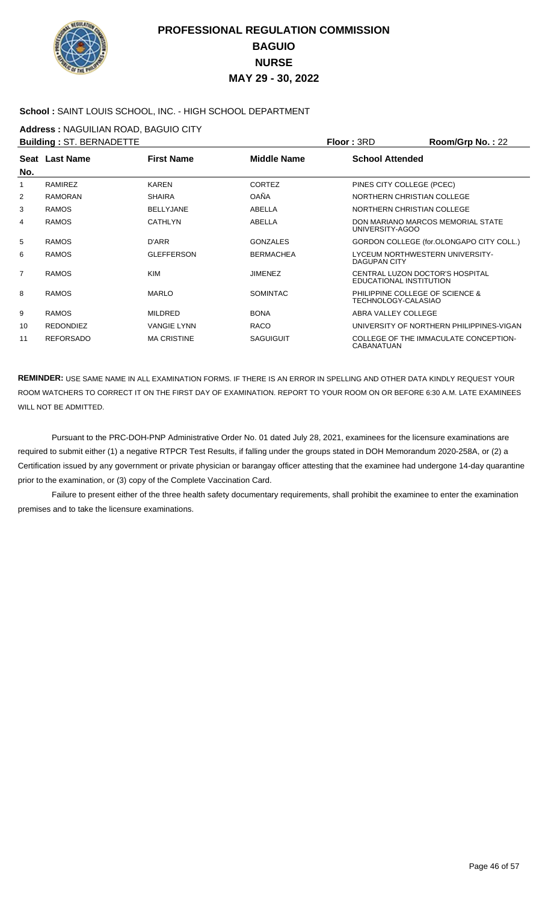

### **School :** SAINT LOUIS SCHOOL, INC. - HIGH SCHOOL DEPARTMENT

**Address :** NAGUILIAN ROAD, BAGUIO CITY

|                | <b>Building: ST. BERNADETTE</b> |                    |                    | Floor: 3RD                                                 | Room/Grp No.: 22                         |
|----------------|---------------------------------|--------------------|--------------------|------------------------------------------------------------|------------------------------------------|
| No.            | Seat Last Name                  | <b>First Name</b>  | <b>Middle Name</b> | <b>School Attended</b>                                     |                                          |
| 1              | <b>RAMIREZ</b>                  | <b>KAREN</b>       | CORTEZ             | PINES CITY COLLEGE (PCEC)                                  |                                          |
| 2              | <b>RAMORAN</b>                  | <b>SHAIRA</b>      | OAÑA               | NORTHERN CHRISTIAN COLLEGE                                 |                                          |
| 3              | <b>RAMOS</b>                    | <b>BELLYJANE</b>   | ABELLA             | NORTHERN CHRISTIAN COLLEGE                                 |                                          |
| 4              | <b>RAMOS</b>                    | <b>CATHLYN</b>     | ABELLA             | UNIVERSITY-AGOO                                            | DON MARIANO MARCOS MEMORIAL STATE        |
| 5              | <b>RAMOS</b>                    | D'ARR              | <b>GONZALES</b>    |                                                            | GORDON COLLEGE (for.OLONGAPO CITY COLL.) |
| 6              | <b>RAMOS</b>                    | <b>GLEFFERSON</b>  | <b>BERMACHEA</b>   | LYCEUM NORTHWESTERN UNIVERSITY-<br>DAGUPAN CITY            |                                          |
| $\overline{7}$ | <b>RAMOS</b>                    | <b>KIM</b>         | <b>JIMENEZ</b>     | CENTRAL LUZON DOCTOR'S HOSPITAL<br>EDUCATIONAL INSTITUTION |                                          |
| 8              | <b>RAMOS</b>                    | <b>MARLO</b>       | <b>SOMINTAC</b>    | PHILIPPINE COLLEGE OF SCIENCE &<br>TECHNOLOGY-CALASIAO     |                                          |
| 9              | <b>RAMOS</b>                    | <b>MILDRED</b>     | <b>BONA</b>        | ABRA VALLEY COLLEGE                                        |                                          |
| 10             | <b>REDONDIEZ</b>                | <b>VANGIE LYNN</b> | <b>RACO</b>        |                                                            | UNIVERSITY OF NORTHERN PHILIPPINES-VIGAN |
| 11             | <b>REFORSADO</b>                | <b>MA CRISTINE</b> | <b>SAGUIGUIT</b>   | <b>CABANATUAN</b>                                          | COLLEGE OF THE IMMACULATE CONCEPTION-    |

**REMINDER:** USE SAME NAME IN ALL EXAMINATION FORMS. IF THERE IS AN ERROR IN SPELLING AND OTHER DATA KINDLY REQUEST YOUR ROOM WATCHERS TO CORRECT IT ON THE FIRST DAY OF EXAMINATION. REPORT TO YOUR ROOM ON OR BEFORE 6:30 A.M. LATE EXAMINEES WILL NOT BE ADMITTED.

 Pursuant to the PRC-DOH-PNP Administrative Order No. 01 dated July 28, 2021, examinees for the licensure examinations are required to submit either (1) a negative RTPCR Test Results, if falling under the groups stated in DOH Memorandum 2020-258A, or (2) a Certification issued by any government or private physician or barangay officer attesting that the examinee had undergone 14-day quarantine prior to the examination, or (3) copy of the Complete Vaccination Card.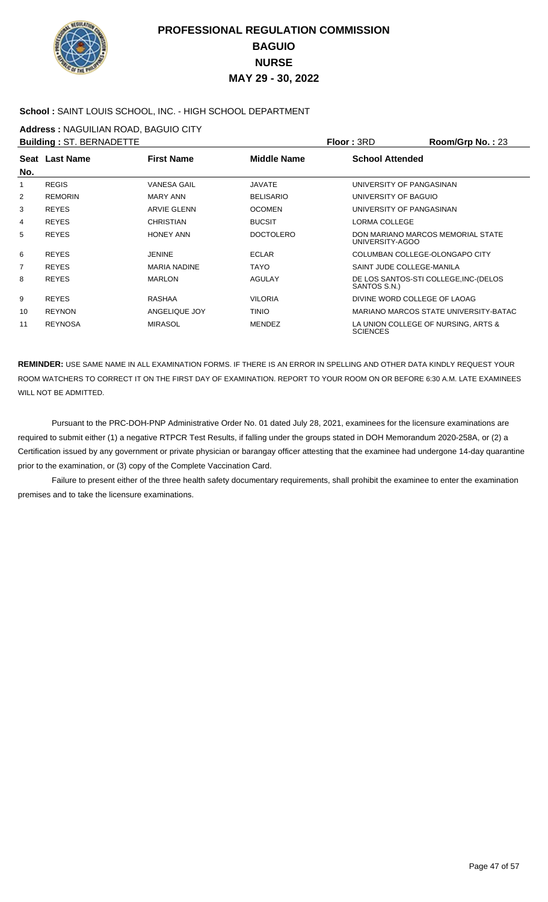

### **School :** SAINT LOUIS SCHOOL, INC. - HIGH SCHOOL DEPARTMENT

**Address :** NAGUILIAN ROAD, BAGUIO CITY

|     | <b>Building: ST. BERNADETTE</b> |                     |                    | Floor: 3RD                     | Room/Grp No.: 23                      |
|-----|---------------------------------|---------------------|--------------------|--------------------------------|---------------------------------------|
|     | Seat Last Name                  | <b>First Name</b>   | <b>Middle Name</b> | <b>School Attended</b>         |                                       |
| No. |                                 |                     |                    |                                |                                       |
| 1   | <b>REGIS</b>                    | <b>VANESA GAIL</b>  | <b>JAVATE</b>      | UNIVERSITY OF PANGASINAN       |                                       |
| 2   | <b>REMORIN</b>                  | MARY ANN            | <b>BELISARIO</b>   | UNIVERSITY OF BAGUIO           |                                       |
| 3   | <b>REYES</b>                    | <b>ARVIE GLENN</b>  | <b>OCOMEN</b>      | UNIVERSITY OF PANGASINAN       |                                       |
| 4   | <b>REYES</b>                    | <b>CHRISTIAN</b>    | <b>BUCSIT</b>      | LORMA COLLEGE                  |                                       |
| 5   | <b>REYES</b>                    | <b>HONEY ANN</b>    | <b>DOCTOLERO</b>   | UNIVERSITY-AGOO                | DON MARIANO MARCOS MEMORIAL STATE     |
| 6   | <b>REYES</b>                    | <b>JENINE</b>       | <b>ECLAR</b>       | COLUMBAN COLLEGE-OLONGAPO CITY |                                       |
| 7   | <b>REYES</b>                    | <b>MARIA NADINE</b> | <b>TAYO</b>        | SAINT JUDE COLLEGE-MANILA      |                                       |
| 8   | <b>REYES</b>                    | <b>MARLON</b>       | <b>AGULAY</b>      | SANTOS S.N.)                   | DE LOS SANTOS-STI COLLEGE, INC-(DELOS |
| 9   | <b>REYES</b>                    | <b>RASHAA</b>       | <b>VILORIA</b>     | DIVINE WORD COLLEGE OF LAOAG   |                                       |
| 10  | <b>REYNON</b>                   | ANGELIQUE JOY       | <b>TINIO</b>       |                                | MARIANO MARCOS STATE UNIVERSITY-BATAC |
| 11  | <b>REYNOSA</b>                  | <b>MIRASOL</b>      | <b>MENDEZ</b>      | <b>SCIENCES</b>                | LA UNION COLLEGE OF NURSING, ARTS &   |

**REMINDER:** USE SAME NAME IN ALL EXAMINATION FORMS. IF THERE IS AN ERROR IN SPELLING AND OTHER DATA KINDLY REQUEST YOUR ROOM WATCHERS TO CORRECT IT ON THE FIRST DAY OF EXAMINATION. REPORT TO YOUR ROOM ON OR BEFORE 6:30 A.M. LATE EXAMINEES WILL NOT BE ADMITTED.

 Pursuant to the PRC-DOH-PNP Administrative Order No. 01 dated July 28, 2021, examinees for the licensure examinations are required to submit either (1) a negative RTPCR Test Results, if falling under the groups stated in DOH Memorandum 2020-258A, or (2) a Certification issued by any government or private physician or barangay officer attesting that the examinee had undergone 14-day quarantine prior to the examination, or (3) copy of the Complete Vaccination Card.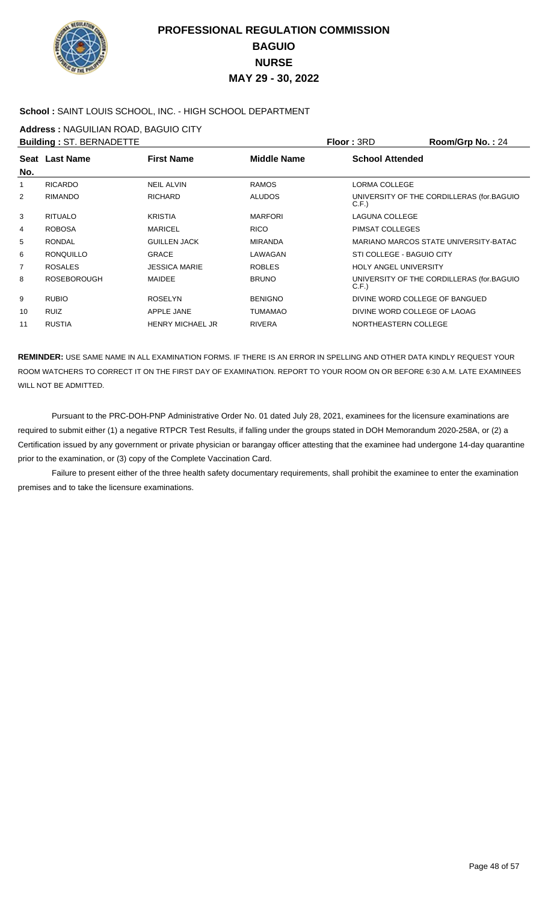

### **School :** SAINT LOUIS SCHOOL, INC. - HIGH SCHOOL DEPARTMENT

**Address :** NAGUILIAN ROAD, BAGUIO CITY

|                | <b>Building: ST. BERNADETTE</b> |                         |                    | <b>Floor: 3RD</b>              | Room/Grp No.: 24                          |
|----------------|---------------------------------|-------------------------|--------------------|--------------------------------|-------------------------------------------|
| No.            | Seat Last Name                  | <b>First Name</b>       | <b>Middle Name</b> | <b>School Attended</b>         |                                           |
| 1              | <b>RICARDO</b>                  | <b>NEIL ALVIN</b>       | <b>RAMOS</b>       | LORMA COLLEGE                  |                                           |
| $\overline{2}$ | <b>RIMANDO</b>                  | <b>RICHARD</b>          | <b>ALUDOS</b>      | C.F.)                          | UNIVERSITY OF THE CORDILLERAS (for.BAGUIO |
| 3              | <b>RITUALO</b>                  | <b>KRISTIA</b>          | <b>MARFORI</b>     | <b>LAGUNA COLLEGE</b>          |                                           |
| 4              | <b>ROBOSA</b>                   | <b>MARICEL</b>          | <b>RICO</b>        | PIMSAT COLLEGES                |                                           |
| 5              | <b>RONDAL</b>                   | <b>GUILLEN JACK</b>     | <b>MIRANDA</b>     |                                | MARIANO MARCOS STATE UNIVERSITY-BATAC     |
| 6              | <b>RONOUILLO</b>                | <b>GRACE</b>            | LAWAGAN            | STI COLLEGE - BAGUIO CITY      |                                           |
| $\overline{7}$ | <b>ROSALES</b>                  | <b>JESSICA MARIE</b>    | <b>ROBLES</b>      | <b>HOLY ANGEL UNIVERSITY</b>   |                                           |
| 8              | <b>ROSEBOROUGH</b>              | <b>MAIDEE</b>           | <b>BRUNO</b>       | C.F.)                          | UNIVERSITY OF THE CORDILLERAS (for BAGUIO |
| 9              | <b>RUBIO</b>                    | <b>ROSELYN</b>          | <b>BENIGNO</b>     | DIVINE WORD COLLEGE OF BANGUED |                                           |
| 10             | <b>RUIZ</b>                     | APPLE JANE              | <b>TUMAMAO</b>     | DIVINE WORD COLLEGE OF LAOAG   |                                           |
| 11             | <b>RUSTIA</b>                   | <b>HENRY MICHAEL JR</b> | <b>RIVERA</b>      | NORTHEASTERN COLLEGE           |                                           |

**REMINDER:** USE SAME NAME IN ALL EXAMINATION FORMS. IF THERE IS AN ERROR IN SPELLING AND OTHER DATA KINDLY REQUEST YOUR ROOM WATCHERS TO CORRECT IT ON THE FIRST DAY OF EXAMINATION. REPORT TO YOUR ROOM ON OR BEFORE 6:30 A.M. LATE EXAMINEES WILL NOT BE ADMITTED.

 Pursuant to the PRC-DOH-PNP Administrative Order No. 01 dated July 28, 2021, examinees for the licensure examinations are required to submit either (1) a negative RTPCR Test Results, if falling under the groups stated in DOH Memorandum 2020-258A, or (2) a Certification issued by any government or private physician or barangay officer attesting that the examinee had undergone 14-day quarantine prior to the examination, or (3) copy of the Complete Vaccination Card.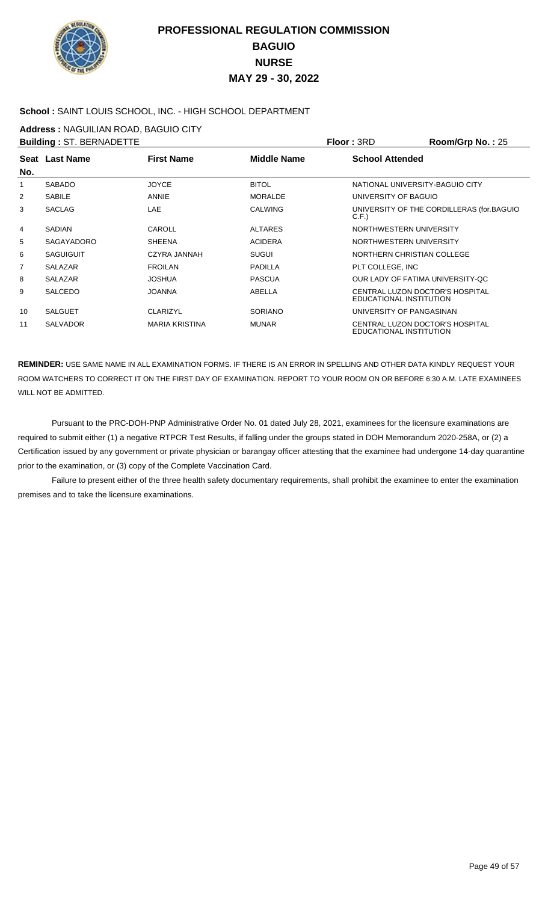

### **School :** SAINT LOUIS SCHOOL, INC. - HIGH SCHOOL DEPARTMENT

**Address :** NAGUILIAN ROAD, BAGUIO CITY

| <b>Building: ST. BERNADETTE</b> |                       |                       |                    | Floor: 3RD                                                        | Room/Grp No.: 25                          |
|---------------------------------|-----------------------|-----------------------|--------------------|-------------------------------------------------------------------|-------------------------------------------|
| No.                             | <b>Seat Last Name</b> | <b>First Name</b>     | <b>Middle Name</b> | <b>School Attended</b>                                            |                                           |
| 1                               | <b>SABADO</b>         | <b>JOYCE</b>          | <b>BITOL</b>       | NATIONAL UNIVERSITY-BAGUIO CITY                                   |                                           |
| 2                               | <b>SABILE</b>         | ANNIE                 | <b>MORALDE</b>     | UNIVERSITY OF BAGUIO                                              |                                           |
| 3                               | <b>SACLAG</b>         | <b>LAE</b>            | <b>CALWING</b>     | C.F.                                                              | UNIVERSITY OF THE CORDILLERAS (for.BAGUIO |
| 4                               | <b>SADIAN</b>         | <b>CAROLL</b>         | <b>ALTARES</b>     | NORTHWESTERN UNIVERSITY                                           |                                           |
| 5                               | SAGAYADORO            | <b>SHEENA</b>         | <b>ACIDERA</b>     | NORTHWESTERN UNIVERSITY                                           |                                           |
| 6                               | <b>SAGUIGUIT</b>      | CZYRA JANNAH          | <b>SUGUI</b>       | NORTHERN CHRISTIAN COLLEGE                                        |                                           |
| 7                               | <b>SALAZAR</b>        | <b>FROILAN</b>        | <b>PADILLA</b>     | PLT COLLEGE, INC                                                  |                                           |
| 8                               | <b>SALAZAR</b>        | <b>JOSHUA</b>         | <b>PASCUA</b>      | OUR LADY OF FATIMA UNIVERSITY-OC                                  |                                           |
| 9                               | <b>SALCEDO</b>        | <b>JOANNA</b>         | ABELLA             | CENTRAL LUZON DOCTOR'S HOSPITAL<br>EDUCATIONAL INSTITUTION        |                                           |
| 10                              | <b>SALGUET</b>        | <b>CLARIZYL</b>       | <b>SORIANO</b>     | UNIVERSITY OF PANGASINAN                                          |                                           |
| 11                              | <b>SALVADOR</b>       | <b>MARIA KRISTINA</b> | <b>MUNAR</b>       | <b>CENTRAL LUZON DOCTOR'S HOSPITAL</b><br>EDUCATIONAL INSTITUTION |                                           |

**REMINDER:** USE SAME NAME IN ALL EXAMINATION FORMS. IF THERE IS AN ERROR IN SPELLING AND OTHER DATA KINDLY REQUEST YOUR ROOM WATCHERS TO CORRECT IT ON THE FIRST DAY OF EXAMINATION. REPORT TO YOUR ROOM ON OR BEFORE 6:30 A.M. LATE EXAMINEES WILL NOT BE ADMITTED.

 Pursuant to the PRC-DOH-PNP Administrative Order No. 01 dated July 28, 2021, examinees for the licensure examinations are required to submit either (1) a negative RTPCR Test Results, if falling under the groups stated in DOH Memorandum 2020-258A, or (2) a Certification issued by any government or private physician or barangay officer attesting that the examinee had undergone 14-day quarantine prior to the examination, or (3) copy of the Complete Vaccination Card.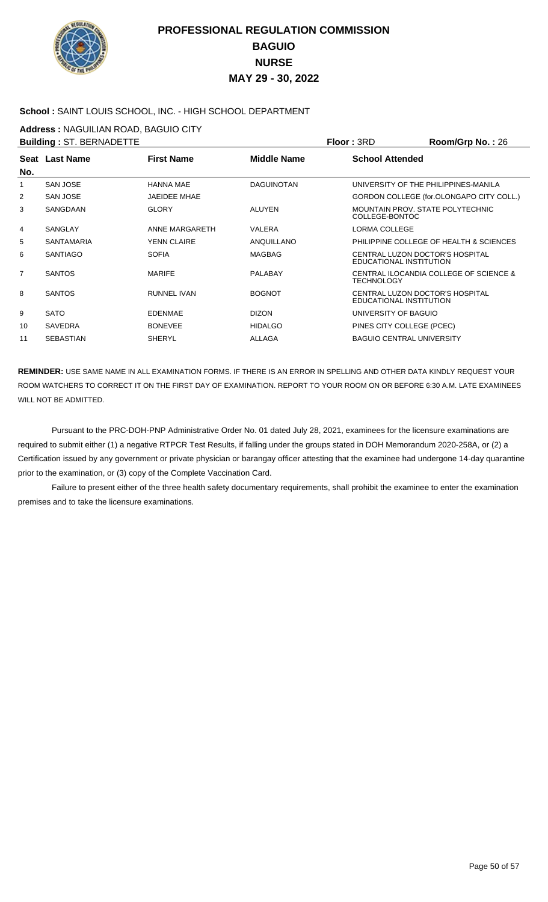

### **School :** SAINT LOUIS SCHOOL, INC. - HIGH SCHOOL DEPARTMENT

**Address :** NAGUILIAN ROAD, BAGUIO CITY

|                | <b>Building: ST. BERNADETTE</b> |                     |                    | Floor: 3RD                                                 | Room/Grp No.: 26                         |
|----------------|---------------------------------|---------------------|--------------------|------------------------------------------------------------|------------------------------------------|
|                | Seat Last Name                  | <b>First Name</b>   | <b>Middle Name</b> | <b>School Attended</b>                                     |                                          |
| No.            |                                 |                     |                    |                                                            |                                          |
| 1              | <b>SAN JOSE</b>                 | <b>HANNA MAE</b>    | <b>DAGUINOTAN</b>  |                                                            | UNIVERSITY OF THE PHILIPPINES-MANILA     |
| $\overline{2}$ | <b>SAN JOSE</b>                 | <b>JAEIDEE MHAE</b> |                    |                                                            | GORDON COLLEGE (for.OLONGAPO CITY COLL.) |
| 3              | SANGDAAN                        | <b>GLORY</b>        | <b>ALUYEN</b>      | MOUNTAIN PROV. STATE POLYTECHNIC<br>COLLEGE-BONTOC         |                                          |
| $\overline{4}$ | <b>SANGLAY</b>                  | ANNE MARGARETH      | <b>VALERA</b>      | <b>LORMA COLLEGE</b>                                       |                                          |
| 5              | <b>SANTAMARIA</b>               | <b>YENN CLAIRE</b>  | ANQUILLANO         |                                                            | PHILIPPINE COLLEGE OF HEALTH & SCIENCES  |
| 6              | <b>SANTIAGO</b>                 | <b>SOFIA</b>        | <b>MAGBAG</b>      | CENTRAL LUZON DOCTOR'S HOSPITAL<br>EDUCATIONAL INSTITUTION |                                          |
| $\overline{7}$ | <b>SANTOS</b>                   | <b>MARIFE</b>       | PALABAY            | <b>TECHNOLOGY</b>                                          | CENTRAL ILOCANDIA COLLEGE OF SCIENCE &   |
| 8              | <b>SANTOS</b>                   | <b>RUNNEL IVAN</b>  | <b>BOGNOT</b>      | CENTRAL LUZON DOCTOR'S HOSPITAL<br>EDUCATIONAL INSTITUTION |                                          |
| 9              | <b>SATO</b>                     | <b>EDENMAE</b>      | <b>DIZON</b>       | UNIVERSITY OF BAGUIO                                       |                                          |
| 10             | <b>SAVEDRA</b>                  | <b>BONEVEE</b>      | <b>HIDALGO</b>     | PINES CITY COLLEGE (PCEC)                                  |                                          |
| 11             | <b>SEBASTIAN</b>                | <b>SHERYL</b>       | <b>ALLAGA</b>      | <b>BAGUIO CENTRAL UNIVERSITY</b>                           |                                          |

**REMINDER:** USE SAME NAME IN ALL EXAMINATION FORMS. IF THERE IS AN ERROR IN SPELLING AND OTHER DATA KINDLY REQUEST YOUR ROOM WATCHERS TO CORRECT IT ON THE FIRST DAY OF EXAMINATION. REPORT TO YOUR ROOM ON OR BEFORE 6:30 A.M. LATE EXAMINEES WILL NOT BE ADMITTED.

 Pursuant to the PRC-DOH-PNP Administrative Order No. 01 dated July 28, 2021, examinees for the licensure examinations are required to submit either (1) a negative RTPCR Test Results, if falling under the groups stated in DOH Memorandum 2020-258A, or (2) a Certification issued by any government or private physician or barangay officer attesting that the examinee had undergone 14-day quarantine prior to the examination, or (3) copy of the Complete Vaccination Card.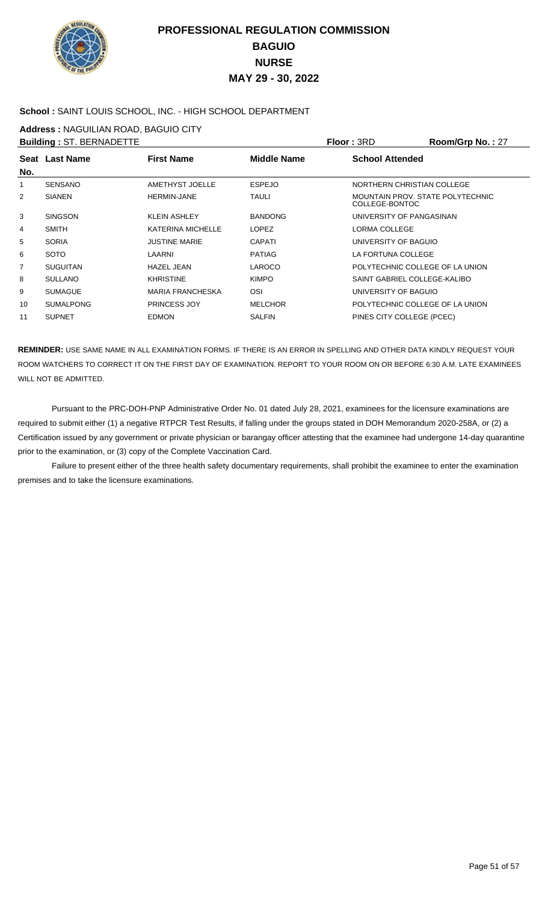

### **School :** SAINT LOUIS SCHOOL, INC. - HIGH SCHOOL DEPARTMENT

**Address :** NAGUILIAN ROAD, BAGUIO CITY

| <b>Building: ST. BERNADETTE</b> |                          |                    |                        | Room/Grp No.: 27                                                                                                                                                                                                                                                                                                  |
|---------------------------------|--------------------------|--------------------|------------------------|-------------------------------------------------------------------------------------------------------------------------------------------------------------------------------------------------------------------------------------------------------------------------------------------------------------------|
|                                 | <b>First Name</b>        | <b>Middle Name</b> | <b>School Attended</b> |                                                                                                                                                                                                                                                                                                                   |
|                                 |                          |                    |                        |                                                                                                                                                                                                                                                                                                                   |
| <b>SENSANO</b>                  | <b>AMETHYST JOELLE</b>   | <b>ESPEJO</b>      |                        |                                                                                                                                                                                                                                                                                                                   |
| <b>SIANEN</b>                   | <b>HERMIN-JANE</b>       | <b>TAULI</b>       | COLLEGE-BONTOC         |                                                                                                                                                                                                                                                                                                                   |
| <b>SINGSON</b>                  | <b>KLEIN ASHLEY</b>      | <b>BANDONG</b>     |                        |                                                                                                                                                                                                                                                                                                                   |
| <b>SMITH</b>                    | <b>KATERINA MICHELLE</b> | <b>LOPEZ</b>       | <b>LORMA COLLEGE</b>   |                                                                                                                                                                                                                                                                                                                   |
| <b>SORIA</b>                    | <b>JUSTINE MARIE</b>     | <b>CAPATI</b>      |                        |                                                                                                                                                                                                                                                                                                                   |
| <b>SOTO</b>                     | LAARNI                   | PATIAG             |                        |                                                                                                                                                                                                                                                                                                                   |
| <b>SUGUITAN</b>                 | <b>HAZEL JEAN</b>        | <b>LAROCO</b>      |                        |                                                                                                                                                                                                                                                                                                                   |
| <b>SULLANO</b>                  | <b>KHRISTINE</b>         | <b>KIMPO</b>       |                        |                                                                                                                                                                                                                                                                                                                   |
| <b>SUMAGUE</b>                  | <b>MARIA FRANCHESKA</b>  | OSI                |                        |                                                                                                                                                                                                                                                                                                                   |
| <b>SUMALPONG</b>                | <b>PRINCESS JOY</b>      | <b>MELCHOR</b>     |                        |                                                                                                                                                                                                                                                                                                                   |
| <b>SUPNET</b>                   | <b>EDMON</b>             | <b>SALFIN</b>      |                        |                                                                                                                                                                                                                                                                                                                   |
|                                 | Seat Last Name           |                    |                        | Floor: 3RD<br>NORTHERN CHRISTIAN COLLEGE<br>MOUNTAIN PROV. STATE POLYTECHNIC<br>UNIVERSITY OF PANGASINAN<br>UNIVERSITY OF BAGUIO<br>LA FORTUNA COLLEGE<br>POLYTECHNIC COLLEGE OF LA UNION<br>SAINT GABRIEL COLLEGE-KALIBO<br>UNIVERSITY OF BAGUIO<br>POLYTECHNIC COLLEGE OF LA UNION<br>PINES CITY COLLEGE (PCEC) |

**REMINDER:** USE SAME NAME IN ALL EXAMINATION FORMS. IF THERE IS AN ERROR IN SPELLING AND OTHER DATA KINDLY REQUEST YOUR ROOM WATCHERS TO CORRECT IT ON THE FIRST DAY OF EXAMINATION. REPORT TO YOUR ROOM ON OR BEFORE 6:30 A.M. LATE EXAMINEES WILL NOT BE ADMITTED.

 Pursuant to the PRC-DOH-PNP Administrative Order No. 01 dated July 28, 2021, examinees for the licensure examinations are required to submit either (1) a negative RTPCR Test Results, if falling under the groups stated in DOH Memorandum 2020-258A, or (2) a Certification issued by any government or private physician or barangay officer attesting that the examinee had undergone 14-day quarantine prior to the examination, or (3) copy of the Complete Vaccination Card.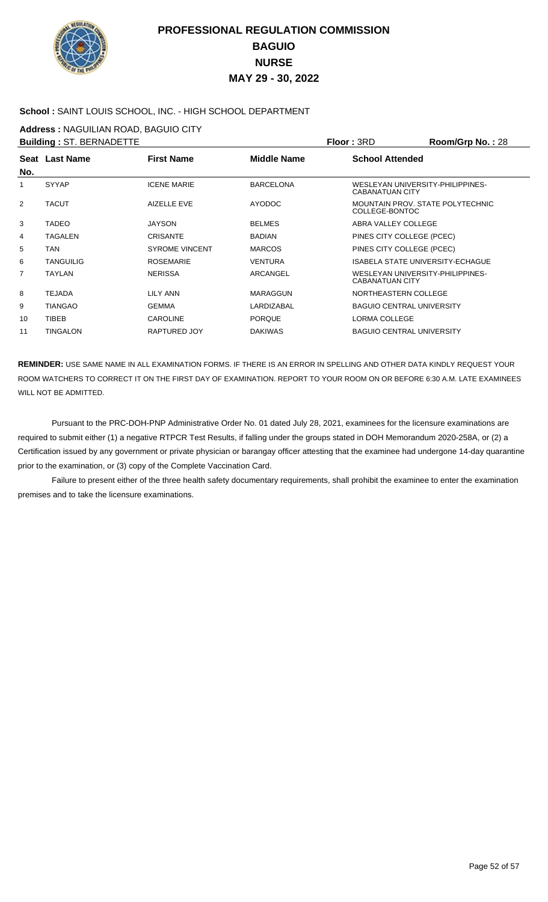

### **School :** SAINT LOUIS SCHOOL, INC. - HIGH SCHOOL DEPARTMENT

**Address :** NAGUILIAN ROAD, BAGUIO CITY

|     | <b>Building: ST. BERNADETTE</b> |                       |                    | Floor: 3RD                                                 | <b>Room/Grp No.: 28</b> |
|-----|---------------------------------|-----------------------|--------------------|------------------------------------------------------------|-------------------------|
|     | Seat Last Name                  | <b>First Name</b>     | <b>Middle Name</b> | <b>School Attended</b>                                     |                         |
| No. |                                 |                       |                    |                                                            |                         |
| 1   | <b>SYYAP</b>                    | <b>ICENE MARIE</b>    | <b>BARCELONA</b>   | WESLEYAN UNIVERSITY-PHILIPPINES-<br>CABANATUAN CITY        |                         |
| 2   | <b>TACUT</b>                    | <b>AIZELLE EVE</b>    | <b>AYODOC</b>      | MOUNTAIN PROV. STATE POLYTECHNIC<br>COLLEGE-BONTOC         |                         |
| 3   | TADEO                           | <b>JAYSON</b>         | <b>BELMES</b>      | ABRA VALLEY COLLEGE                                        |                         |
| 4   | <b>TAGALEN</b>                  | <b>CRISANTE</b>       | <b>BADIAN</b>      | PINES CITY COLLEGE (PCEC)                                  |                         |
| 5   | TAN                             | <b>SYROME VINCENT</b> | <b>MARCOS</b>      | PINES CITY COLLEGE (PCEC)                                  |                         |
| 6   | <b>TANGUILIG</b>                | <b>ROSEMARIE</b>      | <b>VENTURA</b>     | <b>ISABELA STATE UNIVERSITY-ECHAGUE</b>                    |                         |
| 7   | TAYLAN                          | <b>NERISSA</b>        | <b>ARCANGEL</b>    | WESLEYAN UNIVERSITY-PHILIPPINES-<br><b>CABANATUAN CITY</b> |                         |
| 8   | TEJADA                          | LILY ANN              | <b>MARAGGUN</b>    | NORTHEASTERN COLLEGE                                       |                         |
| 9   | <b>TIANGAO</b>                  | <b>GEMMA</b>          | LARDIZABAL         | <b>BAGUIO CENTRAL UNIVERSITY</b>                           |                         |
| 10  | <b>TIBEB</b>                    | <b>CAROLINE</b>       | <b>PORQUE</b>      | LORMA COLLEGE                                              |                         |
| 11  | TINGALON                        | RAPTURED JOY          | <b>DAKIWAS</b>     | <b>BAGUIO CENTRAL UNIVERSITY</b>                           |                         |
|     |                                 |                       |                    |                                                            |                         |

**REMINDER:** USE SAME NAME IN ALL EXAMINATION FORMS. IF THERE IS AN ERROR IN SPELLING AND OTHER DATA KINDLY REQUEST YOUR ROOM WATCHERS TO CORRECT IT ON THE FIRST DAY OF EXAMINATION. REPORT TO YOUR ROOM ON OR BEFORE 6:30 A.M. LATE EXAMINEES WILL NOT BE ADMITTED.

 Pursuant to the PRC-DOH-PNP Administrative Order No. 01 dated July 28, 2021, examinees for the licensure examinations are required to submit either (1) a negative RTPCR Test Results, if falling under the groups stated in DOH Memorandum 2020-258A, or (2) a Certification issued by any government or private physician or barangay officer attesting that the examinee had undergone 14-day quarantine prior to the examination, or (3) copy of the Complete Vaccination Card.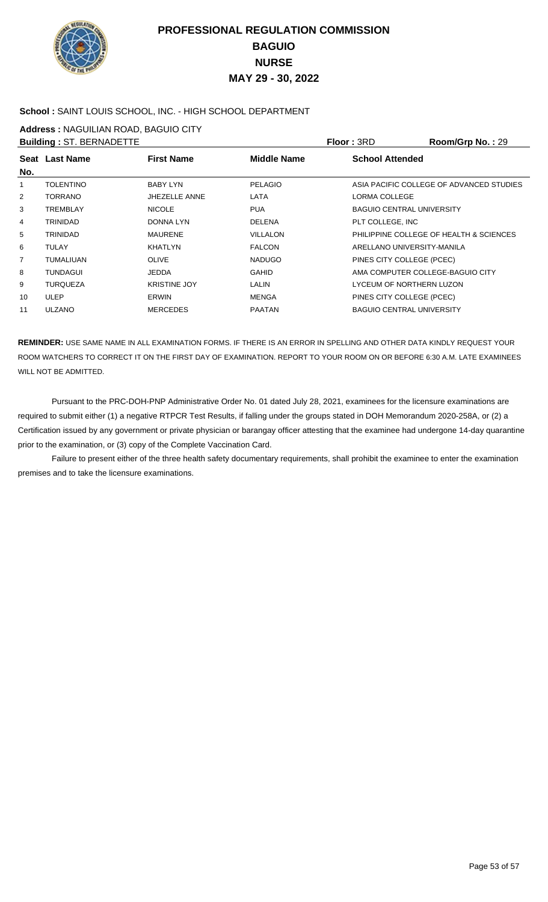

### **School :** SAINT LOUIS SCHOOL, INC. - HIGH SCHOOL DEPARTMENT

**Address :** NAGUILIAN ROAD, BAGUIO CITY

| <b>Building: ST. BERNADETTE</b> |                  |                      |                    | Floor: 3RD                       | Room/Grp No.: 29                         |
|---------------------------------|------------------|----------------------|--------------------|----------------------------------|------------------------------------------|
| No.                             | Seat Last Name   | <b>First Name</b>    | <b>Middle Name</b> | <b>School Attended</b>           |                                          |
| $\mathbf{1}$                    | <b>TOLENTINO</b> | <b>BABY LYN</b>      | <b>PELAGIO</b>     |                                  | ASIA PACIFIC COLLEGE OF ADVANCED STUDIES |
| $\overline{2}$                  | TORRANO          | <b>JHEZELLE ANNE</b> | LATA               | LORMA COLLEGE                    |                                          |
| 3                               | <b>TREMBLAY</b>  | <b>NICOLE</b>        | <b>PUA</b>         | <b>BAGUIO CENTRAL UNIVERSITY</b> |                                          |
| 4                               | <b>TRINIDAD</b>  | DONNA LYN            | <b>DELENA</b>      | PLT COLLEGE, INC                 |                                          |
| 5                               | <b>TRINIDAD</b>  | <b>MAURENE</b>       | <b>VILLALON</b>    |                                  | PHILIPPINE COLLEGE OF HEALTH & SCIENCES  |
| 6                               | <b>TULAY</b>     | <b>KHATLYN</b>       | <b>FALCON</b>      | ARELLANO UNIVERSITY-MANILA       |                                          |
| 7                               | <b>TUMALIUAN</b> | <b>OLIVE</b>         | <b>NADUGO</b>      | PINES CITY COLLEGE (PCEC)        |                                          |
| 8                               | <b>TUNDAGUI</b>  | <b>JEDDA</b>         | <b>GAHID</b>       | AMA COMPUTER COLLEGE-BAGUIO CITY |                                          |
| 9                               | <b>TUROUEZA</b>  | <b>KRISTINE JOY</b>  | <b>LALIN</b>       | LYCEUM OF NORTHERN LUZON         |                                          |
| 10                              | <b>ULEP</b>      | <b>ERWIN</b>         | <b>MENGA</b>       | PINES CITY COLLEGE (PCEC)        |                                          |
| 11                              | <b>ULZANO</b>    | <b>MERCEDES</b>      | <b>PAATAN</b>      | <b>BAGUIO CENTRAL UNIVERSITY</b> |                                          |
|                                 |                  |                      |                    |                                  |                                          |

**REMINDER:** USE SAME NAME IN ALL EXAMINATION FORMS. IF THERE IS AN ERROR IN SPELLING AND OTHER DATA KINDLY REQUEST YOUR ROOM WATCHERS TO CORRECT IT ON THE FIRST DAY OF EXAMINATION. REPORT TO YOUR ROOM ON OR BEFORE 6:30 A.M. LATE EXAMINEES WILL NOT BE ADMITTED.

 Pursuant to the PRC-DOH-PNP Administrative Order No. 01 dated July 28, 2021, examinees for the licensure examinations are required to submit either (1) a negative RTPCR Test Results, if falling under the groups stated in DOH Memorandum 2020-258A, or (2) a Certification issued by any government or private physician or barangay officer attesting that the examinee had undergone 14-day quarantine prior to the examination, or (3) copy of the Complete Vaccination Card.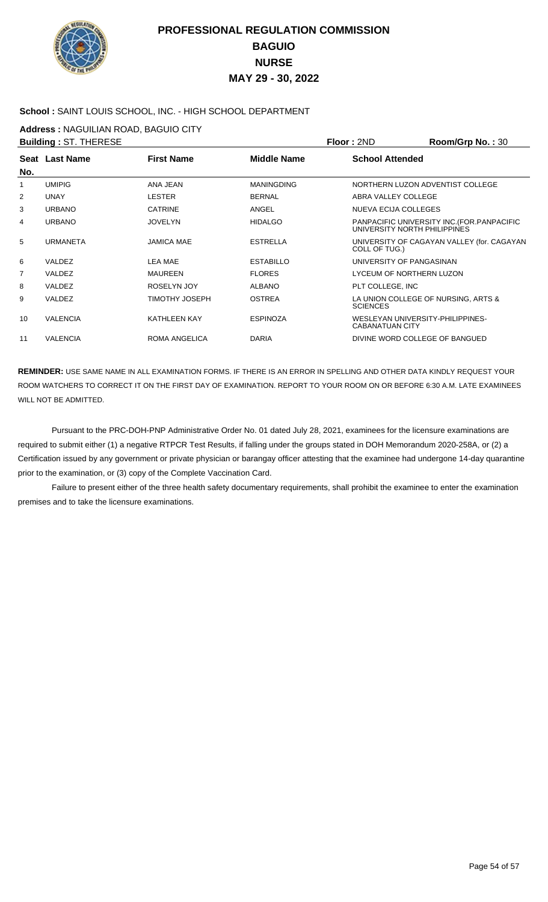

### **School :** SAINT LOUIS SCHOOL, INC. - HIGH SCHOOL DEPARTMENT

**Address :** NAGUILIAN ROAD, BAGUIO CITY

| <b>Building: ST. THERESE</b> |                 |                       |                    | Floor: 2ND                                                 | Room/Grp No.: 30                            |
|------------------------------|-----------------|-----------------------|--------------------|------------------------------------------------------------|---------------------------------------------|
| No.                          | Seat Last Name  | <b>First Name</b>     | <b>Middle Name</b> | <b>School Attended</b>                                     |                                             |
| 1                            | <b>UMIPIG</b>   | ANA JEAN              | <b>MANINGDING</b>  |                                                            | NORTHERN LUZON ADVENTIST COLLEGE            |
| $\overline{2}$               | <b>UNAY</b>     | <b>LESTER</b>         | <b>BERNAL</b>      | ABRA VALLEY COLLEGE                                        |                                             |
| 3                            | <b>URBANO</b>   | <b>CATRINE</b>        | ANGEL              | NUEVA ECIJA COLLEGES                                       |                                             |
| 4                            | <b>URBANO</b>   | <b>JOVELYN</b>        | <b>HIDALGO</b>     | UNIVERSITY NORTH PHILIPPINES                               | PANPACIFIC UNIVERSITY INC. (FOR. PANPACIFIC |
| 5                            | <b>URMANETA</b> | <b>JAMICA MAE</b>     | <b>ESTRELLA</b>    | COLL OF TUG.)                                              | UNIVERSITY OF CAGAYAN VALLEY (for. CAGAYAN  |
| 6                            | VALDEZ          | <b>LEA MAE</b>        | <b>ESTABILLO</b>   | UNIVERSITY OF PANGASINAN                                   |                                             |
| 7                            | <b>VALDEZ</b>   | MAUREEN               | <b>FLORES</b>      | LYCEUM OF NORTHERN LUZON                                   |                                             |
| 8                            | <b>VALDEZ</b>   | <b>ROSELYN JOY</b>    | ALBANO             | PLT COLLEGE, INC                                           |                                             |
| 9                            | <b>VALDEZ</b>   | <b>TIMOTHY JOSEPH</b> | <b>OSTREA</b>      | <b>SCIENCES</b>                                            | LA UNION COLLEGE OF NURSING, ARTS &         |
| 10                           | <b>VALENCIA</b> | <b>KATHLEEN KAY</b>   | <b>ESPINOZA</b>    | WESLEYAN UNIVERSITY-PHILIPPINES-<br><b>CABANATUAN CITY</b> |                                             |
| 11                           | <b>VALENCIA</b> | <b>ROMA ANGELICA</b>  | <b>DARIA</b>       | DIVINE WORD COLLEGE OF BANGUED                             |                                             |

**REMINDER:** USE SAME NAME IN ALL EXAMINATION FORMS. IF THERE IS AN ERROR IN SPELLING AND OTHER DATA KINDLY REQUEST YOUR ROOM WATCHERS TO CORRECT IT ON THE FIRST DAY OF EXAMINATION. REPORT TO YOUR ROOM ON OR BEFORE 6:30 A.M. LATE EXAMINEES WILL NOT BE ADMITTED.

 Pursuant to the PRC-DOH-PNP Administrative Order No. 01 dated July 28, 2021, examinees for the licensure examinations are required to submit either (1) a negative RTPCR Test Results, if falling under the groups stated in DOH Memorandum 2020-258A, or (2) a Certification issued by any government or private physician or barangay officer attesting that the examinee had undergone 14-day quarantine prior to the examination, or (3) copy of the Complete Vaccination Card.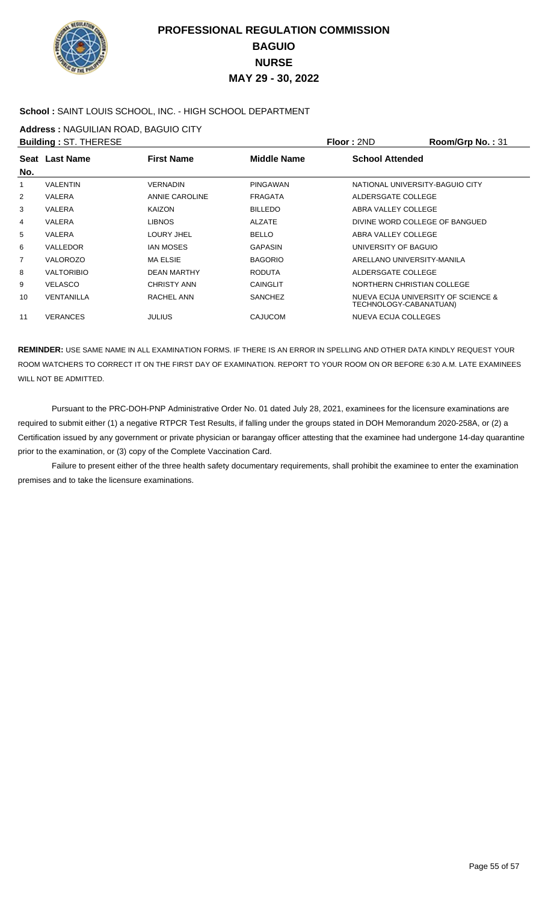

### **School :** SAINT LOUIS SCHOOL, INC. - HIGH SCHOOL DEPARTMENT

**Address :** NAGUILIAN ROAD, BAGUIO CITY

|     | <b>Building: ST. THERESE</b> |                       |                    | Floor: 2ND                      | Room/Grp No.: 31                    |
|-----|------------------------------|-----------------------|--------------------|---------------------------------|-------------------------------------|
|     | Seat Last Name               | <b>First Name</b>     | <b>Middle Name</b> | <b>School Attended</b>          |                                     |
| No. |                              |                       |                    |                                 |                                     |
| 1   | <b>VALENTIN</b>              | <b>VERNADIN</b>       | PINGAWAN           | NATIONAL UNIVERSITY-BAGUIO CITY |                                     |
| 2   | <b>VALERA</b>                | <b>ANNIE CAROLINE</b> | <b>FRAGATA</b>     | ALDERSGATE COLLEGE              |                                     |
| 3   | <b>VALERA</b>                | <b>KAIZON</b>         | <b>BILLEDO</b>     | ABRA VALLEY COLLEGE             |                                     |
| 4   | <b>VALERA</b>                | <b>LIBNOS</b>         | ALZATE             | DIVINE WORD COLLEGE OF BANGUED  |                                     |
| 5   | <b>VALERA</b>                | LOURY JHEL            | <b>BELLO</b>       | ABRA VALLEY COLLEGE             |                                     |
| 6   | <b>VALLEDOR</b>              | <b>IAN MOSES</b>      | <b>GAPASIN</b>     | UNIVERSITY OF BAGUIO            |                                     |
| 7   | <b>VALOROZO</b>              | <b>MA ELSIE</b>       | <b>BAGORIO</b>     | ARELLANO UNIVERSITY-MANILA      |                                     |
| 8   | <b>VALTORIBIO</b>            | <b>DEAN MARTHY</b>    | <b>RODUTA</b>      | ALDERSGATE COLLEGE              |                                     |
| 9   | <b>VELASCO</b>               | <b>CHRISTY ANN</b>    | <b>CAINGLIT</b>    | NORTHERN CHRISTIAN COLLEGE      |                                     |
| 10  | <b>VENTANILLA</b>            | RACHEL ANN            | <b>SANCHEZ</b>     | TECHNOLOGY-CABANATUAN)          | NUEVA ECIJA UNIVERSITY OF SCIENCE & |
| 11  | <b>VERANCES</b>              | <b>JULIUS</b>         | <b>CAJUCOM</b>     | <b>NUEVA ECIJA COLLEGES</b>     |                                     |

**REMINDER:** USE SAME NAME IN ALL EXAMINATION FORMS. IF THERE IS AN ERROR IN SPELLING AND OTHER DATA KINDLY REQUEST YOUR ROOM WATCHERS TO CORRECT IT ON THE FIRST DAY OF EXAMINATION. REPORT TO YOUR ROOM ON OR BEFORE 6:30 A.M. LATE EXAMINEES WILL NOT BE ADMITTED.

 Pursuant to the PRC-DOH-PNP Administrative Order No. 01 dated July 28, 2021, examinees for the licensure examinations are required to submit either (1) a negative RTPCR Test Results, if falling under the groups stated in DOH Memorandum 2020-258A, or (2) a Certification issued by any government or private physician or barangay officer attesting that the examinee had undergone 14-day quarantine prior to the examination, or (3) copy of the Complete Vaccination Card.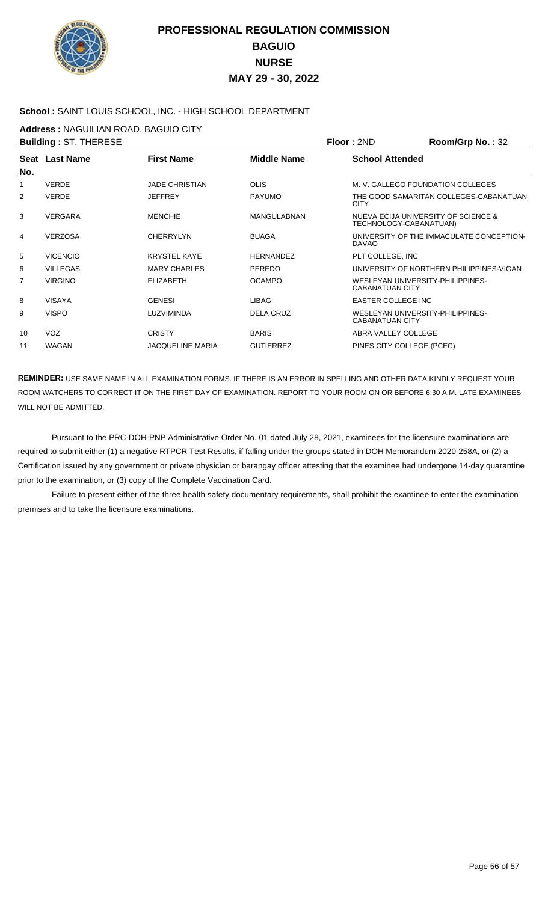

### **School :** SAINT LOUIS SCHOOL, INC. - HIGH SCHOOL DEPARTMENT

**Address :** NAGUILIAN ROAD, BAGUIO CITY

| <b>Building: ST. THERESE</b> |                 |                         |                    | Floor: 2ND                                                 | Room/Grp No.: 32                         |
|------------------------------|-----------------|-------------------------|--------------------|------------------------------------------------------------|------------------------------------------|
| No.                          | Seat Last Name  | <b>First Name</b>       | <b>Middle Name</b> | <b>School Attended</b>                                     |                                          |
| 1                            | <b>VERDE</b>    | <b>JADE CHRISTIAN</b>   | <b>OLIS</b>        |                                                            | M. V. GALLEGO FOUNDATION COLLEGES        |
| 2                            | <b>VERDE</b>    | <b>JEFFREY</b>          | <b>PAYUMO</b>      | <b>CITY</b>                                                | THE GOOD SAMARITAN COLLEGES-CABANATUAN   |
| 3                            | <b>VERGARA</b>  | <b>MENCHIE</b>          | <b>MANGULABNAN</b> | TECHNOLOGY-CABANATUAN)                                     | NUEVA ECIJA UNIVERSITY OF SCIENCE &      |
| 4                            | <b>VERZOSA</b>  | <b>CHERRYLYN</b>        | <b>BUAGA</b>       | <b>DAVAO</b>                                               | UNIVERSITY OF THE IMMACULATE CONCEPTION- |
| 5                            | <b>VICENCIO</b> | <b>KRYSTEL KAYE</b>     | <b>HERNANDEZ</b>   | PLT COLLEGE, INC                                           |                                          |
| 6                            | <b>VILLEGAS</b> | <b>MARY CHARLES</b>     | PEREDO             |                                                            | UNIVERSITY OF NORTHERN PHILIPPINES-VIGAN |
| 7                            | <b>VIRGINO</b>  | <b>ELIZABETH</b>        | <b>OCAMPO</b>      | WESLEYAN UNIVERSITY-PHILIPPINES-<br><b>CABANATUAN CITY</b> |                                          |
| 8                            | <b>VISAYA</b>   | <b>GENESI</b>           | LIBAG              | <b>EASTER COLLEGE INC</b>                                  |                                          |
| 9                            | <b>VISPO</b>    | LUZVIMINDA              | <b>DELA CRUZ</b>   | WESLEYAN UNIVERSITY-PHILIPPINES-<br><b>CABANATUAN CITY</b> |                                          |
| 10                           | <b>VOZ</b>      | <b>CRISTY</b>           | <b>BARIS</b>       | ABRA VALLEY COLLEGE                                        |                                          |
| 11                           | <b>WAGAN</b>    | <b>JACOUELINE MARIA</b> | <b>GUTIERREZ</b>   | PINES CITY COLLEGE (PCEC)                                  |                                          |

**REMINDER:** USE SAME NAME IN ALL EXAMINATION FORMS. IF THERE IS AN ERROR IN SPELLING AND OTHER DATA KINDLY REQUEST YOUR ROOM WATCHERS TO CORRECT IT ON THE FIRST DAY OF EXAMINATION. REPORT TO YOUR ROOM ON OR BEFORE 6:30 A.M. LATE EXAMINEES WILL NOT BE ADMITTED.

 Pursuant to the PRC-DOH-PNP Administrative Order No. 01 dated July 28, 2021, examinees for the licensure examinations are required to submit either (1) a negative RTPCR Test Results, if falling under the groups stated in DOH Memorandum 2020-258A, or (2) a Certification issued by any government or private physician or barangay officer attesting that the examinee had undergone 14-day quarantine prior to the examination, or (3) copy of the Complete Vaccination Card.